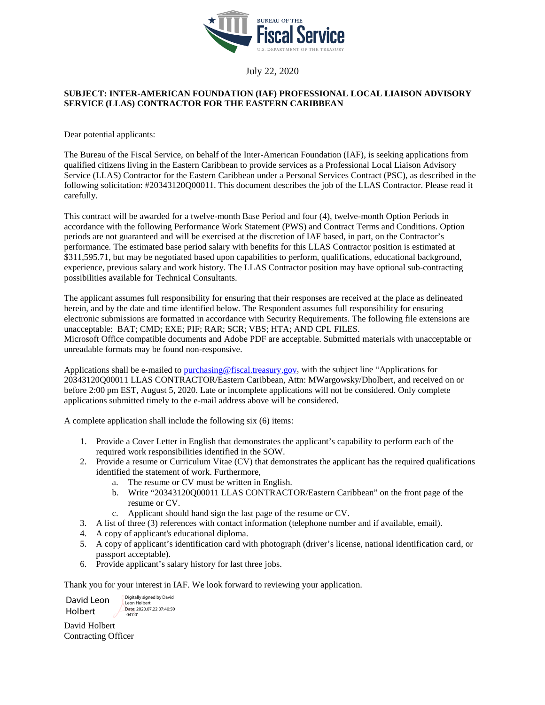

July 22, 2020

# **SUBJECT: INTER-AMERICAN FOUNDATION (IAF) PROFESSIONAL LOCAL LIAISON ADVISORY SERVICE (LLAS) CONTRACTOR FOR THE EASTERN CARIBBEAN**

Dear potential applicants:

The Bureau of the Fiscal Service, on behalf of the Inter-American Foundation (IAF), is seeking applications from qualified citizens living in the Eastern Caribbean to provide services as a Professional Local Liaison Advisory Service (LLAS) Contractor for the Eastern Caribbean under a Personal Services Contract (PSC), as described in the following solicitation: #20343120Q00011. This document describes the job of the LLAS Contractor. Please read it carefully.

This contract will be awarded for a twelve-month Base Period and four (4), twelve-month Option Periods in accordance with the following Performance Work Statement (PWS) and Contract Terms and Conditions. Option periods are not guaranteed and will be exercised at the discretion of IAF based, in part, on the Contractor's performance. The estimated base period salary with benefits for this LLAS Contractor position is estimated at \$311,595.71, but may be negotiated based upon capabilities to perform, qualifications, educational background, experience, previous salary and work history. The LLAS Contractor position may have optional sub-contracting possibilities available for Technical Consultants.

The applicant assumes full responsibility for ensuring that their responses are received at the place as delineated herein, and by the date and time identified below. The Respondent assumes full responsibility for ensuring electronic submissions are formatted in accordance with Security Requirements. The following file extensions are unacceptable: BAT; CMD; EXE; PIF; RAR; SCR; VBS; HTA; AND CPL FILES. Microsoft Office compatible documents and Adobe PDF are acceptable. Submitted materials with unacceptable or unreadable formats may be found non-responsive.

Applications shall be e-mailed t[o purchasing@fiscal.treasury.gov,](mailto:purchasing@fiscal.treasury.gov) with the subject line "Applications for 20343120Q00011 LLAS CONTRACTOR/Eastern Caribbean, Attn: MWargowsky/Dholbert, and received on or before 2:00 pm EST, August 5, 2020. Late or incomplete applications will not be considered. Only complete applications submitted timely to the e-mail address above will be considered.

A complete application shall include the following six (6) items:

- 1. Provide a Cover Letter in English that demonstrates the applicant's capability to perform each of the required work responsibilities identified in the SOW.
- 2. Provide a resume or Curriculum Vitae (CV) that demonstrates the applicant has the required qualifications identified the statement of work. Furthermore,
	- a. The resume or CV must be written in English.
	- b. Write "20343120Q00011 LLAS CONTRACTOR/Eastern Caribbean" on the front page of the resume or CV.
	- c. Applicant should hand sign the last page of the resume or CV.
- 3. A list of three (3) references with contact information (telephone number and if available, email).
- 4. A copy of applicant's educational diploma.
- 5. A copy of applicant's identification card with photograph (driver's license, national identification card, or passport acceptable).
- 6. Provide applicant's salary history for last three jobs.

Thank you for your interest in IAF. We look forward to reviewing your application.

David Leon Holbert Digitally signed by David Leon Holb Date: 2020.07.22 07:40:50 -04'00'

David Holbert Contracting Officer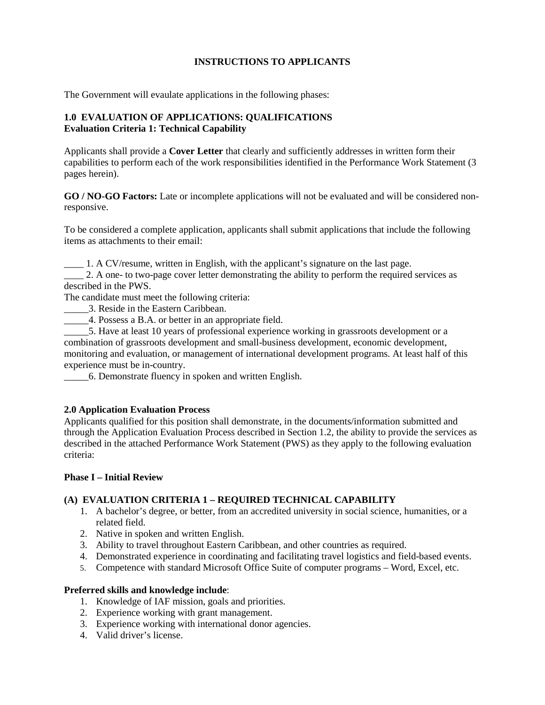# **INSTRUCTIONS TO APPLICANTS**

The Government will evaulate applications in the following phases:

# **1.0 EVALUATION OF APPLICATIONS: QUALIFICATIONS Evaluation Criteria 1: Technical Capability**

Applicants shall provide a **Cover Letter** that clearly and sufficiently addresses in written form their capabilities to perform each of the work responsibilities identified in the Performance Work Statement (3 pages herein).

**GO / NO-GO Factors:** Late or incomplete applications will not be evaluated and will be considered nonresponsive.

To be considered a complete application, applicants shall submit applications that include the following items as attachments to their email:

\_\_\_\_ 1. A CV/resume, written in English, with the applicant's signature on the last page.

\_\_\_\_ 2. A one- to two-page cover letter demonstrating the ability to perform the required services as described in the PWS.

The candidate must meet the following criteria:

\_\_\_\_\_3. Reside in the Eastern Caribbean.

\_\_\_\_\_4. Possess a B.A. or better in an appropriate field.

\_\_\_\_\_5. Have at least 10 years of professional experience working in grassroots development or a combination of grassroots development and small-business development, economic development, monitoring and evaluation, or management of international development programs. At least half of this experience must be in-country.

\_\_\_\_\_6. Demonstrate fluency in spoken and written English.

# **2.0 Application Evaluation Process**

Applicants qualified for this position shall demonstrate, in the documents/information submitted and through the Application Evaluation Process described in Section 1.2, the ability to provide the services as described in the attached Performance Work Statement (PWS) as they apply to the following evaluation criteria:

# **Phase I – Initial Review**

# **(A) EVALUATION CRITERIA 1 – REQUIRED TECHNICAL CAPABILITY**

- 1. A bachelor's degree, or better, from an accredited university in social science, humanities, or a related field.
- 2. Native in spoken and written English.
- 3. Ability to travel throughout Eastern Caribbean, and other countries as required.
- 4. Demonstrated experience in coordinating and facilitating travel logistics and field-based events.
- 5. Competence with standard Microsoft Office Suite of computer programs Word, Excel, etc.

# **Preferred skills and knowledge include**:

- 1. Knowledge of IAF mission, goals and priorities.
- 2. Experience working with grant management.
- 3. Experience working with international donor agencies.
- 4. Valid driver's license.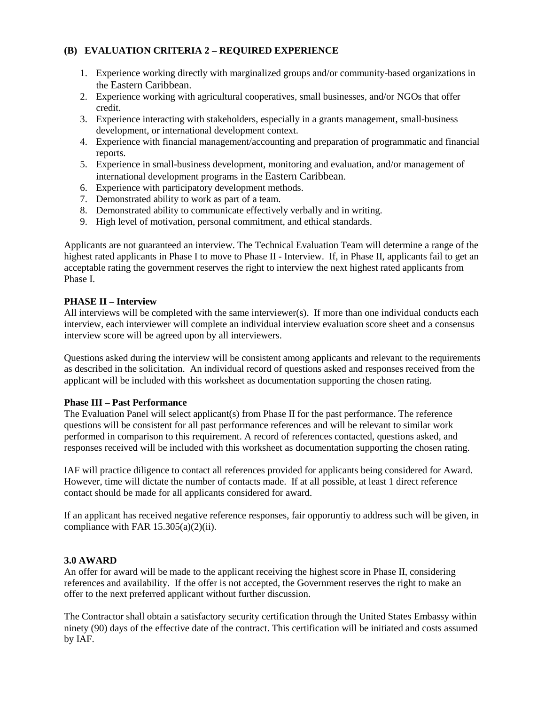# **(B) EVALUATION CRITERIA 2 – REQUIRED EXPERIENCE**

- 1. Experience working directly with marginalized groups and/or community-based organizations in the Eastern Caribbean.
- 2. Experience working with agricultural cooperatives, small businesses, and/or NGOs that offer credit.
- 3. Experience interacting with stakeholders, especially in a grants management, small-business development, or international development context.
- 4. Experience with financial management/accounting and preparation of programmatic and financial reports.
- 5. Experience in small-business development, monitoring and evaluation, and/or management of international development programs in the Eastern Caribbean.
- 6. Experience with participatory development methods.
- 7. Demonstrated ability to work as part of a team.
- 8. Demonstrated ability to communicate effectively verbally and in writing.
- 9. High level of motivation, personal commitment, and ethical standards.

Applicants are not guaranteed an interview. The Technical Evaluation Team will determine a range of the highest rated applicants in Phase I to move to Phase II - Interview. If, in Phase II, applicants fail to get an acceptable rating the government reserves the right to interview the next highest rated applicants from Phase I.

# **PHASE II – Interview**

All interviews will be completed with the same interviewer(s). If more than one individual conducts each interview, each interviewer will complete an individual interview evaluation score sheet and a consensus interview score will be agreed upon by all interviewers.

Questions asked during the interview will be consistent among applicants and relevant to the requirements as described in the solicitation. An individual record of questions asked and responses received from the applicant will be included with this worksheet as documentation supporting the chosen rating.

# **Phase III – Past Performance**

The Evaluation Panel will select applicant(s) from Phase II for the past performance. The reference questions will be consistent for all past performance references and will be relevant to similar work performed in comparison to this requirement. A record of references contacted, questions asked, and responses received will be included with this worksheet as documentation supporting the chosen rating.

IAF will practice diligence to contact all references provided for applicants being considered for Award. However, time will dictate the number of contacts made. If at all possible, at least 1 direct reference contact should be made for all applicants considered for award.

If an applicant has received negative reference responses, fair opporuntiy to address such will be given, in compliance with FAR  $15.305(a)(2)(ii)$ .

# **3.0 AWARD**

An offer for award will be made to the applicant receiving the highest score in Phase II, considering references and availability. If the offer is not accepted, the Government reserves the right to make an offer to the next preferred applicant without further discussion.

The Contractor shall obtain a satisfactory security certification through the United States Embassy within ninety (90) days of the effective date of the contract. This certification will be initiated and costs assumed by IAF.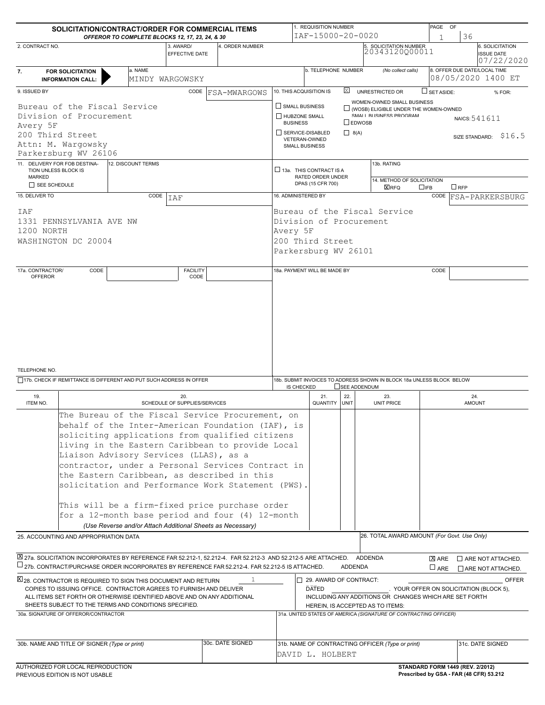| 1. REQUISITION NUMBER<br>PAGE OF<br>SOLICITATION/CONTRACT/ORDER FOR COMMERCIAL ITEMS<br>IAF-15000-20-0020                                                                                                                                                                   |                                                                                                                                                                                                                                                                                                                                                                                                                                                                                                                                                                                                                       |                                                 |                 |                                                                                                                                                                                                                                                     |                                                            |                                                                     |                                                                                                      |                                                  |                         |                                                      |  |
|-----------------------------------------------------------------------------------------------------------------------------------------------------------------------------------------------------------------------------------------------------------------------------|-----------------------------------------------------------------------------------------------------------------------------------------------------------------------------------------------------------------------------------------------------------------------------------------------------------------------------------------------------------------------------------------------------------------------------------------------------------------------------------------------------------------------------------------------------------------------------------------------------------------------|-------------------------------------------------|-----------------|-----------------------------------------------------------------------------------------------------------------------------------------------------------------------------------------------------------------------------------------------------|------------------------------------------------------------|---------------------------------------------------------------------|------------------------------------------------------------------------------------------------------|--------------------------------------------------|-------------------------|------------------------------------------------------|--|
| 2. CONTRACT NO.                                                                                                                                                                                                                                                             |                                                                                                                                                                                                                                                                                                                                                                                                                                                                                                                                                                                                                       | OFFEROR TO COMPLETE BLOCKS 12, 17, 23, 24, & 30 | 3. AWARD/       | 4. ORDER NUMBER                                                                                                                                                                                                                                     |                                                            |                                                                     |                                                                                                      | SOLICITATION NUMBER                              |                         | 36<br>6. SOLICITATION                                |  |
|                                                                                                                                                                                                                                                                             |                                                                                                                                                                                                                                                                                                                                                                                                                                                                                                                                                                                                                       |                                                 | EFFECTIVE DATE  |                                                                                                                                                                                                                                                     |                                                            |                                                                     |                                                                                                      | 20343120000011                                   |                         | <b>ISSUE DATE</b><br>07/22/2020                      |  |
| 7.                                                                                                                                                                                                                                                                          | <b>FOR SOLICITATION</b><br><b>INFORMATION CALL:</b>                                                                                                                                                                                                                                                                                                                                                                                                                                                                                                                                                                   | a. NAME                                         | MINDY WARGOWSKY |                                                                                                                                                                                                                                                     |                                                            | b. TELEPHONE NUMBER                                                 |                                                                                                      | (No collect calls)                               |                         | 8. OFFER DUE DATE/LOCAL TIME<br>08/05/2020 1400 ET   |  |
| 9. ISSUED BY                                                                                                                                                                                                                                                                |                                                                                                                                                                                                                                                                                                                                                                                                                                                                                                                                                                                                                       |                                                 | CODE            | FSA-MWARGOWS                                                                                                                                                                                                                                        |                                                            | 10. THIS ACQUISITION IS                                             | X                                                                                                    | UNRESTRICTED OR                                  | $\Box$ SET ASIDE:       | % FOR:                                               |  |
| Bureau of the Fiscal Service<br>Division of Procurement<br>Avery 5F                                                                                                                                                                                                         |                                                                                                                                                                                                                                                                                                                                                                                                                                                                                                                                                                                                                       |                                                 |                 | SMALL BUSINESS<br>HUBZONE SMALL<br><b>BUSINESS</b>                                                                                                                                                                                                  |                                                            | $\Box$ EDWOSB                                                       | WOMEN-OWNED SMALL BUSINESS<br>$\Box$ (WOSB) ELIGIBLE UNDER THE WOMEN-OWNED<br>SMALL BUSINESS PROGRAM |                                                  | NAICS: 541611           |                                                      |  |
| 200 Third Street<br>Attn: M. Wargowsky<br>Parkersburg WV 26106                                                                                                                                                                                                              |                                                                                                                                                                                                                                                                                                                                                                                                                                                                                                                                                                                                                       |                                                 |                 |                                                                                                                                                                                                                                                     | SERVICE-DISABLED<br>VETERAN-OWNED<br><b>SMALL BUSINESS</b> | $\Box$ 8(A)                                                         |                                                                                                      |                                                  | SIZE STANDARD: $$16.5$  |                                                      |  |
| <b>MARKED</b>                                                                                                                                                                                                                                                               | 11. DELIVERY FOR FOB DESTINA-<br>TION UNLESS BLOCK IS                                                                                                                                                                                                                                                                                                                                                                                                                                                                                                                                                                 | 12. DISCOUNT TERMS                              |                 |                                                                                                                                                                                                                                                     |                                                            | $\square$ 13a. THIS CONTRACT IS A<br>RATED ORDER UNDER              |                                                                                                      | 13b, RATING<br>14. METHOD OF SOLICITATION        |                         |                                                      |  |
| SEE SCHEDULE                                                                                                                                                                                                                                                                |                                                                                                                                                                                                                                                                                                                                                                                                                                                                                                                                                                                                                       |                                                 |                 |                                                                                                                                                                                                                                                     |                                                            | DPAS (15 CFR 700)                                                   |                                                                                                      | $\Box$ RFP<br><b>X</b> RFQ<br>$\square$ ifb      |                         |                                                      |  |
| 15. DELIVER TO                                                                                                                                                                                                                                                              |                                                                                                                                                                                                                                                                                                                                                                                                                                                                                                                                                                                                                       | CODE                                            | <b>IAF</b>      |                                                                                                                                                                                                                                                     | 16. ADMINISTERED BY                                        |                                                                     |                                                                                                      |                                                  |                         | CODE FSA-PARKERSBURG                                 |  |
| <b>IAF</b><br>1331 PENNSYLVANIA AVE NW<br>1200 NORTH<br>WASHINGTON DC 20004                                                                                                                                                                                                 |                                                                                                                                                                                                                                                                                                                                                                                                                                                                                                                                                                                                                       |                                                 |                 |                                                                                                                                                                                                                                                     | Avery 5F                                                   | Division of Procurement<br>200 Third Street<br>Parkersburg WV 26101 |                                                                                                      | Bureau of the Fiscal Service                     |                         |                                                      |  |
| 17a. CONTRACTOR/                                                                                                                                                                                                                                                            | CODE                                                                                                                                                                                                                                                                                                                                                                                                                                                                                                                                                                                                                  |                                                 | <b>FACILITY</b> |                                                                                                                                                                                                                                                     |                                                            | 18a. PAYMENT WILL BE MADE BY                                        |                                                                                                      |                                                  | CODE                    |                                                      |  |
| TELEPHONE NO.<br>18b. SUBMIT INVOICES TO ADDRESS SHOWN IN BLOCK 18a UNLESS BLOCK BELOW<br>17b. CHECK IF REMITTANCE IS DIFFERENT AND PUT SUCH ADDRESS IN OFFER                                                                                                               |                                                                                                                                                                                                                                                                                                                                                                                                                                                                                                                                                                                                                       |                                                 |                 |                                                                                                                                                                                                                                                     |                                                            |                                                                     |                                                                                                      |                                                  |                         |                                                      |  |
| 19.                                                                                                                                                                                                                                                                         |                                                                                                                                                                                                                                                                                                                                                                                                                                                                                                                                                                                                                       |                                                 | 20.             |                                                                                                                                                                                                                                                     | IS CHECKED                                                 | 21.                                                                 | SEE ADDENDUM<br>22.                                                                                  | 23.                                              |                         | 24.                                                  |  |
| ITEM NO.                                                                                                                                                                                                                                                                    |                                                                                                                                                                                                                                                                                                                                                                                                                                                                                                                                                                                                                       |                                                 |                 |                                                                                                                                                                                                                                                     |                                                            | QUANTITY                                                            | UNIT                                                                                                 | <b>UNIT PRICE</b>                                |                         | <b>AMOUNT</b>                                        |  |
|                                                                                                                                                                                                                                                                             | SCHEDULE OF SUPPLIES/SERVICES<br>The Bureau of the Fiscal Service Procurement, on<br>behalf of the Inter-American Foundation (IAF), is<br>soliciting applications from qualified citizens<br>living in the Eastern Caribbean to provide Local<br>Liaison Advisory Services (LLAS), as a<br>contractor, under a Personal Services Contract in<br>the Eastern Caribbean, as described in this<br>solicitation and Performance Work Statement (PWS).<br>This will be a firm-fixed price purchase order<br>for a 12-month base period and four (4) 12-month<br>(Use Reverse and/or Attach Additional Sheets as Necessary) |                                                 |                 |                                                                                                                                                                                                                                                     |                                                            |                                                                     |                                                                                                      |                                                  |                         |                                                      |  |
|                                                                                                                                                                                                                                                                             | 25. ACCOUNTING AND APPROPRIATION DATA                                                                                                                                                                                                                                                                                                                                                                                                                                                                                                                                                                                 |                                                 |                 |                                                                                                                                                                                                                                                     |                                                            |                                                                     |                                                                                                      | 26. TOTAL AWARD AMOUNT (For Govt. Use Only)      |                         |                                                      |  |
|                                                                                                                                                                                                                                                                             |                                                                                                                                                                                                                                                                                                                                                                                                                                                                                                                                                                                                                       |                                                 |                 | X 27a. SOLICITATION INCORPORATES BY REFERENCE FAR 52.212-1, 52.212-4. FAR 52.212-3 AND 52.212-5 ARE ATTACHED.<br>$\Box$ 27b. CONTRACT/PURCHASE ORDER INCORPORATES BY REFERENCE FAR 52.212-4. FAR 52.212-5 IS ATTACHED.                              |                                                            |                                                                     | ADDENDA<br><b>ADDENDA</b>                                                                            |                                                  | $X$ are<br>$\sqcup$ are | $\Box$ ARE NOT ATTACHED.<br>$\Box$ ARE NOT ATTACHED. |  |
| △28. CONTRACTOR IS REQUIRED TO SIGN THIS DOCUMENT AND RETURN<br>1<br>COPIES TO ISSUING OFFICE. CONTRACTOR AGREES TO FURNISH AND DELIVER<br>ALL ITEMS SET FORTH OR OTHERWISE IDENTIFIED ABOVE AND ON ANY ADDITIONAL<br>SHEETS SUBJECT TO THE TERMS AND CONDITIONS SPECIFIED. |                                                                                                                                                                                                                                                                                                                                                                                                                                                                                                                                                                                                                       |                                                 |                 | 29. AWARD OF CONTRACT:<br>. YOUR OFFER ON SOLICITATION (BLOCK 5),<br><b>DATED</b><br>INCLUDING ANY ADDITIONS OR CHANGES WHICH ARE SET FORTH<br>HEREIN, IS ACCEPTED AS TO ITEMS:<br>31a. UNITED STATES OF AMERICA (SIGNATURE OF CONTRACTING OFFICER) |                                                            |                                                                     |                                                                                                      |                                                  | <b>OFFER</b>            |                                                      |  |
|                                                                                                                                                                                                                                                                             | 30a. SIGNATURE OF OFFEROR/CONTRACTOR                                                                                                                                                                                                                                                                                                                                                                                                                                                                                                                                                                                  |                                                 |                 |                                                                                                                                                                                                                                                     |                                                            |                                                                     |                                                                                                      |                                                  |                         |                                                      |  |
|                                                                                                                                                                                                                                                                             | 30b. NAME AND TITLE OF SIGNER (Type or print)                                                                                                                                                                                                                                                                                                                                                                                                                                                                                                                                                                         |                                                 |                 | 30c. DATE SIGNED                                                                                                                                                                                                                                    |                                                            | DAVID L. HOLBERT                                                    |                                                                                                      | 31b. NAME OF CONTRACTING OFFICER (Type or print) |                         | 31c. DATE SIGNED                                     |  |
| ALITUODIZED EOD LOCAL DEDDODLICTION<br>STANDARD CORM 1440 (REV. 2/2012)                                                                                                                                                                                                     |                                                                                                                                                                                                                                                                                                                                                                                                                                                                                                                                                                                                                       |                                                 |                 |                                                                                                                                                                                                                                                     |                                                            |                                                                     |                                                                                                      |                                                  |                         |                                                      |  |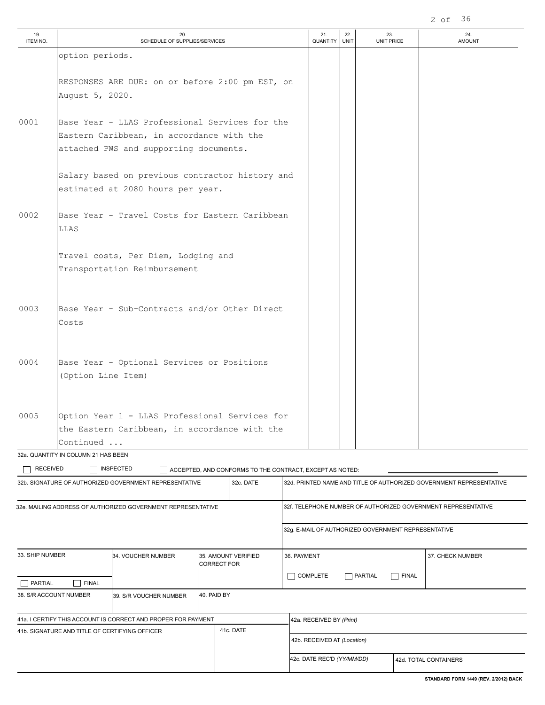| 19.<br>ITEM NO. | 20.<br>SCHEDULE OF SUPPLIES/SERVICES             | 21.<br>QUANTITY | 22.<br><b>UNIT</b> | 23.<br>UNIT PRICE | 24.<br><b>AMOUNT</b> |
|-----------------|--------------------------------------------------|-----------------|--------------------|-------------------|----------------------|
|                 | option periods.                                  |                 |                    |                   |                      |
|                 |                                                  |                 |                    |                   |                      |
|                 | RESPONSES ARE DUE: on or before 2:00 pm EST, on  |                 |                    |                   |                      |
|                 | August 5, 2020.                                  |                 |                    |                   |                      |
|                 |                                                  |                 |                    |                   |                      |
| 0001            | Base Year - LLAS Professional Services for the   |                 |                    |                   |                      |
|                 | Eastern Caribbean, in accordance with the        |                 |                    |                   |                      |
|                 | attached PWS and supporting documents.           |                 |                    |                   |                      |
|                 |                                                  |                 |                    |                   |                      |
|                 | Salary based on previous contractor history and  |                 |                    |                   |                      |
|                 | estimated at 2080 hours per year.                |                 |                    |                   |                      |
| 0002            | Base Year - Travel Costs for Eastern Caribbean   |                 |                    |                   |                      |
|                 | LLAS                                             |                 |                    |                   |                      |
|                 |                                                  |                 |                    |                   |                      |
|                 | Travel costs, Per Diem, Lodging and              |                 |                    |                   |                      |
|                 | Transportation Reimbursement                     |                 |                    |                   |                      |
|                 |                                                  |                 |                    |                   |                      |
|                 |                                                  |                 |                    |                   |                      |
| 0003            | Base Year - Sub-Contracts and/or Other Direct    |                 |                    |                   |                      |
|                 | Costs                                            |                 |                    |                   |                      |
|                 |                                                  |                 |                    |                   |                      |
|                 |                                                  |                 |                    |                   |                      |
| 0004            | Base Year - Optional Services or Positions       |                 |                    |                   |                      |
|                 | (Option Line Item)                               |                 |                    |                   |                      |
|                 |                                                  |                 |                    |                   |                      |
|                 |                                                  |                 |                    |                   |                      |
| 0005            | Option Year 1 - LLAS Professional Services for   |                 |                    |                   |                      |
|                 | the Eastern Caribbean, in accordance with the    |                 |                    |                   |                      |
|                 | Continued<br>32a. QUANTITY IN COLUMN 21 HAS BEEN |                 |                    |                   |                      |

 $\Box$  ACCEPTED, AND CONFORMS TO THE CONTRACT, EXCEPT AS NOTED:  $\Box$  RECEIVED  $\Box$  INSPECTED

| 32b. SIGNATURE OF AUTHORIZED GOVERNMENT REPRESENTATIVE       |                                                               | 32d. PRINTED NAME AND TITLE OF AUTHORIZED GOVERNMENT REPRESENTATIVE |                             |  |                                                               |                                                     |  |                       |  |
|--------------------------------------------------------------|---------------------------------------------------------------|---------------------------------------------------------------------|-----------------------------|--|---------------------------------------------------------------|-----------------------------------------------------|--|-----------------------|--|
| 32e. MAILING ADDRESS OF AUTHORIZED GOVERNMENT REPRESENTATIVE |                                                               |                                                                     |                             |  | 32f. TELEPHONE NUMBER OF AUTHORIZED GOVERNMENT REPRESENTATIVE |                                                     |  |                       |  |
|                                                              |                                                               |                                                                     |                             |  |                                                               | 32g. E-MAIL OF AUTHORIZED GOVERNMENT REPRESENTATIVE |  |                       |  |
| 33. SHIP NUMBER<br><b>FINAL</b><br>PARTIAL                   | 34. VOUCHER NUMBER                                            | 35. AMOUNT VERIFIED<br><b>CORRECT FOR</b>                           |                             |  | 36. PAYMENT<br>COMPLETE                                       | <b>FINAL</b><br>PARTIAL                             |  | 37. CHECK NUMBER      |  |
| 38. S/R ACCOUNT NUMBER                                       | 39. S/R VOUCHER NUMBER                                        | 40. PAID BY                                                         |                             |  |                                                               |                                                     |  |                       |  |
|                                                              | 41a. I CERTIFY THIS ACCOUNT IS CORRECT AND PROPER FOR PAYMENT |                                                                     |                             |  | 42a. RECEIVED BY (Print)                                      |                                                     |  |                       |  |
| 41b. SIGNATURE AND TITLE OF CERTIFYING OFFICER               | 41c. DATE                                                     |                                                                     | 42b. RECEIVED AT (Location) |  |                                                               |                                                     |  |                       |  |
|                                                              |                                                               |                                                                     |                             |  | 42c. DATE REC'D (YY/MM/DD)                                    |                                                     |  | 42d. TOTAL CONTAINERS |  |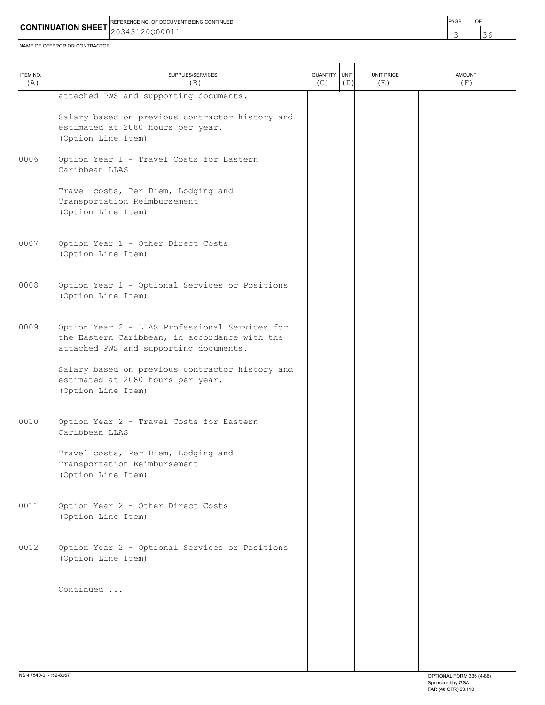| <b>SHEFT</b><br><b>CON</b> | <b>PAGE</b><br>. OF DOCUMENT BEING CONTINUED<br>FERENCE NO. OF |  | $\sim$ $-$<br>Ur |
|----------------------------|----------------------------------------------------------------|--|------------------|
| TINITA<br>FION.            | ILUUU!<br>----                                                 |  |                  |
|                            |                                                                |  |                  |

NAME OF OFFEROR OR CONTRACTOR

| ITEM NO.<br>(A) | SUPPLIES/SERVICES<br>(B)                                                                                                                                                                                                                                | QUANTITY<br>(C) | UNIT<br>(D) | UNIT PRICE<br>(E) | <b>AMOUNT</b><br>(F) |
|-----------------|---------------------------------------------------------------------------------------------------------------------------------------------------------------------------------------------------------------------------------------------------------|-----------------|-------------|-------------------|----------------------|
|                 | attached PWS and supporting documents.<br>Salary based on previous contractor history and<br>estimated at 2080 hours per year.<br>(Option Line Item)                                                                                                    |                 |             |                   |                      |
| 0006            | Option Year 1 - Travel Costs for Eastern<br>Caribbean LLAS<br>Travel costs, Per Diem, Lodging and<br>Transportation Reimbursement<br>(Option Line Item)                                                                                                 |                 |             |                   |                      |
| 0007            | Option Year 1 - Other Direct Costs<br>(Option Line Item)                                                                                                                                                                                                |                 |             |                   |                      |
| 0008            | Option Year 1 - Optional Services or Positions<br>(Option Line Item)                                                                                                                                                                                    |                 |             |                   |                      |
| 0009            | Option Year 2 - LLAS Professional Services for<br>the Eastern Caribbean, in accordance with the<br>attached PWS and supporting documents.<br>Salary based on previous contractor history and<br>estimated at 2080 hours per year.<br>(Option Line Item) |                 |             |                   |                      |
| 0010            | Option Year 2 - Travel Costs for Eastern<br>Caribbean LLAS<br>Travel costs, Per Diem, Lodging and<br>Transportation Reimbursement<br>(Option Line Item)                                                                                                 |                 |             |                   |                      |
| 0011            | Option Year 2 - Other Direct Costs<br>(Option Line Item)                                                                                                                                                                                                |                 |             |                   |                      |
| 0012            | Option Year 2 - Optional Services or Positions<br>(Option Line Item)                                                                                                                                                                                    |                 |             |                   |                      |
|                 | Continued                                                                                                                                                                                                                                               |                 |             |                   |                      |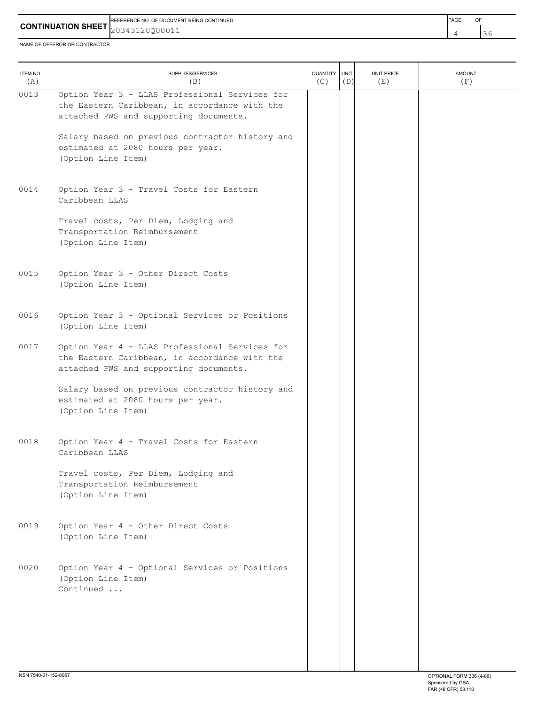|                           | REFERENCE NO. OF DOCUMENT BEING CONTINUED |  | $\sim$                   |
|---------------------------|-------------------------------------------|--|--------------------------|
| <b>CONTINUATION SHEET</b> | , ユリエム いしいし エエ                            |  | $\overline{\phantom{0}}$ |
|                           |                                           |  |                          |

NAME OF OFFEROR OR CONTRACTOR

| ITEM NO.<br>(A) | SUPPLIES/SERVICES<br>(B)                                                                                                                  | QUANTITY UNIT<br>(C) | (D) | UNIT PRICE<br>(E) | <b>AMOUNT</b><br>(F) |
|-----------------|-------------------------------------------------------------------------------------------------------------------------------------------|----------------------|-----|-------------------|----------------------|
| 0013            | Option Year 3 - LLAS Professional Services for<br>the Eastern Caribbean, in accordance with the<br>attached PWS and supporting documents. |                      |     |                   |                      |
|                 | Salary based on previous contractor history and<br>estimated at 2080 hours per year.<br>(Option Line Item)                                |                      |     |                   |                      |
| 0014            | Option Year 3 - Travel Costs for Eastern<br>Caribbean LLAS                                                                                |                      |     |                   |                      |
|                 | Travel costs, Per Diem, Lodging and<br>Transportation Reimbursement<br>(Option Line Item)                                                 |                      |     |                   |                      |
| 0015            | Option Year 3 - Other Direct Costs<br>(Option Line Item)                                                                                  |                      |     |                   |                      |
| 0016            | Option Year 3 - Optional Services or Positions<br>(Option Line Item)                                                                      |                      |     |                   |                      |
| 0017            | Option Year 4 - LLAS Professional Services for<br>the Eastern Caribbean, in accordance with the<br>attached PWS and supporting documents. |                      |     |                   |                      |
|                 | Salary based on previous contractor history and<br>estimated at 2080 hours per year.<br>(Option Line Item)                                |                      |     |                   |                      |
| 0018            | Option Year 4 - Travel Costs for Eastern<br>Caribbean LLAS                                                                                |                      |     |                   |                      |
|                 | Travel costs, Per Diem, Lodging and<br>Transportation Reimbursement<br>(Option Line Item)                                                 |                      |     |                   |                      |
| 0019            | Option Year 4 - Other Direct Costs<br>(Option Line Item)                                                                                  |                      |     |                   |                      |
| 0020            | Option Year 4 - Optional Services or Positions<br>(Option Line Item)<br>Continued                                                         |                      |     |                   |                      |
|                 |                                                                                                                                           |                      |     |                   |                      |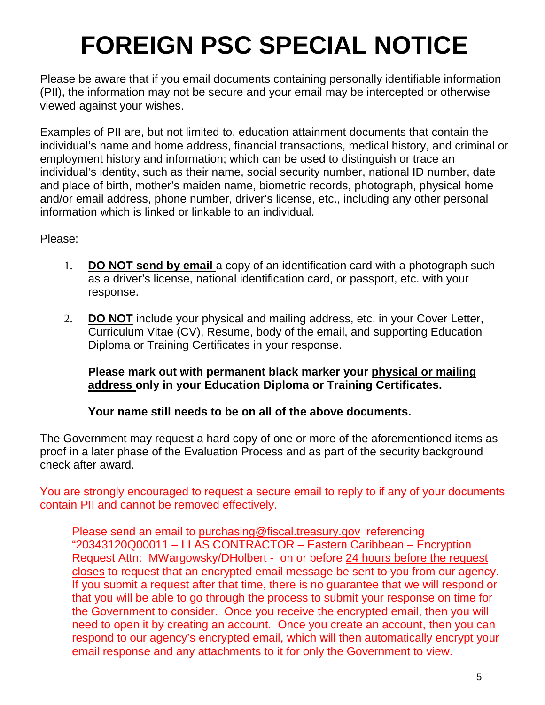# **FOREIGN PSC SPECIAL NOTICE**

Please be aware that if you email documents containing personally identifiable information (PII), the information may not be secure and your email may be intercepted or otherwise viewed against your wishes.

Examples of PII are, but not limited to, education attainment documents that contain the individual's name and home address, financial transactions, medical history, and criminal or employment history and information; which can be used to distinguish or trace an individual's identity, such as their name, social security number, national ID number, date and place of birth, mother's maiden name, biometric records, photograph, physical home and/or email address, phone number, driver's license, etc., including any other personal information which is linked or linkable to an individual.

Please:

- 1. **DO NOT send by email** a copy of an identification card with a photograph such as a driver's license, national identification card, or passport, etc. with your response.
- 2. **DO NOT** include your physical and mailing address, etc. in your Cover Letter, Curriculum Vitae (CV), Resume, body of the email, and supporting Education Diploma or Training Certificates in your response.

**Please mark out with permanent black marker your physical or mailing address only in your Education Diploma or Training Certificates.**

**Your name still needs to be on all of the above documents.**

The Government may request a hard copy of one or more of the aforementioned items as proof in a later phase of the Evaluation Process and as part of the security background check after award.

You are strongly encouraged to request a secure email to reply to if any of your documents contain PII and cannot be removed effectively.

Please send an email to [purchasing@fiscal.treasury.gov](mailto:purchasing@fiscal.treasury.gov) referencing "20343120Q00011 – LLAS CONTRACTOR – Eastern Caribbean – Encryption Request Attn: MWargowsky/DHolbert - on or before 24 hours before the request closes to request that an encrypted email message be sent to you from our agency. If you submit a request after that time, there is no guarantee that we will respond or that you will be able to go through the process to submit your response on time for the Government to consider. Once you receive the encrypted email, then you will need to open it by creating an account. Once you create an account, then you can respond to our agency's encrypted email, which will then automatically encrypt your email response and any attachments to it for only the Government to view.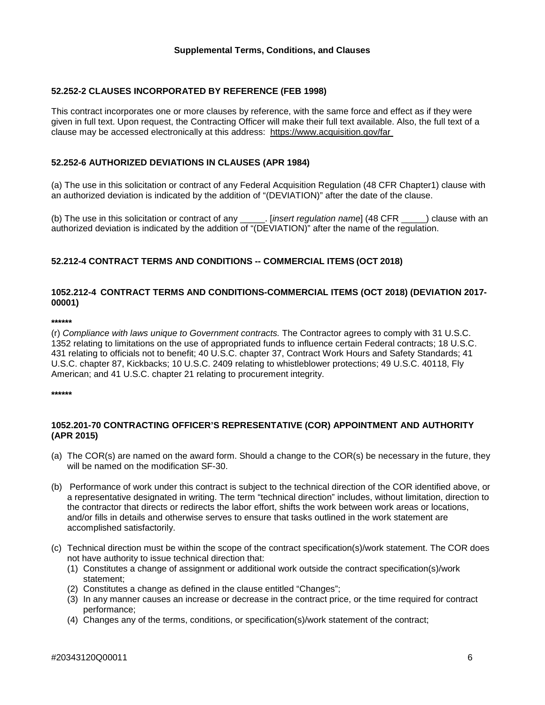#### **Supplemental Terms, Conditions, and Clauses**

#### **52.252-2 CLAUSES INCORPORATED BY REFERENCE (FEB 1998)**

This contract incorporates one or more clauses by reference, with the same force and effect as if they were given in full text. Upon request, the Contracting Officer will make their full text available. Also, the full text of a clause may be accessed electronically at this address: <https://www.acquisition.gov/far>

# **52.252-6 AUTHORIZED DEVIATIONS IN CLAUSES (APR 1984)**

(a) The use in this solicitation or contract of any Federal Acquisition Regulation (48 CFR Chapter1) clause with an authorized deviation is indicated by the addition of "(DEVIATION)" after the date of the clause.

(b) The use in this solicitation or contract of any \_\_\_\_\_. [*insert regulation name*] (48 CFR \_\_\_\_\_) clause with an authorized deviation is indicated by the addition of "(DEVIATION)" after the name of the regulation.

# **52.212-4 CONTRACT TERMS AND CONDITIONS -- COMMERCIAL ITEMS (OCT 2018)**

# **1052.212-4 CONTRACT TERMS AND CONDITIONS-COMMERCIAL ITEMS (OCT 2018) (DEVIATION 2017- 00001)**

**\*\*\*\*\*\***

(r) *Compliance with laws unique to Government contracts.* The Contractor agrees to comply with 31 U.S.C. 1352 relating to limitations on the use of appropriated funds to influence certain Federal contracts; 18 U.S.C. 431 relating to officials not to benefit; 40 U.S.C. chapter 37, Contract Work Hours and Safety Standards; 41 U.S.C. chapter 87, Kickbacks; 10 U.S.C. 2409 relating to whistleblower protections; 49 U.S.C. 40118, Fly American; and 41 U.S.C. chapter 21 relating to procurement integrity.

**\*\*\*\*\*\***

# **1052.201-70 CONTRACTING OFFICER'S REPRESENTATIVE (COR) APPOINTMENT AND AUTHORITY (APR 2015)**

- (a) The COR(s) are named on the award form. Should a change to the COR(s) be necessary in the future, they will be named on the modification SF-30.
- (b) Performance of work under this contract is subject to the technical direction of the COR identified above, or a representative designated in writing. The term "technical direction" includes, without limitation, direction to the contractor that directs or redirects the labor effort, shifts the work between work areas or locations, and/or fills in details and otherwise serves to ensure that tasks outlined in the work statement are accomplished satisfactorily.
- (c) Technical direction must be within the scope of the contract specification(s)/work statement. The COR does not have authority to issue technical direction that:
	- (1) Constitutes a change of assignment or additional work outside the contract specification(s)/work statement;
	- (2) Constitutes a change as defined in the clause entitled "Changes";
	- (3) In any manner causes an increase or decrease in the contract price, or the time required for contract performance;
	- (4) Changes any of the terms, conditions, or specification(s)/work statement of the contract;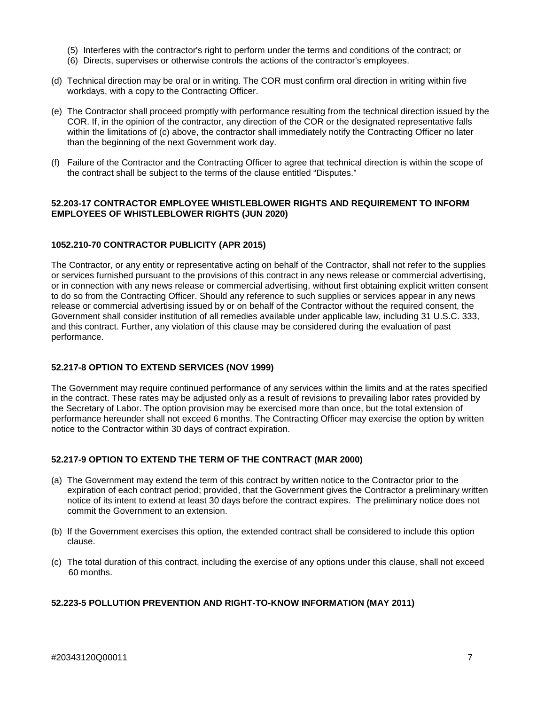- (5) Interferes with the contractor's right to perform under the terms and conditions of the contract; or
- (6) Directs, supervises or otherwise controls the actions of the contractor's employees.
- (d) Technical direction may be oral or in writing. The COR must confirm oral direction in writing within five workdays, with a copy to the Contracting Officer.
- (e) The Contractor shall proceed promptly with performance resulting from the technical direction issued by the COR. If, in the opinion of the contractor, any direction of the COR or the designated representative falls within the limitations of (c) above, the contractor shall immediately notify the Contracting Officer no later than the beginning of the next Government work day.
- (f) Failure of the Contractor and the Contracting Officer to agree that technical direction is within the scope of the contract shall be subject to the terms of the clause entitled "Disputes."

# **52.203-17 CONTRACTOR EMPLOYEE WHISTLEBLOWER RIGHTS AND REQUIREMENT TO INFORM EMPLOYEES OF WHISTLEBLOWER RIGHTS (JUN 2020)**

# **1052.210-70 CONTRACTOR PUBLICITY (APR 2015)**

The Contractor, or any entity or representative acting on behalf of the Contractor, shall not refer to the supplies or services furnished pursuant to the provisions of this contract in any news release or commercial advertising, or in connection with any news release or commercial advertising, without first obtaining explicit written consent to do so from the Contracting Officer. Should any reference to such supplies or services appear in any news release or commercial advertising issued by or on behalf of the Contractor without the required consent, the Government shall consider institution of all remedies available under applicable law, including 31 U.S.C. 333, and this contract. Further, any violation of this clause may be considered during the evaluation of past performance.

#### **52.217-8 OPTION TO EXTEND SERVICES (NOV 1999)**

The Government may require continued performance of any services within the limits and at the rates specified in the contract. These rates may be adjusted only as a result of revisions to prevailing labor rates provided by the Secretary of Labor. The option provision may be exercised more than once, but the total extension of performance hereunder shall not exceed 6 months. The Contracting Officer may exercise the option by written notice to the Contractor within 30 days of contract expiration.

# **52.217-9 OPTION TO EXTEND THE TERM OF THE CONTRACT (MAR 2000)**

- (a) The Government may extend the term of this contract by written notice to the Contractor prior to the expiration of each contract period; provided, that the Government gives the Contractor a preliminary written notice of its intent to extend at least 30 days before the contract expires. The preliminary notice does not commit the Government to an extension.
- (b) If the Government exercises this option, the extended contract shall be considered to include this option clause.
- (c) The total duration of this contract, including the exercise of any options under this clause, shall not exceed 60 months.

#### **52.223-5 POLLUTION PREVENTION AND RIGHT-TO-KNOW INFORMATION (MAY 2011)**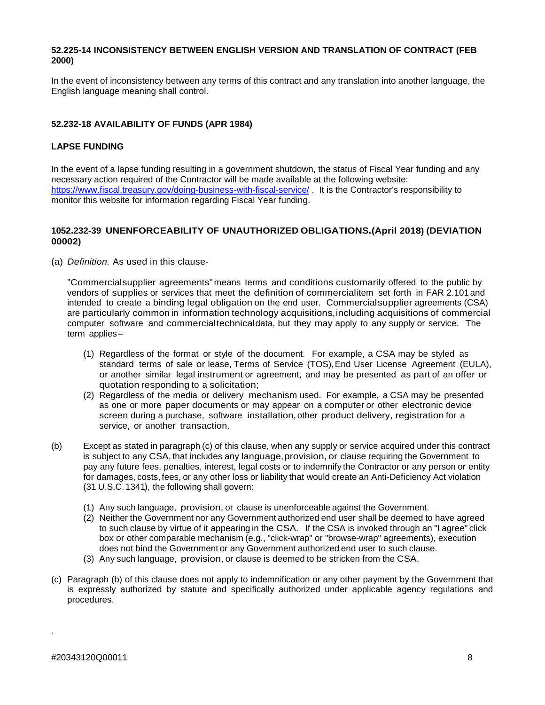#### **52.225-14 INCONSISTENCY BETWEEN ENGLISH VERSION AND TRANSLATION OF CONTRACT (FEB 2000)**

In the event of inconsistency between any terms of this contract and any translation into another language, the English language meaning shall control.

#### **52.232-18 AVAILABILITY OF FUNDS (APR 1984)**

# **LAPSE FUNDING**

In the event of a lapse funding resulting in a government shutdown, the status of Fiscal Year funding and any necessary action required of the Contractor will be made available at the following website: <https://www.fiscal.treasury.gov/doing-business-with-fiscal-service/> . It is the Contractor's responsibility to monitor this website for information regarding Fiscal Year funding.

#### **1052.232-39 UNENFORCEABILITY OF UNAUTHORIZED OBLIGATIONS.(April 2018) (DEVIATION 00002)**

(a) *Definition.* As used in this clause-

"Commercialsupplier agreements" means terms and conditions customarily offered to the public by vendors of supplies or services that meet the definition of commercialitem set forth in FAR 2.101 and intended to create a binding legal obligation on the end user. Commercialsupplier agreements (CSA) are particularly common in information technology acquisitions,including acquisitions of commercial computer software and commercialtechnicaldata, but they may apply to any supply or service. The term applies-

- (1) Regardless of the format or style of the document. For example, a CSA may be styled as standard terms of sale or lease, Terms of Service (TOS), End User License Agreement (EULA), or another similar legal instrument or agreement, and may be presented as part of an offer or quotation responding to a solicitation;
- (2) Regardless of the media or delivery mechanism used. For example, a CSA may be presented as one or more paper documents or may appear on a computer or other electronic device screen during a purchase, software installation, other product delivery, registration for a service, or another transaction.
- (b) Except as stated in paragraph (c) of this clause, when any supply or service acquired under this contract is subject to any CSA, that includes any language, provision, or clause requiring the Government to pay any future fees, penalties, interest, legal costs or to indemnify the Contractor or any person or entity for damages, costs, fees, or any other loss or liability that would create an Anti-Deficiency Act violation (31 U.S.C.1341), the following shall govern:
	- (1) Any such language, provision, or clause is unenforceable against the Government.
	- (2) Neither the Government nor any Government authorized end user shall be deemed to have agreed to such clause by virtue of it appearing in the CSA. If the CSA is invoked through an "I agree" click box or other comparable mechanism (e.g., "click-wrap" or "browse-wrap" agreements), execution does not bind the Government or any Government authorized end user to such clause.
	- (3) Any such language, provision, or clause is deemed to be stricken from the CSA.
- (c) Paragraph (b) of this clause does not apply to indemnification or any other payment by the Government that is expressly authorized by statute and specifically authorized under applicable agency regulations and procedures.

.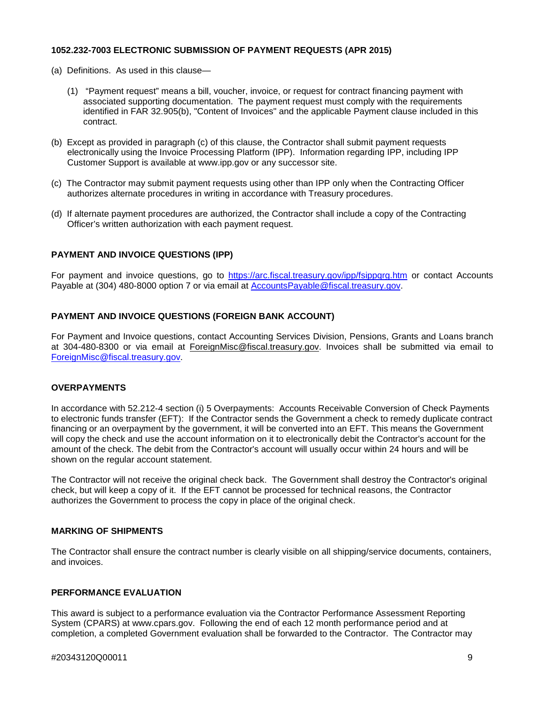# **1052.232-7003 ELECTRONIC SUBMISSION OF PAYMENT REQUESTS (APR 2015)**

- (a) Definitions. As used in this clause—
	- (1) "Payment request" means a bill, voucher, invoice, or request for contract financing payment with associated supporting documentation. The payment request must comply with the requirements identified in FAR 32.905(b), "Content of Invoices" and the applicable Payment clause included in this contract.
- (b) Except as provided in paragraph (c) of this clause, the Contractor shall submit payment requests electronically using the Invoice Processing Platform (IPP). Information regarding IPP, including IPP Customer Support is available at [www.ipp.gov](http://www.ipp.gov/) or any successor site.
- (c) The Contractor may submit payment requests using other than IPP only when the Contracting Officer authorizes alternate procedures in writing in accordance with Treasury procedures.
- (d) If alternate payment procedures are authorized, the Contractor shall include a copy of the Contracting Officer's written authorization with each payment request.

# **PAYMENT AND INVOICE QUESTIONS (IPP)**

For payment and invoice questions, go to <https://arc.fiscal.treasury.gov/ipp/fsippqrg.htm> or contact Accounts Payable at (304) 480-8000 option 7 or via email at [AccountsPayable@fiscal.treasury.gov.](mailto:AccountsPayable@fiscal.treasury.gov)

# **PAYMENT AND INVOICE QUESTIONS (FOREIGN BANK ACCOUNT)**

For Payment and Invoice questions, contact Accounting Services Division, Pensions, Grants and Loans branch at 304-480-8300 or via email at [ForeignMisc@fiscal.treasury.gov.](mailto:ForeignMisc@fiscal.treasury.gov) Invoices shall be submitted via email to [ForeignMisc@fiscal.treasury.gov.](mailto:ForeignMisc@fiscal.treasury.gov)

# **OVERPAYMENTS**

In accordance with 52.212-4 section (i) 5 Overpayments: Accounts Receivable Conversion of Check Payments to electronic funds transfer (EFT): If the Contractor sends the Government a check to remedy duplicate contract financing or an overpayment by the government, it will be converted into an EFT. This means the Government will copy the check and use the account information on it to electronically debit the Contractor's account for the amount of the check. The debit from the Contractor's account will usually occur within 24 hours and will be shown on the regular account statement.

The Contractor will not receive the original check back. The Government shall destroy the Contractor's original check, but will keep a copy of it. If the EFT cannot be processed for technical reasons, the Contractor authorizes the Government to process the copy in place of the original check.

# **MARKING OF SHIPMENTS**

The Contractor shall ensure the contract number is clearly visible on all shipping/service documents, containers, and invoices.

# **PERFORMANCE EVALUATION**

This award is subject to a performance evaluation via the Contractor Performance Assessment Reporting System (CPARS) at www.cpars.gov. Following the end of each 12 month performance period and at completion, a completed Government evaluation shall be forwarded to the Contractor. The Contractor may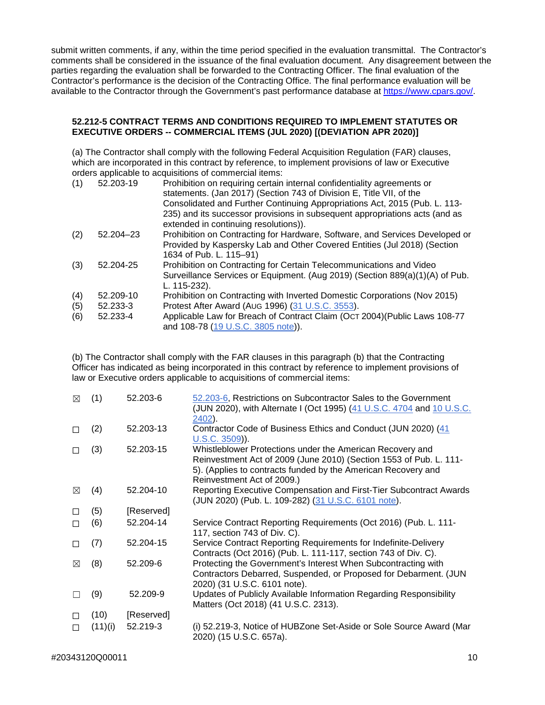submit written comments, if any, within the time period specified in the evaluation transmittal. The Contractor's comments shall be considered in the issuance of the final evaluation document. Any disagreement between the parties regarding the evaluation shall be forwarded to the Contracting Officer. The final evaluation of the Contractor's performance is the decision of the Contracting Office. The final performance evaluation will be available to the Contractor through the Government's past performance database at [https://www.cpars.gov/.](https://www.cpars.gov/)

#### **52.212-5 CONTRACT TERMS AND CONDITIONS REQUIRED TO IMPLEMENT STATUTES OR EXECUTIVE ORDERS -- COMMERCIAL ITEMS (JUL 2020) [(DEVIATION APR 2020)]**

(a) The Contractor shall comply with the following Federal Acquisition Regulation (FAR) clauses, which are incorporated in this contract by reference, to implement provisions of law or Executive orders applicable to acquisitions of commercial items:

| (1) | 52.203-19 | Prohibition on requiring certain internal confidentiality agreements or<br>statements. (Jan 2017) (Section 743 of Division E, Title VII, of the |
|-----|-----------|-------------------------------------------------------------------------------------------------------------------------------------------------|
|     |           | Consolidated and Further Continuing Appropriations Act, 2015 (Pub. L. 113-                                                                      |
|     |           | 235) and its successor provisions in subsequent appropriations acts (and as<br>extended in continuing resolutions)).                            |
| (2) | 52.204-23 | Prohibition on Contracting for Hardware, Software, and Services Developed or                                                                    |
|     |           | Provided by Kaspersky Lab and Other Covered Entities (Jul 2018) (Section                                                                        |
|     |           | 1634 of Pub. L. 115-91)                                                                                                                         |
| (3) | 52.204-25 | Prohibition on Contracting for Certain Telecommunications and Video                                                                             |
|     |           | Surveillance Services or Equipment. (Aug 2019) (Section 889(a)(1)(A) of Pub.                                                                    |
|     |           | L. 115-232).                                                                                                                                    |
| (4) | 52.209-10 | Prohibition on Contracting with Inverted Domestic Corporations (Nov 2015)                                                                       |
| (5) | 52.233-3  | Protest After Award (Aug 1996) (31 U.S.C. 3553).                                                                                                |
| (6) | 52.233-4  | Applicable Law for Breach of Contract Claim (OCT 2004)(Public Laws 108-77                                                                       |
|     |           | and 108-78 (19 U.S.C. 3805 note)).                                                                                                              |

(b) The Contractor shall comply with the FAR clauses in this paragraph (b) that the Contracting Officer has indicated as being incorporated in this contract by reference to implement provisions of law or Executive orders applicable to acquisitions of commercial items:

| ⊠ | (1)     | 52.203-6   | 52.203-6, Restrictions on Subcontractor Sales to the Government<br>(JUN 2020), with Alternate I (Oct 1995) (41 U.S.C. 4704 and 10 U.S.C.<br>2402).                                                                             |
|---|---------|------------|--------------------------------------------------------------------------------------------------------------------------------------------------------------------------------------------------------------------------------|
| П | (2)     | 52.203-13  | Contractor Code of Business Ethics and Conduct (JUN 2020) (41<br>$U.S.C. 3509)$ ).                                                                                                                                             |
| П | (3)     | 52.203-15  | Whistleblower Protections under the American Recovery and<br>Reinvestment Act of 2009 (June 2010) (Section 1553 of Pub. L. 111-<br>5). (Applies to contracts funded by the American Recovery and<br>Reinvestment Act of 2009.) |
| ⊠ | (4)     | 52.204-10  | Reporting Executive Compensation and First-Tier Subcontract Awards<br>(JUN 2020) (Pub. L. 109-282) (31 U.S.C. 6101 note).                                                                                                      |
| П | (5)     | [Reserved] |                                                                                                                                                                                                                                |
| П | (6)     | 52.204-14  | Service Contract Reporting Requirements (Oct 2016) (Pub. L. 111-<br>117, section 743 of Div. C).                                                                                                                               |
| П | (7)     | 52.204-15  | Service Contract Reporting Requirements for Indefinite-Delivery<br>Contracts (Oct 2016) (Pub. L. 111-117, section 743 of Div. C).                                                                                              |
| ⊠ | (8)     | 52.209-6   | Protecting the Government's Interest When Subcontracting with<br>Contractors Debarred, Suspended, or Proposed for Debarment. (JUN<br>2020) (31 U.S.C. 6101 note).                                                              |
|   | (9)     | 52.209-9   | Updates of Publicly Available Information Regarding Responsibility<br>Matters (Oct 2018) (41 U.S.C. 2313).                                                                                                                     |
| □ | (10)    | [Reserved] |                                                                                                                                                                                                                                |
| П | (11)(i) | 52.219-3   | (i) 52.219-3, Notice of HUBZone Set-Aside or Sole Source Award (Mar<br>2020) (15 U.S.C. 657a).                                                                                                                                 |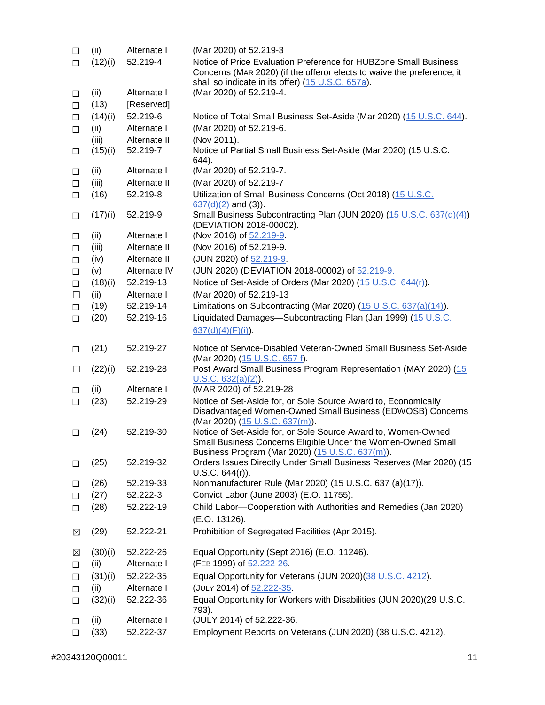| $\Box$           | (ii)             | Alternate I                 | (Mar 2020) of 52.219-3                                                                                                       |
|------------------|------------------|-----------------------------|------------------------------------------------------------------------------------------------------------------------------|
| $\Box$           | (12)(i)          | 52.219-4                    | Notice of Price Evaluation Preference for HUBZone Small Business                                                             |
|                  |                  |                             | Concerns (MAR 2020) (if the offeror elects to waive the preference, it                                                       |
|                  |                  | Alternate I                 | shall so indicate in its offer) (15 U.S.C. 657a).                                                                            |
| $\Box$           | (ii)             |                             | (Mar 2020) of 52.219-4.                                                                                                      |
| $\Box$           | (13)             | [Reserved]                  |                                                                                                                              |
| $\Box$           | (14)(i)          | 52.219-6                    | Notice of Total Small Business Set-Aside (Mar 2020) (15 U.S.C. 644).                                                         |
| $\Box$           | (ii)             | Alternate I<br>Alternate II | (Mar 2020) of 52.219-6.<br>(Nov 2011).                                                                                       |
|                  | (iii)<br>(15)(i) | 52.219-7                    | Notice of Partial Small Business Set-Aside (Mar 2020) (15 U.S.C.                                                             |
| $\Box$           |                  |                             | 644).                                                                                                                        |
| $\Box$           | (ii)             | Alternate I                 | (Mar 2020) of 52.219-7.                                                                                                      |
| $\Box$           | (iii)            | Alternate II                | (Mar 2020) of 52.219-7                                                                                                       |
| $\Box$           | (16)             | 52.219-8                    | Utilization of Small Business Concerns (Oct 2018) (15 U.S.C.<br>$637(d)(2)$ and (3)).                                        |
| $\Box$           | (17)(i)          | 52.219-9                    | Small Business Subcontracting Plan (JUN 2020) (15 U.S.C. 637(d)(4))<br>(DEVIATION 2018-00002).                               |
| $\Box$           | (ii)             | Alternate I                 | (Nov 2016) of 52.219-9                                                                                                       |
| $\Box$           | (iii)            | Alternate II                | (Nov 2016) of 52.219-9.                                                                                                      |
| $\Box$           | (iv)             | Alternate III               | (JUN 2020) of 52.219-9.                                                                                                      |
| $\Box$           | (v)              | Alternate IV                | (JUN 2020) (DEVIATION 2018-00002) of 52.219-9.                                                                               |
| $\Box$           | (18)(i)          | 52.219-13                   | Notice of Set-Aside of Orders (Mar 2020) (15 U.S.C. 644(r)).                                                                 |
| $\Box$           | (ii)             | Alternate I                 | (Mar 2020) of 52.219-13                                                                                                      |
| $\Box$           | (19)             | 52.219-14                   | Limitations on Subcontracting (Mar 2020) (15 U.S.C. 637(a)(14)).                                                             |
| □                | (20)             | 52.219-16                   | Liquidated Damages-Subcontracting Plan (Jan 1999) (15 U.S.C.                                                                 |
|                  |                  |                             | $637(d)(4)(F)(i)$ .                                                                                                          |
| $\Box$           | (21)             | 52.219-27                   | Notice of Service-Disabled Veteran-Owned Small Business Set-Aside                                                            |
|                  |                  |                             | (Mar 2020) (15 U.S.C. 657 f).<br>Post Award Small Business Program Representation (MAY 2020) (15                             |
| $\Box$           | (22)(i)          | 52.219-28                   | U.S.C. 632(a)(2)                                                                                                             |
|                  |                  |                             |                                                                                                                              |
|                  |                  |                             |                                                                                                                              |
| $\Box$           | (ii)             | Alternate I                 | (MAR 2020) of 52.219-28                                                                                                      |
| $\Box$           | (23)             | 52.219-29                   | Notice of Set-Aside for, or Sole Source Award to, Economically<br>Disadvantaged Women-Owned Small Business (EDWOSB) Concerns |
| □                | (24)             | 52.219-30                   | (Mar 2020) (15 U.S.C. 637(m)).<br>Notice of Set-Aside for, or Sole Source Award to, Women-Owned                              |
|                  |                  |                             | Small Business Concerns Eligible Under the Women-Owned Small                                                                 |
|                  |                  |                             | Business Program (Mar 2020) (15 U.S.C. 637(m)).                                                                              |
| □                | (25)             | 52.219-32                   | Orders Issues Directly Under Small Business Reserves (Mar 2020) (15                                                          |
|                  |                  |                             | $U.S.C. 644(r)$ ).                                                                                                           |
| $\Box$           | (26)             | 52.219-33                   | Nonmanufacturer Rule (Mar 2020) (15 U.S.C. 637 (a)(17)).                                                                     |
| $\Box$           | (27)             | 52.222-3                    | Convict Labor (June 2003) (E.O. 11755).                                                                                      |
| □                | (28)             | 52.222-19                   | Child Labor-Cooperation with Authorities and Remedies (Jan 2020)<br>(E.O. 13126).                                            |
| ⊠                | (29)             | 52.222-21                   | Prohibition of Segregated Facilities (Apr 2015).                                                                             |
|                  |                  | 52.222-26                   |                                                                                                                              |
| ⊠                | (30)(i)          | Alternate I                 | Equal Opportunity (Sept 2016) (E.O. 11246).                                                                                  |
| ப                | (ii)             | 52.222-35                   | (FEB 1999) of 52.222-26                                                                                                      |
| □<br>□           | (31)(i)<br>(ii)  | Alternate I                 | Equal Opportunity for Veterans (JUN 2020)(38 U.S.C. 4212).<br>(JULY 2014) of 52.222-35.                                      |
| $\Box$           | (32)(i)          | 52.222-36                   | Equal Opportunity for Workers with Disabilities (JUN 2020)(29 U.S.C.                                                         |
|                  | (ii)             | Alternate I                 | 793).<br>(JULY 2014) of 52.222-36.                                                                                           |
| $\Box$<br>$\Box$ | (33)             | 52.222-37                   | Employment Reports on Veterans (JUN 2020) (38 U.S.C. 4212).                                                                  |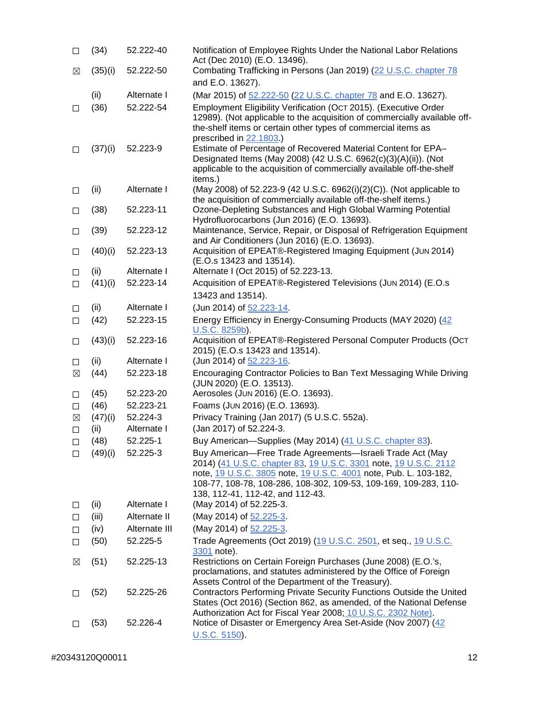| □           | (34)    | 52.222-40     | Notification of Employee Rights Under the National Labor Relations<br>Act (Dec 2010) (E.O. 13496).                                                                                                                                                                                                        |
|-------------|---------|---------------|-----------------------------------------------------------------------------------------------------------------------------------------------------------------------------------------------------------------------------------------------------------------------------------------------------------|
| ⊠           | (35)(i) | 52.222-50     | Combating Trafficking in Persons (Jan 2019) (22 U.S.C. chapter 78                                                                                                                                                                                                                                         |
|             |         |               | and E.O. 13627).                                                                                                                                                                                                                                                                                          |
|             |         |               |                                                                                                                                                                                                                                                                                                           |
|             | (ii)    | Alternate I   | (Mar 2015) of 52.222-50 (22 U.S.C. chapter 78 and E.O. 13627).                                                                                                                                                                                                                                            |
| □           | (36)    | 52.222-54     | Employment Eligibility Verification (OCT 2015). (Executive Order<br>12989). (Not applicable to the acquisition of commercially available off-<br>the-shelf items or certain other types of commercial items as<br>prescribed in 22.1803.)                                                                 |
| □           | (37)(i) | 52.223-9      | Estimate of Percentage of Recovered Material Content for EPA-<br>Designated Items (May 2008) (42 U.S.C. 6962(c)(3)(A)(ii)). (Not<br>applicable to the acquisition of commercially available off-the-shelf<br>items.)                                                                                      |
| □           | (ii)    | Alternate I   | (May 2008) of 52.223-9 (42 U.S.C. 6962(i)(2)(C)). (Not applicable to<br>the acquisition of commercially available off-the-shelf items.)                                                                                                                                                                   |
| $\Box$      | (38)    | 52.223-11     | Ozone-Depleting Substances and High Global Warming Potential<br>Hydrofluorocarbons (Jun 2016) (E.O. 13693).                                                                                                                                                                                               |
| $\Box$      | (39)    | 52.223-12     | Maintenance, Service, Repair, or Disposal of Refrigeration Equipment<br>and Air Conditioners (Jun 2016) (E.O. 13693).                                                                                                                                                                                     |
| $\Box$      | (40)(i) | 52.223-13     | Acquisition of EPEAT®-Registered Imaging Equipment (JUN 2014)<br>(E.O.s 13423 and 13514).                                                                                                                                                                                                                 |
| $\Box$      | (ii)    | Alternate I   | Alternate I (Oct 2015) of 52.223-13.                                                                                                                                                                                                                                                                      |
| $\Box$      | (41)(i) | 52.223-14     | Acquisition of EPEAT®-Registered Televisions (JUN 2014) (E.O.s<br>13423 and 13514).                                                                                                                                                                                                                       |
| $\Box$      | (ii)    | Alternate I   | (Jun 2014) of 52.223-14.                                                                                                                                                                                                                                                                                  |
| $\Box$      | (42)    | 52.223-15     | Energy Efficiency in Energy-Consuming Products (MAY 2020) (42<br>U.S.C. 8259b).                                                                                                                                                                                                                           |
| $\Box$      | (43)(i) | 52.223-16     | Acquisition of EPEAT®-Registered Personal Computer Products (OCT<br>2015) (E.O.s 13423 and 13514).                                                                                                                                                                                                        |
| $\Box$      | (ii)    | Alternate I   | (Jun 2014) of 52.223-16.                                                                                                                                                                                                                                                                                  |
| $\boxtimes$ | (44)    | 52.223-18     | Encouraging Contractor Policies to Ban Text Messaging While Driving<br>(JUN 2020) (E.O. 13513).                                                                                                                                                                                                           |
| □           | (45)    | 52.223-20     | Aerosoles (JUN 2016) (E.O. 13693).                                                                                                                                                                                                                                                                        |
| □           | (46)    | 52.223-21     | Foams (JUN 2016) (E.O. 13693).                                                                                                                                                                                                                                                                            |
| $\boxtimes$ | (47)(i) | 52.224-3      | Privacy Training (Jan 2017) (5 U.S.C. 552a).                                                                                                                                                                                                                                                              |
| □           | (ii)    | Alternate I   | (Jan 2017) of 52.224-3.                                                                                                                                                                                                                                                                                   |
| $\Box$      | (48)    | 52.225-1      | Buy American-Supplies (May 2014) (41 U.S.C. chapter 83).                                                                                                                                                                                                                                                  |
| □           | (49)(i) | 52.225-3      | Buy American-Free Trade Agreements-Israeli Trade Act (May<br>2014) (41 U.S.C. chapter 83, 19 U.S.C. 3301 note, 19 U.S.C. 2112<br>note, 19 U.S.C. 3805 note, 19 U.S.C. 4001 note, Pub. L. 103-182,<br>108-77, 108-78, 108-286, 108-302, 109-53, 109-169, 109-283, 110-<br>138, 112-41, 112-42, and 112-43. |
| ⊔           | (ii)    | Alternate I   | (May 2014) of 52.225-3.                                                                                                                                                                                                                                                                                   |
| □           | (iii)   | Alternate II  | (May 2014) of 52.225-3                                                                                                                                                                                                                                                                                    |
| $\Box$      | (iv)    | Alternate III | (May 2014) of 52.225-3.                                                                                                                                                                                                                                                                                   |
| □           | (50)    | 52.225-5      | Trade Agreements (Oct 2019) (19 U.S.C. 2501, et seq., 19 U.S.C.<br>3301 note).                                                                                                                                                                                                                            |
| ⊠           | (51)    | 52.225-13     | Restrictions on Certain Foreign Purchases (June 2008) (E.O.'s,<br>proclamations, and statutes administered by the Office of Foreign<br>Assets Control of the Department of the Treasury).                                                                                                                 |
| □           | (52)    | 52.225-26     | Contractors Performing Private Security Functions Outside the United<br>States (Oct 2016) (Section 862, as amended, of the National Defense<br>Authorization Act for Fiscal Year 2008; 10 U.S.C. 2302 Note).                                                                                              |
| ப           | (53)    | 52.226-4      | Notice of Disaster or Emergency Area Set-Aside (Nov 2007) (42<br>U.S.C. 5150).                                                                                                                                                                                                                            |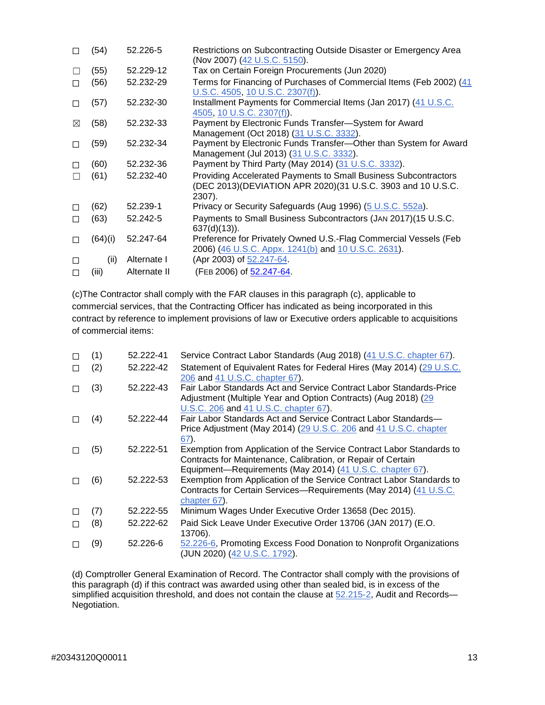| П      | (54)    | 52.226-5     | Restrictions on Subcontracting Outside Disaster or Emergency Area                                                                        |
|--------|---------|--------------|------------------------------------------------------------------------------------------------------------------------------------------|
|        |         |              | (Nov 2007) (42 U.S.C. 5150).                                                                                                             |
| ш      | (55)    | 52.229-12    | Tax on Certain Foreign Procurements (Jun 2020)                                                                                           |
| П      | (56)    | 52.232-29    | Terms for Financing of Purchases of Commercial Items (Feb 2002) (41<br>U.S.C. 4505, 10 U.S.C. 2307(f)).                                  |
| □      | (57)    | 52.232-30    | Installment Payments for Commercial Items (Jan 2017) (41 U.S.C.<br>4505, 10 U.S.C. 2307(f)).                                             |
| ⊠      | (58)    | 52.232-33    | Payment by Electronic Funds Transfer-System for Award<br>Management (Oct 2018) (31 U.S.C. 3332).                                         |
| $\Box$ | (59)    | 52.232-34    | Payment by Electronic Funds Transfer-Other than System for Award<br>Management (Jul 2013) (31 U.S.C. 3332).                              |
| $\Box$ | (60)    | 52.232-36    | Payment by Third Party (May 2014) (31 U.S.C. 3332).                                                                                      |
|        | (61)    | 52.232-40    | Providing Accelerated Payments to Small Business Subcontractors<br>(DEC 2013)(DEVIATION APR 2020)(31 U.S.C. 3903 and 10 U.S.C.<br>2307). |
| $\Box$ | (62)    | 52.239-1     | Privacy or Security Safeguards (Aug 1996) (5 U.S.C. 552a).                                                                               |
| □      | (63)    | 52.242-5     | Payments to Small Business Subcontractors (JAN 2017)(15 U.S.C.<br>$637(d)(13)$ ).                                                        |
| $\Box$ | (64)(i) | 52.247-64    | Preference for Privately Owned U.S.-Flag Commercial Vessels (Feb<br>2006) (46 U.S.C. Appx. 1241(b) and 10 U.S.C. 2631).                  |
| □      | (ii)    | Alternate I  | (Apr 2003) of 52.247-64                                                                                                                  |
| $\Box$ | (iii)   | Alternate II | (FEB 2006) of 52.247-64.                                                                                                                 |

(c)The Contractor shall comply with the FAR clauses in this paragraph (c), applicable to commercial services, that the Contracting Officer has indicated as being incorporated in this contract by reference to implement provisions of law or Executive orders applicable to acquisitions of commercial items:

| П      | (1) | 52.222-41 | Service Contract Labor Standards (Aug 2018) (41 U.S.C. chapter 67).                                                                                                                                                     |
|--------|-----|-----------|-------------------------------------------------------------------------------------------------------------------------------------------------------------------------------------------------------------------------|
|        | (2) | 52.222-42 | Statement of Equivalent Rates for Federal Hires (May 2014) (29 U.S.C.<br>206 and 41 U.S.C. chapter 67).                                                                                                                 |
| $\Box$ | (3) | 52.222-43 | Fair Labor Standards Act and Service Contract Labor Standards-Price<br>Adjustment (Multiple Year and Option Contracts) (Aug 2018) (29                                                                                   |
|        | (4) | 52.222-44 | U.S.C. 206 and 41 U.S.C. chapter 67).<br>Fair Labor Standards Act and Service Contract Labor Standards-<br>Price Adjustment (May 2014) (29 U.S.C. 206 and 41 U.S.C. chapter<br>67).                                     |
|        | (5) | 52.222-51 | Exemption from Application of the Service Contract Labor Standards to<br>Contracts for Maintenance, Calibration, or Repair of Certain                                                                                   |
|        | (6) | 52.222-53 | Equipment-Requirements (May 2014) (41 U.S.C. chapter 67).<br>Exemption from Application of the Service Contract Labor Standards to<br>Contracts for Certain Services-Requirements (May 2014) (41 U.S.C.<br>chapter 67). |
| $\Box$ | (7) | 52.222-55 | Minimum Wages Under Executive Order 13658 (Dec 2015).                                                                                                                                                                   |
| П      | (8) | 52.222-62 | Paid Sick Leave Under Executive Order 13706 (JAN 2017) (E.O.<br>13706).                                                                                                                                                 |
|        | (9) | 52.226-6  | 52.226-6, Promoting Excess Food Donation to Nonprofit Organizations<br>(JUN 2020) (42 U.S.C. 1792).                                                                                                                     |

(d) Comptroller General Examination of Record. The Contractor shall comply with the provisions of this paragraph (d) if this contract was awarded using other than sealed bid, is in excess of the simplified acquisition threshold, and does not contain the clause at [52.215-2,](https://www.acquisition.gov/sites/default/files/current/far/html/52_215.html#wp1144470) Audit and Records— Negotiation.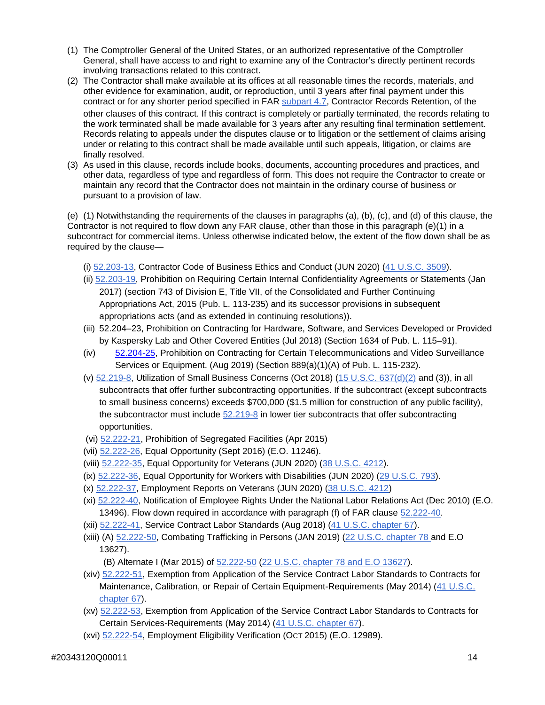- (1) The Comptroller General of the United States, or an authorized representative of the Comptroller General, shall have access to and right to examine any of the Contractor's directly pertinent records involving transactions related to this contract.
- (2) The Contractor shall make available at its offices at all reasonable times the records, materials, and other evidence for examination, audit, or reproduction, until 3 years after final payment under this contract or for any shorter period specified in FAR [subpart 4.7,](https://www.acquisition.gov/sites/default/files/current/far/html/Subpart%204_7.html#wp1082800) Contractor Records Retention, of the other clauses of this contract. If this contract is completely or partially terminated, the records relating to the work terminated shall be made available for 3 years after any resulting final termination settlement. Records relating to appeals under the disputes clause or to litigation or the settlement of claims arising under or relating to this contract shall be made available until such appeals, litigation, or claims are finally resolved.
- (3) As used in this clause, records include books, documents, accounting procedures and practices, and other data, regardless of type and regardless of form. This does not require the Contractor to create or maintain any record that the Contractor does not maintain in the ordinary course of business or pursuant to a provision of law.

(e) (1) Notwithstanding the requirements of the clauses in paragraphs (a), (b), (c), and (d) of this clause, the Contractor is not required to flow down any FAR clause, other than those in this paragraph (e)(1) in a subcontract for commercial items. Unless otherwise indicated below, the extent of the flow down shall be as required by the clause—

- (i) [52.203-13,](https://www.acquisition.gov/sites/default/files/current/far/html/52_200_206.html#wp1141983) Contractor Code of Business Ethics and Conduct (JUN 2020) [\(41 U.S.C. 3509\)](http://uscode.house.gov/).
- (ii) [52.203-19,](https://www.acquisition.gov/sites/default/files/current/far/html/52_200_206.html#wp1158787) Prohibition on Requiring Certain Internal Confidentiality Agreements or Statements (Jan 2017) (section 743 of Division E, Title VII, of the Consolidated and Further Continuing Appropriations Act, 2015 (Pub. L. 113-235) and its successor provisions in subsequent appropriations acts (and as extended in continuing resolutions)).
- (iii) 52.204–23, Prohibition on Contracting for Hardware, Software, and Services Developed or Provided by Kaspersky Lab and Other Covered Entities (Jul 2018) (Section 1634 of Pub. L. 115–91).
- (iv) [52.204-25,](https://www.acquisition.gov/content/52204-25-prohibition-contracting-certain-telecommunications-and-video-surveillance-services) Prohibition on Contracting for Certain Telecommunications and Video Surveillance Services or Equipment. (Aug 2019) (Section 889(a)(1)(A) of Pub. L. 115-232).
- (v)  $52.219-8$ , Utilization of Small Business Concerns (Oct 2018)  $(15 \text{ U.S.C. } 637(d)(2)$  and (3)), in all subcontracts that offer further subcontracting opportunities. If the subcontract (except subcontracts to small business concerns) exceeds \$700,000 (\$1.5 million for construction of any public facility), the subcontractor must include [52.219-8](https://www.acquisition.gov/sites/default/files/current/far/html/52_217_221.html#wp1136032) in lower tier subcontracts that offer subcontracting opportunities.
- (vi) [52.222-21,](https://www.acquisition.gov/sites/default/files/current/far/html/52_222.html#wp1147656) Prohibition of Segregated Facilities (Apr 2015)
- (vii) [52.222-26,](https://www.acquisition.gov/sites/default/files/current/far/html/52_222.html#wp1147711) Equal Opportunity (Sept 2016) (E.O. 11246).
- (viii) [52.222-35,](https://www.acquisition.gov/sites/default/files/current/far/html/52_222.html#wp1158632) Equal Opportunity for Veterans (JUN 2020) [\(38 U.S.C. 4212\)](http://uscode.house.gov/uscode-cgi/fastweb.exe?getdoc+uscview+t37t40+200+2++%2838%29%20%20AND%20%28%2838%29%20ADJ%20USC%29%3ACITE%20%20%20%20%20%20%20%20%20).
- (ix) [52.222-36,](https://www.acquisition.gov/sites/default/files/current/far/html/52_222.html#wp1162802) Equal Opportunity for Workers with Disabilities (JUN 2020) [\(29 U.S.C. 793\)](http://uscode.house.gov/uscode-cgi/fastweb.exe?getdoc+uscview+t29t32+2+78++%2829%29%20%20AND%20%28%2829%29%20ADJ%20USC%29%3ACITE%20%20%20%20%20%20%20%20%20).
- (x) [52.222-37,](https://www.acquisition.gov/sites/default/files/current/far/html/52_222.html#wp1148123) Employment Reports on Veterans (JUN 2020) [\(38 U.S.C. 4212\)](http://uscode.house.gov/uscode-cgi/fastweb.exe?getdoc+uscview+t29t32+2+78++%2829%29%20%20AND%20%28%2829%29%20ADJ%20USC%29%3ACITE%20%20%20%20%20%20%20%20%20)
- (xi) [52.222-40,](https://www.acquisition.gov/sites/default/files/current/far/html/52_222.html#wp1160019) Notification of Employee Rights Under the National Labor Relations Act (Dec 2010) (E.O. 13496). Flow down required in accordance with paragraph (f) of FAR clause [52.222-40.](https://www.acquisition.gov/sites/default/files/current/far/html/52_222.html#wp1160019)
- (xii) [52.222-41,](https://www.acquisition.gov/sites/default/files/current/far/html/52_222.html#wp1160021) Service Contract Labor Standards (Aug 2018) [\(41 U.S.C. chapter 67\)](http://uscode.house.gov/).
- (xiii) (A) [52.222-50,](https://www.acquisition.gov/sites/default/files/current/far/html/52_222.html#wp1151848) Combating Trafficking in Persons (JAN 2019) [\(22 U.S.C. chapter 78 a](http://uscode.house.gov/)nd E.O 13627).

(B) Alternate I (Mar 2015) of [52.222-50](https://www.acquisition.gov/sites/default/files/current/far/html/52_222.html#wp1151848) [\(22 U.S.C. chapter 78 and E.O 13627\)](http://uscode.house.gov/).

- (xiv) [52.222-51,](https://www.acquisition.gov/sites/default/files/current/far/html/52_222.html#wp1155380) Exemption from Application of the Service Contract Labor Standards to Contracts for Maintenance, Calibration, or Repair of Certain Equipment-Requirements (May 2014) [\(41 U.S.C.](http://uscode.house.gov/) [chapter 67\)](http://uscode.house.gov/).
- (xv) [52.222-53,](https://www.acquisition.gov/sites/default/files/current/far/html/52_222.html#wp1162590) Exemption from Application of the Service Contract Labor Standards to Contracts for Certain Services-Requirements (May 2014) [\(41 U.S.C. chapter 67\)](http://uscode.house.gov/).
- (xvi) [52.222-54,](https://www.acquisition.gov/sites/default/files/current/far/html/52_222.html#wp1156645) Employment Eligibility Verification (OCT 2015) (E.O. 12989).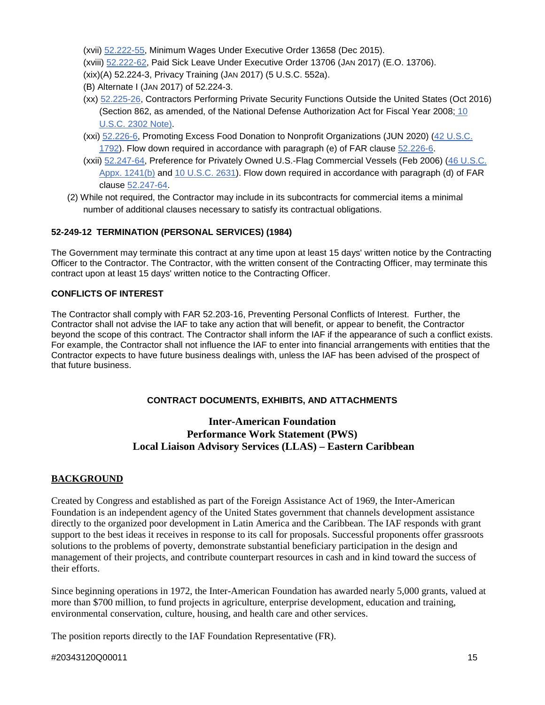(xvii) [52.222-55,](https://www.acquisition.gov/sites/default/files/current/far/html/52_222.html#wp1163027) Minimum Wages Under Executive Order 13658 (Dec 2015).

(xviii) [52.222-62,](https://www.acquisition.gov/sites/default/files/current/far/html/52_222.html#wp1170084) Paid Sick Leave Under Executive Order 13706 (JAN 2017) (E.O. 13706).

- (xix)(A) 52.224-3, Privacy Training (JAN 2017) (5 U.S.C. 552a).
- (B) Alternate I (JAN 2017) of 52.224-3.
- (xx) [52.225-26,](https://www.acquisition.gov/sites/default/files/current/far/html/52_223_226.html#wp1192524) Contractors Performing Private Security Functions Outside the United States (Oct 2016) (Section 862, as amended, of the National Defense Authorization Act for Fiscal Year 2008; [10](http://uscode.house.gov/uscode-cgi/fastweb.exe?getdoc+uscview+t09t12+1445+65++%2810%20U.S.C.%202302%20Note%29%20%20%20%20%20%20%20%20%20%20) [U.S.C. 2302 Note\).](http://uscode.house.gov/uscode-cgi/fastweb.exe?getdoc+uscview+t09t12+1445+65++%2810%20U.S.C.%202302%20Note%29%20%20%20%20%20%20%20%20%20%20)
- (xxi) [52.226-6,](https://www.acquisition.gov/sites/default/files/current/far/html/52_223_226.html#wp1183820) Promoting Excess Food Donation to Nonprofit Organizations (JUN 2020) [\(42 U.S.C.](http://uscode.house.gov/) [1792\)](http://uscode.house.gov/). Flow down required in accordance with paragraph (e) of FAR clause [52.226-6.](https://www.acquisition.gov/sites/default/files/current/far/html/52_223_226.html#wp1183820)
- (xxii) [52.247-64,](https://www.acquisition.gov/sites/default/files/current/far/html/52_247.html#wp1156217) Preference for Privately Owned U.S.-Flag Commercial Vessels (Feb 2006) [\(46 U.S.C.](http://uscode.house.gov/uscode-cgi/fastweb.exe?getdoc+uscview+t45t48+351+1++%2846%29%20%20AND%20%28%2846%29%20ADJ%20USC%29%3ACITE%20%20%20%20%20%20%20%20%20) [Appx. 1241\(b\)](http://uscode.house.gov/uscode-cgi/fastweb.exe?getdoc+uscview+t45t48+351+1++%2846%29%20%20AND%20%28%2846%29%20ADJ%20USC%29%3ACITE%20%20%20%20%20%20%20%20%20) and [10 U.S.C. 2631\)](http://uscode.house.gov/uscode-cgi/fastweb.exe?getdoc+uscview+t09t12+37+408++%2810%29%20%252). Flow down required in accordance with paragraph (d) of FAR clause [52.247-64.](https://www.acquisition.gov/sites/default/files/current/far/html/52_247.html#wp1156217)
- (2) While not required, the Contractor may include in its subcontracts for commercial items a minimal number of additional clauses necessary to satisfy its contractual obligations.

# **52-249-12 TERMINATION (PERSONAL SERVICES) (1984)**

The Government may terminate this contract at any time upon at least 15 days' written notice by the Contracting Officer to the Contractor. The Contractor, with the written consent of the Contracting Officer, may terminate this contract upon at least 15 days' written notice to the Contracting Officer.

# **CONFLICTS OF INTEREST**

The Contractor shall comply with FAR 52.203-16, Preventing Personal Conflicts of Interest. Further, the Contractor shall not advise the IAF to take any action that will benefit, or appear to benefit, the Contractor beyond the scope of this contract. The Contractor shall inform the IAF if the appearance of such a conflict exists. For example, the Contractor shall not influence the IAF to enter into financial arrangements with entities that the Contractor expects to have future business dealings with, unless the IAF has been advised of the prospect of that future business.

# **CONTRACT DOCUMENTS, EXHIBITS, AND ATTACHMENTS**

# **Inter-American Foundation Performance Work Statement (PWS) Local Liaison Advisory Services (LLAS) – Eastern Caribbean**

# **BACKGROUND**

Created by Congress and established as part of the Foreign Assistance Act of 1969, the Inter-American Foundation is an independent agency of the United States government that channels development assistance directly to the organized poor development in Latin America and the Caribbean. The IAF responds with grant support to the best ideas it receives in response to its call for proposals. Successful proponents offer grassroots solutions to the problems of poverty, demonstrate substantial beneficiary participation in the design and management of their projects, and contribute counterpart resources in cash and in kind toward the success of their efforts.

Since beginning operations in 1972, the Inter-American Foundation has awarded nearly 5,000 grants, valued at more than \$700 million, to fund projects in agriculture, enterprise development, education and training, environmental conservation, culture, housing, and health care and other services.

The position reports directly to the IAF Foundation Representative (FR).

#### #20343120Q00011 15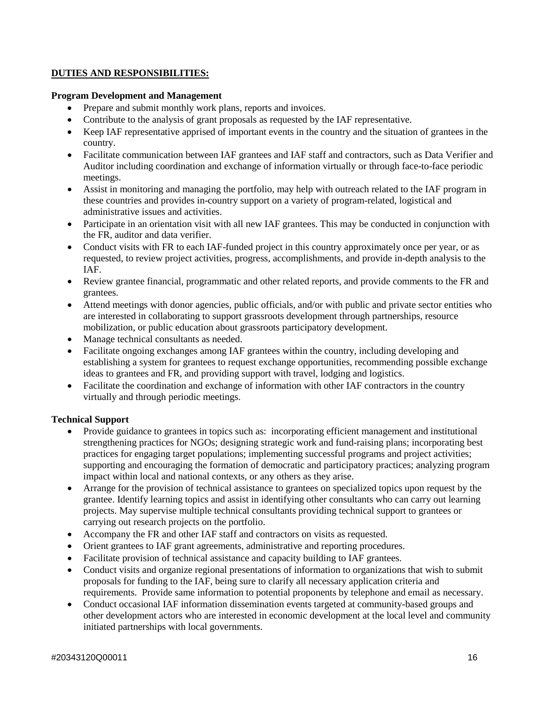# **DUTIES AND RESPONSIBILITIES:**

# **Program Development and Management**

- Prepare and submit monthly work plans, reports and invoices.
- Contribute to the analysis of grant proposals as requested by the IAF representative.
- Keep IAF representative apprised of important events in the country and the situation of grantees in the country.
- Facilitate communication between IAF grantees and IAF staff and contractors, such as Data Verifier and Auditor including coordination and exchange of information virtually or through face-to-face periodic meetings.
- Assist in monitoring and managing the portfolio, may help with outreach related to the IAF program in these countries and provides in-country support on a variety of program-related, logistical and administrative issues and activities.
- Participate in an orientation visit with all new IAF grantees. This may be conducted in conjunction with the FR, auditor and data verifier.
- Conduct visits with FR to each IAF-funded project in this country approximately once per year, or as requested, to review project activities, progress, accomplishments, and provide in-depth analysis to the IAF.
- Review grantee financial, programmatic and other related reports, and provide comments to the FR and grantees.
- Attend meetings with donor agencies, public officials, and/or with public and private sector entities who are interested in collaborating to support grassroots development through partnerships, resource mobilization, or public education about grassroots participatory development.
- Manage technical consultants as needed.
- Facilitate ongoing exchanges among IAF grantees within the country, including developing and establishing a system for grantees to request exchange opportunities, recommending possible exchange ideas to grantees and FR, and providing support with travel, lodging and logistics.
- Facilitate the coordination and exchange of information with other IAF contractors in the country virtually and through periodic meetings.

# **Technical Support**

- Provide guidance to grantees in topics such as: incorporating efficient management and institutional strengthening practices for NGOs; designing strategic work and fund-raising plans; incorporating best practices for engaging target populations; implementing successful programs and project activities; supporting and encouraging the formation of democratic and participatory practices; analyzing program impact within local and national contexts, or any others as they arise.
- Arrange for the provision of technical assistance to grantees on specialized topics upon request by the grantee. Identify learning topics and assist in identifying other consultants who can carry out learning projects. May supervise multiple technical consultants providing technical support to grantees or carrying out research projects on the portfolio.
- Accompany the FR and other IAF staff and contractors on visits as requested.
- Orient grantees to IAF grant agreements, administrative and reporting procedures.
- Facilitate provision of technical assistance and capacity building to IAF grantees.
- Conduct visits and organize regional presentations of information to organizations that wish to submit proposals for funding to the IAF, being sure to clarify all necessary application criteria and requirements. Provide same information to potential proponents by telephone and email as necessary.
- Conduct occasional IAF information dissemination events targeted at community-based groups and other development actors who are interested in economic development at the local level and community initiated partnerships with local governments.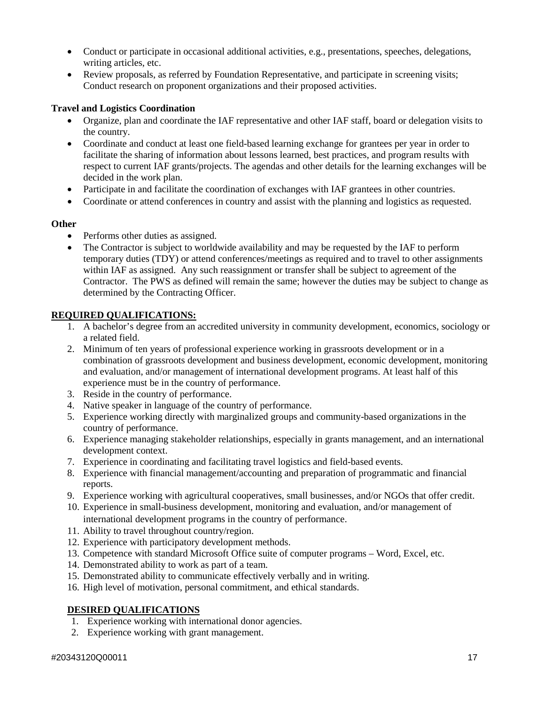- Conduct or participate in occasional additional activities, e.g., presentations, speeches, delegations, writing articles, etc.
- Review proposals, as referred by Foundation Representative, and participate in screening visits; Conduct research on proponent organizations and their proposed activities.

# **Travel and Logistics Coordination**

- Organize, plan and coordinate the IAF representative and other IAF staff, board or delegation visits to the country.
- Coordinate and conduct at least one field-based learning exchange for grantees per year in order to facilitate the sharing of information about lessons learned, best practices, and program results with respect to current IAF grants/projects. The agendas and other details for the learning exchanges will be decided in the work plan.
- Participate in and facilitate the coordination of exchanges with IAF grantees in other countries.
- Coordinate or attend conferences in country and assist with the planning and logistics as requested.

# **Other**

- Performs other duties as assigned.
- The Contractor is subject to worldwide availability and may be requested by the IAF to perform temporary duties (TDY) or attend conferences/meetings as required and to travel to other assignments within IAF as assigned. Any such reassignment or transfer shall be subject to agreement of the Contractor. The PWS as defined will remain the same; however the duties may be subject to change as determined by the Contracting Officer.

# **REQUIRED QUALIFICATIONS:**

- 1. A bachelor's degree from an accredited university in community development, economics, sociology or a related field.
- 2. Minimum of ten years of professional experience working in grassroots development or in a combination of grassroots development and business development, economic development, monitoring and evaluation, and/or management of international development programs. At least half of this experience must be in the country of performance.
- 3. Reside in the country of performance.
- 4. Native speaker in language of the country of performance.
- 5. Experience working directly with marginalized groups and community-based organizations in the country of performance.
- 6. Experience managing stakeholder relationships, especially in grants management, and an international development context.
- 7. Experience in coordinating and facilitating travel logistics and field-based events.
- 8. Experience with financial management/accounting and preparation of programmatic and financial reports.
- 9. Experience working with agricultural cooperatives, small businesses, and/or NGOs that offer credit.
- 10. Experience in small-business development, monitoring and evaluation, and/or management of international development programs in the country of performance.
- 11. Ability to travel throughout country/region.
- 12. Experience with participatory development methods.
- 13. Competence with standard Microsoft Office suite of computer programs Word, Excel, etc.
- 14. Demonstrated ability to work as part of a team.
- 15. Demonstrated ability to communicate effectively verbally and in writing.
- 16. High level of motivation, personal commitment, and ethical standards.

# **DESIRED QUALIFICATIONS**

- 1. Experience working with international donor agencies.
- 2. Experience working with grant management.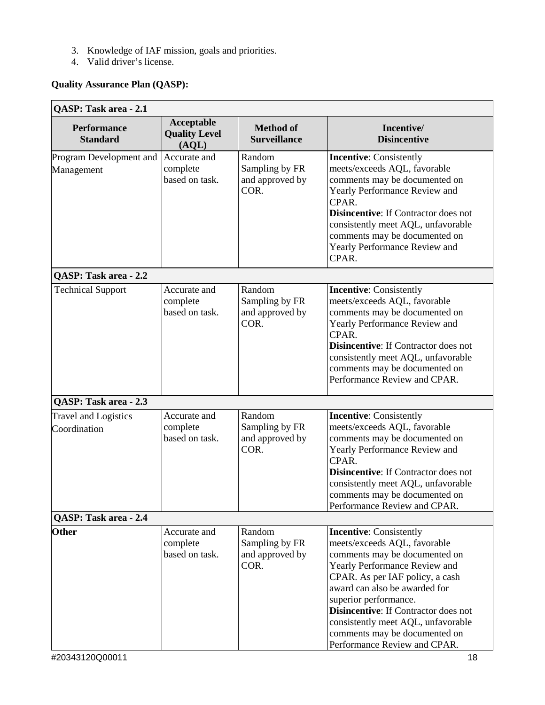- 3. Knowledge of IAF mission, goals and priorities.
- 4. Valid driver's license.

# **Quality Assurance Plan (QASP):**

| QASP: Task area - 2.1                       |                                             |                                                     |                                                                                                                                                                                                                                                                                                                                                                                     |  |
|---------------------------------------------|---------------------------------------------|-----------------------------------------------------|-------------------------------------------------------------------------------------------------------------------------------------------------------------------------------------------------------------------------------------------------------------------------------------------------------------------------------------------------------------------------------------|--|
| <b>Performance</b><br><b>Standard</b>       | Acceptable<br><b>Quality Level</b><br>(AQL) | <b>Method of</b><br><b>Surveillance</b>             | Incentive/<br><b>Disincentive</b>                                                                                                                                                                                                                                                                                                                                                   |  |
| Program Development and<br>Management       | Accurate and<br>complete<br>based on task.  | Random<br>Sampling by FR<br>and approved by<br>COR. | <b>Incentive:</b> Consistently<br>meets/exceeds AQL, favorable<br>comments may be documented on<br>Yearly Performance Review and<br>CPAR.<br><b>Disincentive:</b> If Contractor does not<br>consistently meet AQL, unfavorable<br>comments may be documented on<br>Yearly Performance Review and<br>CPAR.                                                                           |  |
| QASP: Task area - 2.2                       |                                             |                                                     |                                                                                                                                                                                                                                                                                                                                                                                     |  |
| <b>Technical Support</b>                    | Accurate and<br>complete<br>based on task.  | Random<br>Sampling by FR<br>and approved by<br>COR. | <b>Incentive:</b> Consistently<br>meets/exceeds AQL, favorable<br>comments may be documented on<br>Yearly Performance Review and<br>CPAR.<br><b>Disincentive:</b> If Contractor does not<br>consistently meet AQL, unfavorable<br>comments may be documented on<br>Performance Review and CPAR.                                                                                     |  |
| QASP: Task area - 2.3                       |                                             |                                                     |                                                                                                                                                                                                                                                                                                                                                                                     |  |
| <b>Travel and Logistics</b><br>Coordination | Accurate and<br>complete<br>based on task.  | Random<br>Sampling by FR<br>and approved by<br>COR. | <b>Incentive:</b> Consistently<br>meets/exceeds AQL, favorable<br>comments may be documented on<br>Yearly Performance Review and<br>CPAR.<br><b>Disincentive:</b> If Contractor does not<br>consistently meet AQL, unfavorable<br>comments may be documented on<br>Performance Review and CPAR.                                                                                     |  |
| QASP: Task area - 2.4                       |                                             |                                                     |                                                                                                                                                                                                                                                                                                                                                                                     |  |
| <b>Other</b>                                | Accurate and<br>complete<br>based on task.  | Random<br>Sampling by FR<br>and approved by<br>COR. | <b>Incentive:</b> Consistently<br>meets/exceeds AQL, favorable<br>comments may be documented on<br>Yearly Performance Review and<br>CPAR. As per IAF policy, a cash<br>award can also be awarded for<br>superior performance.<br><b>Disincentive:</b> If Contractor does not<br>consistently meet AQL, unfavorable<br>comments may be documented on<br>Performance Review and CPAR. |  |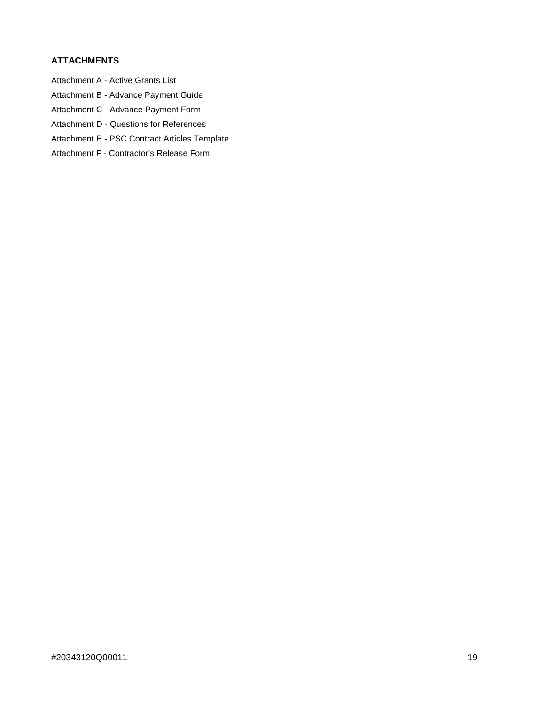# **ATTACHMENTS**

- Attachment A Active Grants List
- Attachment B Advance Payment Guide
- Attachment C Advance Payment Form
- Attachment D Questions for References
- Attachment E PSC Contract Articles Template
- Attachment F Contractor's Release Form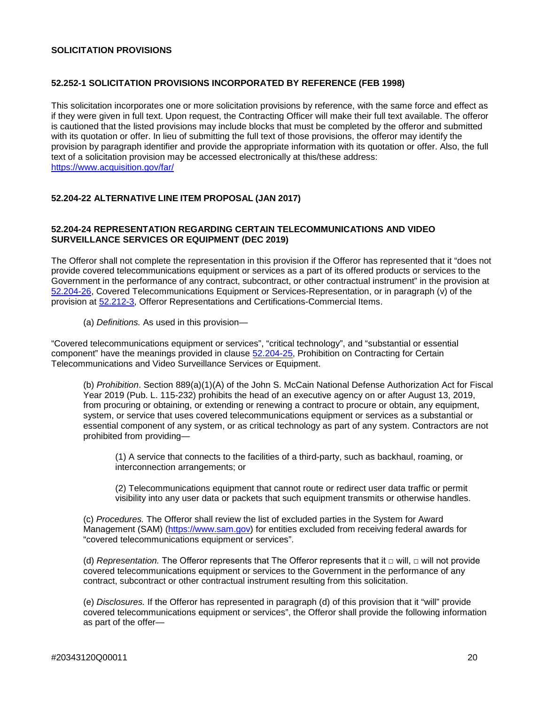#### **SOLICITATION PROVISIONS**

# **52.252-1 SOLICITATION PROVISIONS INCORPORATED BY REFERENCE (FEB 1998)**

This solicitation incorporates one or more solicitation provisions by reference, with the same force and effect as if they were given in full text. Upon request, the Contracting Officer will make their full text available. The offeror is cautioned that the listed provisions may include blocks that must be completed by the offeror and submitted with its quotation or offer. In lieu of submitting the full text of those provisions, the offeror may identify the provision by paragraph identifier and provide the appropriate information with its quotation or offer. Also, the full text of a solicitation provision may be accessed electronically at this/these address: <https://www.acquisition.gov/far/>

# **52.204-22 ALTERNATIVE LINE ITEM PROPOSAL (JAN 2017)**

# **52.204-24 REPRESENTATION REGARDING CERTAIN TELECOMMUNICATIONS AND VIDEO SURVEILLANCE SERVICES OR EQUIPMENT (DEC 2019)**

The Offeror shall not complete the representation in this provision if the Offeror has represented that it "does not provide covered telecommunications equipment or services as a part of its offered products or services to the Government in the performance of any contract, subcontract, or other contractual instrument" in the provision at [52.204-26,](https://www.acquisition.gov/content/52204-26covered-telecommunications-equipment-or-services-representation#id19CAC0P0ESS) Covered Telecommunications Equipment or Services-Representation, or in paragraph (v) of the provision at [52.212-3,](https://www.acquisition.gov/content/52212-3-offeror-representations-and-certifications-commercial-items#i1060550) Offeror Representations and Certifications-Commercial Items.

(a) *Definitions.* As used in this provision—

"Covered telecommunications equipment or services", "critical technology", and "substantial or essential component" have the meanings provided in clause [52.204-25,](https://www.acquisition.gov/content/52204-25-prohibition-contracting-certain-telecommunications-and-video-surveillance-services-or-equipment#id1989I600I4C) Prohibition on Contracting for Certain Telecommunications and Video Surveillance Services or Equipment.

(b) *Prohibition*. Section 889(a)(1)(A) of the John S. McCain National Defense Authorization Act for Fiscal Year 2019 (Pub. L. 115-232) prohibits the head of an executive agency on or after August 13, 2019, from procuring or obtaining, or extending or renewing a contract to procure or obtain, any equipment, system, or service that uses covered telecommunications equipment or services as a substantial or essential component of any system, or as critical technology as part of any system. Contractors are not prohibited from providing—

(1) A service that connects to the facilities of a third-party, such as backhaul, roaming, or interconnection arrangements; or

(2) Telecommunications equipment that cannot route or redirect user data traffic or permit visibility into any user data or packets that such equipment transmits or otherwise handles.

(c) *Procedures.* The Offeror shall review the list of excluded parties in the System for Award Management (SAM) [\(https://www.sam.gov\)](https://www.sam.gov/) for entities excluded from receiving federal awards for "covered telecommunications equipment or services".

(d) *Representation*. The Offeror represents that The Offeror represents that it □ will, □ will not provide covered telecommunications equipment or services to the Government in the performance of any contract, subcontract or other contractual instrument resulting from this solicitation.

(e) *Disclosures.* If the Offeror has represented in paragraph (d) of this provision that it "will" provide covered telecommunications equipment or services", the Offeror shall provide the following information as part of the offer—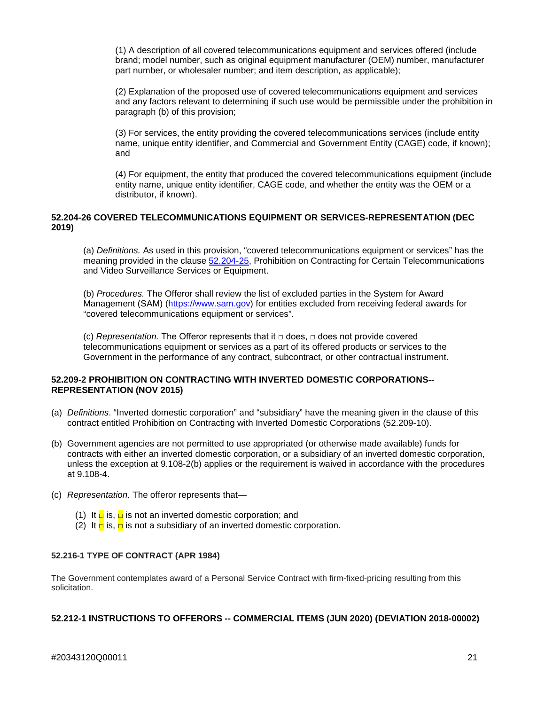(1) A description of all covered telecommunications equipment and services offered (include brand; model number, such as original equipment manufacturer (OEM) number, manufacturer part number, or wholesaler number; and item description, as applicable);

(2) Explanation of the proposed use of covered telecommunications equipment and services and any factors relevant to determining if such use would be permissible under the prohibition in paragraph (b) of this provision;

(3) For services, the entity providing the covered telecommunications services (include entity name, unique entity identifier, and Commercial and Government Entity (CAGE) code, if known); and

(4) For equipment, the entity that produced the covered telecommunications equipment (include entity name, unique entity identifier, CAGE code, and whether the entity was the OEM or a distributor, if known).

# **52.204-26 COVERED TELECOMMUNICATIONS EQUIPMENT OR SERVICES-REPRESENTATION (DEC 2019)**

(a) *Definitions.* As used in this provision, "covered telecommunications equipment or services" has the meaning provided in the clause [52.204-25,](https://www.acquisition.gov/content/52204-25-prohibition-contracting-certain-telecommunications-and-video-surveillance-services-or-equipment#id1989I600I4C) Prohibition on Contracting for Certain Telecommunications and Video Surveillance Services or Equipment.

(b) *Procedures.* The Offeror shall review the list of excluded parties in the System for Award Management (SAM) [\(https://www.sam.gov\)](https://www.sam.gov/) for entities excluded from receiving federal awards for "covered telecommunications equipment or services".

(c) *Representation.* The Offeror represents that it □ does, □ does not provide covered telecommunications equipment or services as a part of its offered products or services to the Government in the performance of any contract, subcontract, or other contractual instrument.

# **52.209-2 PROHIBITION ON CONTRACTING WITH INVERTED DOMESTIC CORPORATIONS-- REPRESENTATION (NOV 2015)**

- (a) *Definitions*. "Inverted domestic corporation" and "subsidiary" have the meaning given in the clause of this contract entitled Prohibition on Contracting with Inverted Domestic Corporations (52.209-10).
- (b) Government agencies are not permitted to use appropriated (or otherwise made available) funds for contracts with either an inverted domestic corporation, or a subsidiary of an inverted domestic corporation, unless the exception at 9.108-2(b) applies or the requirement is waived in accordance with the procedures at 9.108-4.
- (c) *Representation*. The offeror represents that—
	- (1) It  $\frac{\square}{\square}$  is,  $\frac{\square}{\square}$  is not an inverted domestic corporation: and
	- (2) It  $\Box$  is,  $\Box$  is not a subsidiary of an inverted domestic corporation.

# **52.216-1 TYPE OF CONTRACT (APR 1984)**

The Government contemplates award of a Personal Service Contract with firm-fixed-pricing resulting from this solicitation.

#### **52.212-1 INSTRUCTIONS TO OFFERORS -- COMMERCIAL ITEMS (JUN 2020) (DEVIATION 2018-00002)**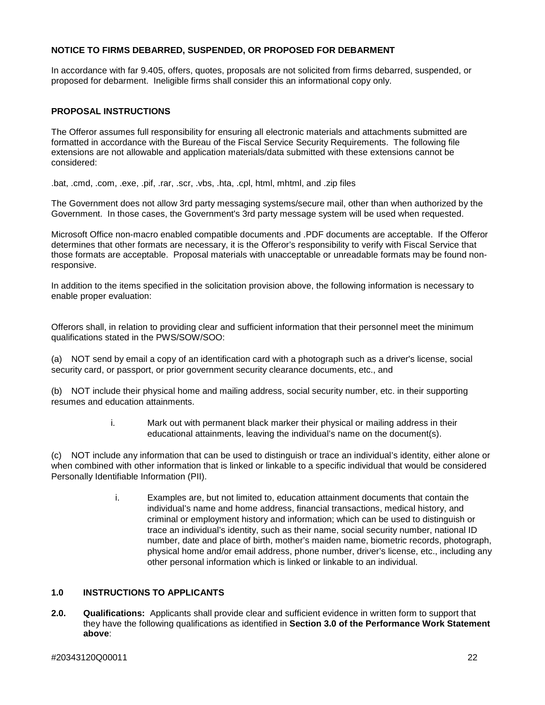# **NOTICE TO FIRMS DEBARRED, SUSPENDED, OR PROPOSED FOR DEBARMENT**

In accordance with far 9.405, offers, quotes, proposals are not solicited from firms debarred, suspended, or proposed for debarment. Ineligible firms shall consider this an informational copy only.

#### **PROPOSAL INSTRUCTIONS**

The Offeror assumes full responsibility for ensuring all electronic materials and attachments submitted are formatted in accordance with the Bureau of the Fiscal Service Security Requirements. The following file extensions are not allowable and application materials/data submitted with these extensions cannot be considered:

.bat, .cmd, .com, .exe, .pif, .rar, .scr, .vbs, .hta, .cpl, html, mhtml, and .zip files

The Government does not allow 3rd party messaging systems/secure mail, other than when authorized by the Government. In those cases, the Government's 3rd party message system will be used when requested.

Microsoft Office non-macro enabled compatible documents and .PDF documents are acceptable. If the Offeror determines that other formats are necessary, it is the Offeror's responsibility to verify with Fiscal Service that those formats are acceptable. Proposal materials with unacceptable or unreadable formats may be found nonresponsive.

In addition to the items specified in the solicitation provision above, the following information is necessary to enable proper evaluation:

Offerors shall, in relation to providing clear and sufficient information that their personnel meet the minimum qualifications stated in the PWS/SOW/SOO:

(a) NOT send by email a copy of an identification card with a photograph such as a driver's license, social security card, or passport, or prior government security clearance documents, etc., and

(b) NOT include their physical home and mailing address, social security number, etc. in their supporting resumes and education attainments.

> i. Mark out with permanent black marker their physical or mailing address in their educational attainments, leaving the individual's name on the document(s).

(c) NOT include any information that can be used to distinguish or trace an individual's identity, either alone or when combined with other information that is linked or linkable to a specific individual that would be considered Personally Identifiable Information (PII).

> i. Examples are, but not limited to, education attainment documents that contain the individual's name and home address, financial transactions, medical history, and criminal or employment history and information; which can be used to distinguish or trace an individual's identity, such as their name, social security number, national ID number, date and place of birth, mother's maiden name, biometric records, photograph, physical home and/or email address, phone number, driver's license, etc., including any other personal information which is linked or linkable to an individual.

# **1.0 INSTRUCTIONS TO APPLICANTS**

**2.0. Qualifications:** Applicants shall provide clear and sufficient evidence in written form to support that they have the following qualifications as identified in **Section 3.0 of the Performance Work Statement above**: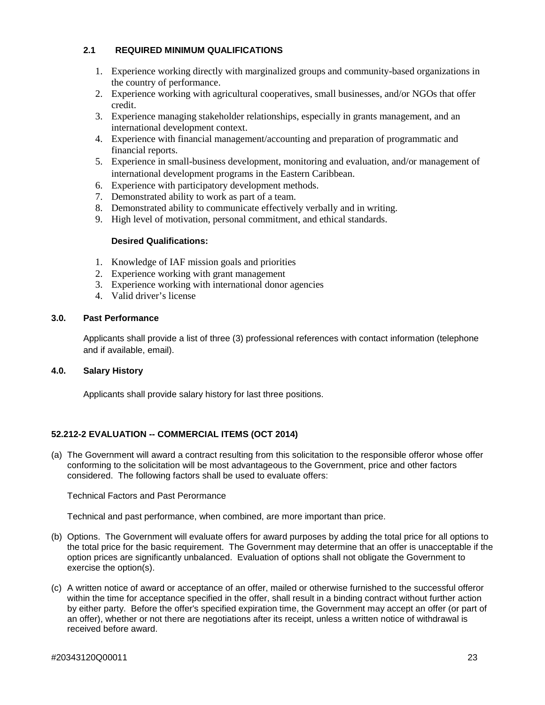# **2.1 REQUIRED MINIMUM QUALIFICATIONS**

- 1. Experience working directly with marginalized groups and community-based organizations in the country of performance.
- 2. Experience working with agricultural cooperatives, small businesses, and/or NGOs that offer credit.
- 3. Experience managing stakeholder relationships, especially in grants management, and an international development context.
- 4. Experience with financial management/accounting and preparation of programmatic and financial reports.
- 5. Experience in small-business development, monitoring and evaluation, and/or management of international development programs in the Eastern Caribbean.
- 6. Experience with participatory development methods.
- 7. Demonstrated ability to work as part of a team.
- 8. Demonstrated ability to communicate effectively verbally and in writing.
- 9. High level of motivation, personal commitment, and ethical standards.

# **Desired Qualifications:**

- 1. Knowledge of IAF mission goals and priorities
- 2. Experience working with grant management
- 3. Experience working with international donor agencies
- 4. Valid driver's license

# **3.0. Past Performance**

Applicants shall provide a list of three (3) professional references with contact information (telephone and if available, email).

# **4.0. Salary History**

Applicants shall provide salary history for last three positions.

#### **52.212-2 EVALUATION -- COMMERCIAL ITEMS (OCT 2014)**

(a) The Government will award a contract resulting from this solicitation to the responsible offeror whose offer conforming to the solicitation will be most advantageous to the Government, price and other factors considered. The following factors shall be used to evaluate offers:

#### Technical Factors and Past Perormance

Technical and past performance, when combined, are more important than price.

- (b) Options. The Government will evaluate offers for award purposes by adding the total price for all options to the total price for the basic requirement. The Government may determine that an offer is unacceptable if the option prices are significantly unbalanced. Evaluation of options shall not obligate the Government to exercise the option(s).
- (c) A written notice of award or acceptance of an offer, mailed or otherwise furnished to the successful offeror within the time for acceptance specified in the offer, shall result in a binding contract without further action by either party. Before the offer's specified expiration time, the Government may accept an offer (or part of an offer), whether or not there are negotiations after its receipt, unless a written notice of withdrawal is received before award.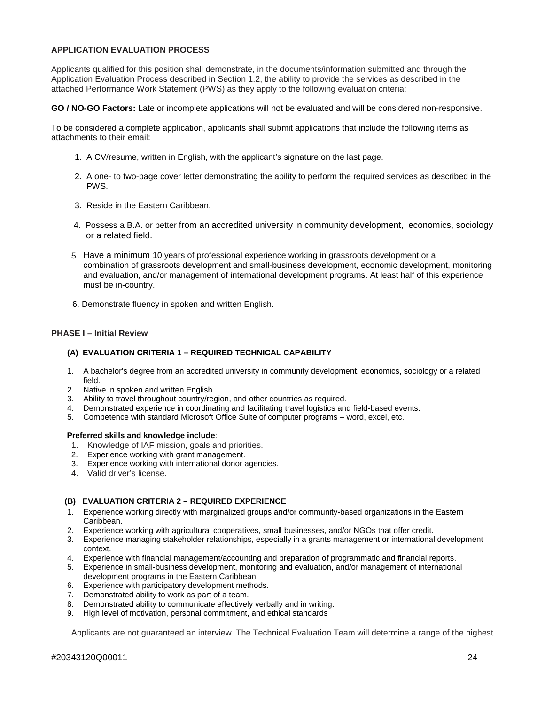#### **APPLICATION EVALUATION PROCESS**

Applicants qualified for this position shall demonstrate, in the documents/information submitted and through the Application Evaluation Process described in Section 1.2, the ability to provide the services as described in the attached Performance Work Statement (PWS) as they apply to the following evaluation criteria:

**GO / NO-GO Factors:** Late or incomplete applications will not be evaluated and will be considered non-responsive.

To be considered a complete application, applicants shall submit applications that include the following items as attachments to their email:

- 1. A CV/resume, written in English, with the applicant's signature on the last page.
- 2. A one- to two-page cover letter demonstrating the ability to perform the required services as described in the PWS.
- 3. Reside in the Eastern Caribbean.
- 4. Possess a B.A. or better from an accredited university in community development, economics, sociology or a related field.
- 5. Have a minimum 10 years of professional experience working in grassroots development or a combination of grassroots development and small-business development, economic development, monitoring and evaluation, and/or management of international development programs. At least half of this experience must be in-country.
- 6. Demonstrate fluency in spoken and written English.

#### **PHASE I – Initial Review**

#### **(A) EVALUATION CRITERIA 1 – REQUIRED TECHNICAL CAPABILITY**

- 1. A bachelor's degree from an accredited university in community development, economics, sociology or a related field.
- 2. Native in spoken and written English.
- 3. Ability to travel throughout country/region, and other countries as required.
- 4. Demonstrated experience in coordinating and facilitating travel logistics and field-based events.
- 5. Competence with standard Microsoft Office Suite of computer programs word, excel, etc.

#### **Preferred skills and knowledge include**:

- 1. Knowledge of IAF mission, goals and priorities.
- 2. Experience working with grant management.
- 3. Experience working with international donor agencies.
- 4. Valid driver's license.

#### **(B) EVALUATION CRITERIA 2 – REQUIRED EXPERIENCE**

- 1. Experience working directly with marginalized groups and/or community-based organizations in the Eastern Caribbean.
- 2. Experience working with agricultural cooperatives, small businesses, and/or NGOs that offer credit.
- 3. Experience managing stakeholder relationships, especially in a grants management or international development context.
- 4. Experience with financial management/accounting and preparation of programmatic and financial reports.
- 5. Experience in small-business development, monitoring and evaluation, and/or management of international development programs in the Eastern Caribbean.
- 6. Experience with participatory development methods.
- 7. Demonstrated ability to work as part of a team.
- 8. Demonstrated ability to communicate effectively verbally and in writing.
- 9. High level of motivation, personal commitment, and ethical standards

Applicants are not guaranteed an interview. The Technical Evaluation Team will determine a range of the highest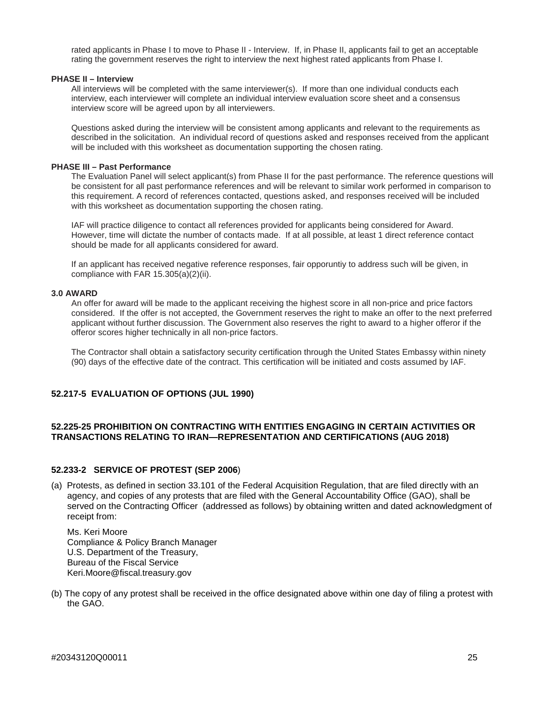rated applicants in Phase I to move to Phase II - Interview. If, in Phase II, applicants fail to get an acceptable rating the government reserves the right to interview the next highest rated applicants from Phase I.

#### **PHASE II – Interview**

All interviews will be completed with the same interviewer(s). If more than one individual conducts each interview, each interviewer will complete an individual interview evaluation score sheet and a consensus interview score will be agreed upon by all interviewers.

Questions asked during the interview will be consistent among applicants and relevant to the requirements as described in the solicitation. An individual record of questions asked and responses received from the applicant will be included with this worksheet as documentation supporting the chosen rating.

#### **PHASE III – Past Performance**

The Evaluation Panel will select applicant(s) from Phase II for the past performance. The reference questions will be consistent for all past performance references and will be relevant to similar work performed in comparison to this requirement. A record of references contacted, questions asked, and responses received will be included with this worksheet as documentation supporting the chosen rating.

IAF will practice diligence to contact all references provided for applicants being considered for Award. However, time will dictate the number of contacts made. If at all possible, at least 1 direct reference contact should be made for all applicants considered for award.

If an applicant has received negative reference responses, fair opporuntiy to address such will be given, in compliance with FAR 15.305(a)(2)(ii).

#### **3.0 AWARD**

An offer for award will be made to the applicant receiving the highest score in all non-price and price factors considered. If the offer is not accepted, the Government reserves the right to make an offer to the next preferred applicant without further discussion. The Government also reserves the right to award to a higher offeror if the offeror scores higher technically in all non-price factors.

The Contractor shall obtain a satisfactory security certification through the United States Embassy within ninety (90) days of the effective date of the contract. This certification will be initiated and costs assumed by IAF.

#### **52.217-5 EVALUATION OF OPTIONS (JUL 1990)**

#### **52.225-25 PROHIBITION ON CONTRACTING WITH ENTITIES ENGAGING IN CERTAIN ACTIVITIES OR TRANSACTIONS RELATING TO IRAN—REPRESENTATION AND CERTIFICATIONS (AUG 2018)**

# **52.233-2 SERVICE OF PROTEST (SEP 2006**)

(a) Protests, as defined in section 33.101 of the Federal Acquisition Regulation, that are filed directly with an agency, and copies of any protests that are filed with the General Accountability Office (GAO), shall be served on the Contracting Officer (addressed as follows) by obtaining written and dated acknowledgment of receipt from:

Ms. Keri Moore Compliance & Policy Branch Manager U.S. Department of the Treasury, Bureau of the Fiscal Service Keri.Moore@fiscal.treasury.gov

(b) The copy of any protest shall be received in the office designated above within one day of filing a protest with the GAO.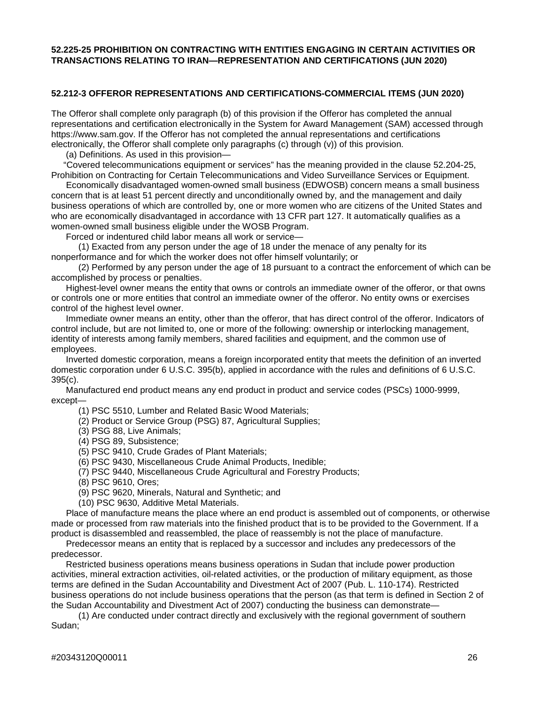#### **52.225-25 PROHIBITION ON CONTRACTING WITH ENTITIES ENGAGING IN CERTAIN ACTIVITIES OR TRANSACTIONS RELATING TO IRAN—REPRESENTATION AND CERTIFICATIONS (JUN 2020)**

# **52.212-3 OFFEROR REPRESENTATIONS AND CERTIFICATIONS-COMMERCIAL ITEMS (JUN 2020)**

The Offeror shall complete only paragraph (b) of this provision if the Offeror has completed the annual representations and certification electronically in the System for Award Management (SAM) accessed through [https://www.sam.gov.](https://www.sam.gov/) If the Offeror has not completed the annual representations and certifications electronically, the Offeror shall complete only paragraphs (c) through (v)) of this provision.

(a) Definitions. As used in this provision—

"Covered telecommunications equipment or services" has the meaning provided in the clause [52.204-25,](https://www.acquisition.gov/content/52204-25-prohibition-contracting-certain-telecommunications-and-video-surveillance-services-or-equipment#id1989I600I4C) Prohibition on Contracting for Certain Telecommunications and Video Surveillance Services or Equipment.

Economically disadvantaged women-owned small business (EDWOSB) concern means a small business concern that is at least 51 percent directly and unconditionally owned by, and the management and daily business operations of which are controlled by, one or more women who are citizens of the United States and who are economically disadvantaged in accordance with 13 CFR part 127. It automatically qualifies as a women-owned small business eligible under the WOSB Program.

Forced or indentured child labor means all work or service—

(1) Exacted from any person under the age of 18 under the menace of any penalty for its

nonperformance and for which the worker does not offer himself voluntarily; or

(2) Performed by any person under the age of 18 pursuant to a contract the enforcement of which can be accomplished by process or penalties.

 Highest-level owner means the entity that owns or controls an immediate owner of the offeror, or that owns or controls one or more entities that control an immediate owner of the offeror. No entity owns or exercises control of the highest level owner.

 Immediate owner means an entity, other than the offeror, that has direct control of the offeror. Indicators of control include, but are not limited to, one or more of the following: ownership or interlocking management, identity of interests among family members, shared facilities and equipment, and the common use of employees.

 Inverted domestic corporation, means a foreign incorporated entity that meets the definition of an inverted domestic corporation under [6 U.S.C. 395\(](http://uscode.house.gov/view.xhtml?req=granuleid:USC-prelim-title6-section395&num=0&edition=prelim)b), applied in accordance with the rules and definitions of [6 U.S.C.](http://uscode.house.gov/view.xhtml?req=granuleid:USC-prelim-title6-section395&num=0&edition=prelim)  [395\(](http://uscode.house.gov/view.xhtml?req=granuleid:USC-prelim-title6-section395&num=0&edition=prelim)c).

 Manufactured end product means any end product in product and service codes (PSCs) 1000-9999, except—

- (1) PSC 5510, Lumber and Related Basic Wood Materials;
- (2) Product or Service Group (PSG) 87, Agricultural Supplies;
- (3) PSG 88, Live Animals;
- (4) PSG 89, Subsistence;
- (5) PSC 9410, Crude Grades of Plant Materials;
- (6) PSC 9430, Miscellaneous Crude Animal Products, Inedible;
- (7) PSC 9440, Miscellaneous Crude Agricultural and Forestry Products;
- (8) PSC 9610, Ores;
- (9) PSC 9620, Minerals, Natural and Synthetic; and
- (10) PSC 9630, Additive Metal Materials.

 Place of manufacture means the place where an end product is assembled out of components, or otherwise made or processed from raw materials into the finished product that is to be provided to the Government. If a product is disassembled and reassembled, the place of reassembly is not the place of manufacture.

 Predecessor means an entity that is replaced by a successor and includes any predecessors of the predecessor.

 Restricted business operations means business operations in Sudan that include power production activities, mineral extraction activities, oil-related activities, or the production of military equipment, as those terms are defined in the Sudan Accountability and Divestment Act of 2007 (Pub. L. 110-174). Restricted business operations do not include business operations that the person (as that term is defined in Section 2 of the Sudan Accountability and Divestment Act of 2007) conducting the business can demonstrate—

(1) Are conducted under contract directly and exclusively with the regional government of southern Sudan;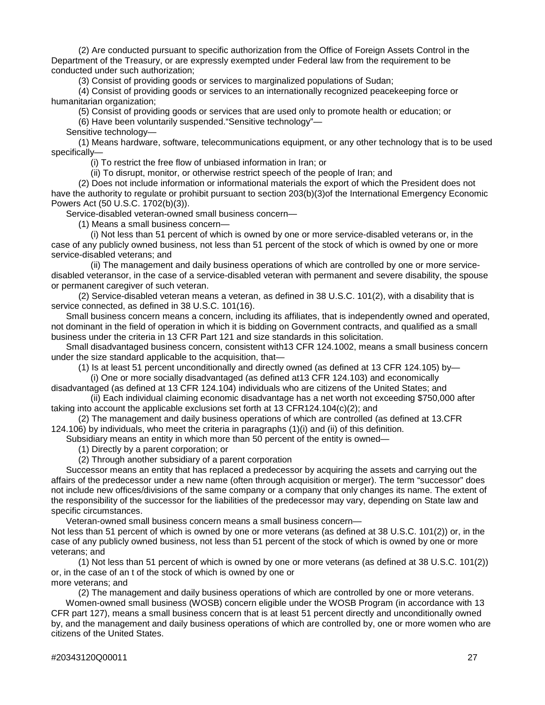(2) Are conducted pursuant to specific authorization from the Office of Foreign Assets Control in the Department of the Treasury, or are expressly exempted under Federal law from the requirement to be conducted under such authorization;

(3) Consist of providing goods or services to marginalized populations of Sudan;

(4) Consist of providing goods or services to an internationally recognized peacekeeping force or humanitarian organization;

(5) Consist of providing goods or services that are used only to promote health or education; or

(6) Have been voluntarily suspended."Sensitive technology"—

Sensitive technology—

(1) Means hardware, software, telecommunications equipment, or any other technology that is to be used specifically—

(i) To restrict the free flow of unbiased information in Iran; or

(ii) To disrupt, monitor, or otherwise restrict speech of the people of Iran; and

(2) Does not include information or informational materials the export of which the President does not have the authority to regulate or prohibit pursuant to section 203(b)(3)of the International Emergency Economic Powers Act (50 U.S.C. 1702(b)(3)).

Service-disabled veteran-owned small business concern—

(1) Means a small business concern—

(i) Not less than 51 percent of which is owned by one or more service-disabled veterans or, in the case of any publicly owned business, not less than 51 percent of the stock of which is owned by one or more service-disabled veterans; and

(ii) The management and daily business operations of which are controlled by one or more servicedisabled veteransor, in the case of a service-disabled veteran with permanent and severe disability, the spouse or permanent caregiver of such veteran.

(2) Service-disabled veteran means a veteran, as defined in [38 U.S.C. 101\(](http://uscode.house.gov/view.xhtml?req=granuleid:USC-prelim-title38-section101&num=0&edition=prelim)2), with a disability that is service connected, as defined in [38 U.S.C. 101\(](http://uscode.house.gov/view.xhtml?req=granuleid:USC-prelim-title38-section101&num=0&edition=prelim)16).

 Small business concern means a concern, including its affiliates, that is independently owned and operated, not dominant in the field of operation in which it is bidding on Government contracts, and qualified as a small business under the criteria in 13 CFR Part 121 and size standards in this solicitation.

 Small disadvantaged business concern, consistent with13 CFR 124.1002, means a small business concern under the size standard applicable to the acquisition, that—

(1) Is at least 51 percent unconditionally and directly owned (as defined at 13 CFR 124.105) by—

(i) One or more socially disadvantaged (as defined at13 CFR 124.103) and economically disadvantaged (as defined at 13 CFR 124.104) individuals who are citizens of the United States; and

(ii) Each individual claiming economic disadvantage has a net worth not exceeding \$750,000 after taking into account the applicable exclusions set forth at 13 CFR124.104(c)(2); and

(2) The management and daily business operations of which are controlled (as defined at 13.CFR 124.106) by individuals, who meet the criteria in paragraphs (1)(i) and (ii) of this definition.

Subsidiary means an entity in which more than 50 percent of the entity is owned—

(1) Directly by a parent corporation; or

(2) Through another subsidiary of a parent corporation

 Successor means an entity that has replaced a predecessor by acquiring the assets and carrying out the affairs of the predecessor under a new name (often through acquisition or merger). The term "successor" does not include new offices/divisions of the same company or a company that only changes its name. The extent of the responsibility of the successor for the liabilities of the predecessor may vary, depending on State law and specific circumstances.

Veteran-owned small business concern means a small business concern—

Not less than 51 percent of which is owned by one or more veterans (as defined at 38 U.S.C. 101(2)) or, in the case of any publicly owned business, not less than 51 percent of the stock of which is owned by one or more veterans; and

(1) Not less than 51 percent of which is owned by one or more veterans (as defined at 38 U.S.C. 101(2)) or, in the case of an t of the stock of which is owned by one or more veterans; and

(2) The management and daily business operations of which are controlled by one or more veterans. Women-owned small business (WOSB) concern eligible under the WOSB Program (in accordance with 13 CFR part 127), means a small business concern that is at least 51 percent directly and unconditionally owned by, and the management and daily business operations of which are controlled by, one or more women who are citizens of the United States.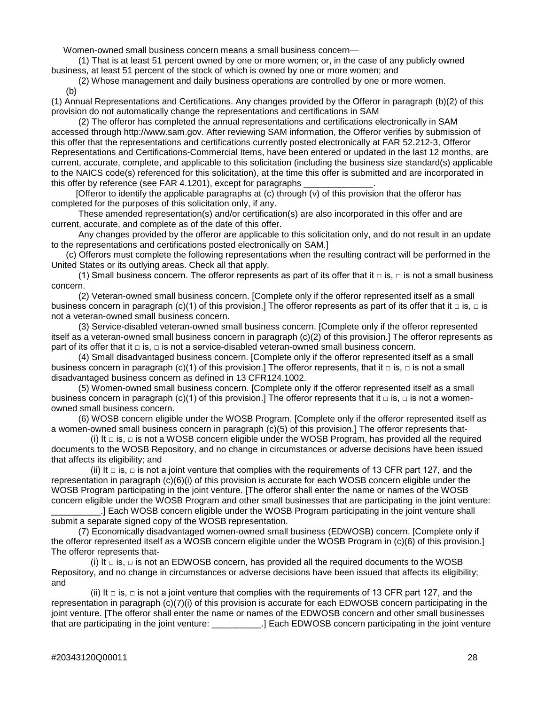Women-owned small business concern means a small business concern—

(1) That is at least 51 percent owned by one or more women; or, in the case of any publicly owned business, at least 51 percent of the stock of which is owned by one or more women; and

(2) Whose management and daily business operations are controlled by one or more women.  $(b)$ 

(1) Annual Representations and Certifications. Any changes provided by the Offeror in paragraph (b)(2) of this provision do not automatically change the representations and certifications in SAM

(2) The offeror has completed the annual representations and certifications electronically in SAM accessed through [http://www.sam.gov.](http://www.sam.gov/) After reviewing SAM information, the Offeror verifies by submission of this offer that the representations and certifications currently posted electronically at FAR [52.212-3,](https://www.acquisition.gov/content/52212-3-offeror-representations-and-certifications-commercial-items#i1060550) Offeror Representations and Certifications-Commercial Items, have been entered or updated in the last 12 months, are current, accurate, complete, and applicable to this solicitation (including the business size standard(s) applicable to the NAICS code(s) referenced for this solicitation), at the time this offer is submitted and are incorporated in this offer by reference (see FAR [4.1201\)](https://www.acquisition.gov/content/41201-policy#i1121876), except for paragraphs

[Offeror to identify the applicable paragraphs at (c) through (v) of this provision that the offeror has completed for the purposes of this solicitation only, if any.

These amended representation(s) and/or certification(s) are also incorporated in this offer and are current, accurate, and complete as of the date of this offer.

Any changes provided by the offeror are applicable to this solicitation only, and do not result in an update to the representations and certifications posted electronically on SAM.]

(c) Offerors must complete the following representations when the resulting contract will be performed in the United States or its outlying areas. Check all that apply.

(1) Small business concern. The offeror represents as part of its offer that it  $\Box$  is,  $\Box$  is not a small business concern.

(2) Veteran-owned small business concern. [Complete only if the offeror represented itself as a small business concern in paragraph (c)(1) of this provision.] The offeror represents as part of its offer that it  $\Box$  is,  $\Box$  is not a veteran-owned small business concern.

(3) Service-disabled veteran-owned small business concern. [Complete only if the offeror represented itself as a veteran-owned small business concern in paragraph (c)(2) of this provision.] The offeror represents as part of its offer that it  $\Box$  is,  $\Box$  is not a service-disabled veteran-owned small business concern.

(4) Small disadvantaged business concern. [Complete only if the offeror represented itself as a small business concern in paragraph (c)(1) of this provision.] The offeror represents, that it  $\Box$  is,  $\Box$  is not a small disadvantaged business concern as defined in 13 CFR124.1002.

(5) Women-owned small business concern. [Complete only if the offeror represented itself as a small business concern in paragraph (c)(1) of this provision.] The offeror represents that it  $\Box$  is,  $\Box$  is not a womenowned small business concern.

(6) WOSB concern eligible under the WOSB Program. [Complete only if the offeror represented itself as a women-owned small business concern in paragraph (c)(5) of this provision.] The offeror represents that-

(i) It  $\Box$  is,  $\Box$  is not a WOSB concern eligible under the WOSB Program, has provided all the required documents to the WOSB Repository, and no change in circumstances or adverse decisions have been issued that affects its eligibility; and

(ii) It  $\square$  is,  $\square$  is not a joint venture that complies with the requirements of 13 CFR part 127, and the representation in paragraph (c)(6)(i) of this provision is accurate for each WOSB concern eligible under the WOSB Program participating in the joint venture. [The offeror shall enter the name or names of the WOSB concern eligible under the WOSB Program and other small businesses that are participating in the joint venture:

.] Each WOSB concern eligible under the WOSB Program participating in the joint venture shall submit a separate signed copy of the WOSB representation.

(7) Economically disadvantaged women-owned small business (EDWOSB) concern. [Complete only if the offeror represented itself as a WOSB concern eligible under the WOSB Program in (c)(6) of this provision.] The offeror represents that-

(i) It  $\Box$  is,  $\Box$  is not an EDWOSB concern, has provided all the required documents to the WOSB Repository, and no change in circumstances or adverse decisions have been issued that affects its eligibility; and

(ii) It  $\Box$  is,  $\Box$  is not a joint venture that complies with the requirements of 13 CFR part 127, and the representation in paragraph (c)(7)(i) of this provision is accurate for each EDWOSB concern participating in the joint venture. [The offeror shall enter the name or names of the EDWOSB concern and other small businesses that are participating in the joint venture: \_\_\_\_\_\_\_\_\_\_.] Each EDWOSB concern participating in the joint venture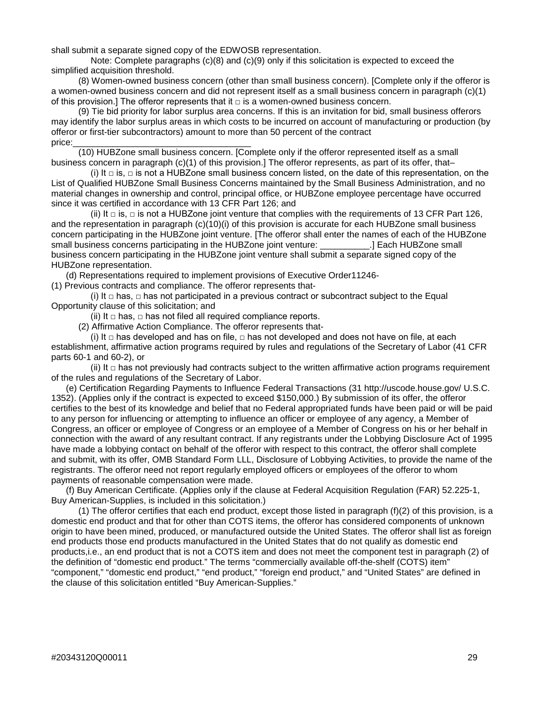shall submit a separate signed copy of the EDWOSB representation.

 Note: Complete paragraphs (c)(8) and (c)(9) only if this solicitation is expected to exceed the simplified acquisition threshold.

(8) Women-owned business concern (other than small business concern). [Complete only if the offeror is a women-owned business concern and did not represent itself as a small business concern in paragraph (c)(1) of this provision.] The offeror represents that it  $\Box$  is a women-owned business concern.

(9) Tie bid priority for labor surplus area concerns. If this is an invitation for bid, small business offerors may identify the labor surplus areas in which costs to be incurred on account of manufacturing or production (by offeror or first-tier subcontractors) amount to more than 50 percent of the contract price:\_\_\_\_\_\_\_\_\_\_\_\_\_\_\_\_\_\_\_\_\_\_\_\_\_\_\_\_\_\_\_\_\_\_\_\_

(10) HUBZone small business concern. [Complete only if the offeror represented itself as a small business concern in paragraph (c)(1) of this provision.] The offeror represents, as part of its offer, that–

(i) It  $\Box$  is,  $\Box$  is not a HUBZone small business concern listed, on the date of this representation, on the List of Qualified HUBZone Small Business Concerns maintained by the Small Business Administration, and no material changes in ownership and control, principal office, or HUBZone employee percentage have occurred since it was certified in accordance with 13 CFR Part 126; and

(ii) It  $\Box$  is,  $\Box$  is not a HUBZone joint venture that complies with the requirements of 13 CFR Part 126, and the representation in paragraph (c)(10)(i) of this provision is accurate for each HUBZone small business concern participating in the HUBZone joint venture. [The offeror shall enter the names of each of the HUBZone<br>small business concerns participating in the HUBZone joint venture: \_ \_ \_ \_ \_ .] Each HUBZone small small business concerns participating in the HUBZone joint venture: business concern participating in the HUBZone joint venture shall submit a separate signed copy of the HUBZone representation.

(d) Representations required to implement provisions of Executive Order11246-

(1) Previous contracts and compliance. The offeror represents that-

(i) It  $\Box$  has,  $\Box$  has not participated in a previous contract or subcontract subject to the Equal Opportunity clause of this solicitation; and

(ii) It  $\Box$  has,  $\Box$  has not filed all required compliance reports.

(2) Affirmative Action Compliance. The offeror represents that-

(i) It  $\Box$  has developed and has on file,  $\Box$  has not developed and does not have on file, at each establishment, affirmative action programs required by rules and regulations of the Secretary of Labor (41 CFR parts 60-1 and 60-2), or

(ii) It  $\square$  has not previously had contracts subject to the written affirmative action programs requirement of the rules and regulations of the Secretary of Labor.

(e) Certification Regarding Payments to Influence Federal Transactions (31 [http://uscode.house.gov/ U](http://uscode.house.gov/browse.xhtml;jsessionid=114A3287C7B3359E597506A31FC855B3).S.C. 1352). (Applies only if the contract is expected to exceed \$150,000.) By submission of its offer, the offeror certifies to the best of its knowledge and belief that no Federal appropriated funds have been paid or will be paid to any person for influencing or attempting to influence an officer or employee of any agency, a Member of Congress, an officer or employee of Congress or an employee of a Member of Congress on his or her behalf in connection with the award of any resultant contract. If any registrants under the Lobbying Disclosure Act of 1995 have made a lobbying contact on behalf of the offeror with respect to this contract, the offeror shall complete and submit, with its offer, OMB Standard Form LLL, Disclosure of Lobbying Activities, to provide the name of the registrants. The offeror need not report regularly employed officers or employees of the offeror to whom payments of reasonable compensation were made.

(f) Buy American Certificate. (Applies only if the clause at Federal Acquisition Regulation (FAR) [52.225-1,](https://www.acquisition.gov/content/52225-1-buy-american-supplies#i1053372) Buy American-Supplies, is included in this solicitation.)

(1) The offeror certifies that each end product, except those listed in paragraph  $(f)(2)$  of this provision, is a domestic end product and that for other than COTS items, the offeror has considered components of unknown origin to have been mined, produced, or manufactured outside the United States. The offeror shall list as foreign end products those end products manufactured in the United States that do not qualify as domestic end products,i.e., an end product that is not a COTS item and does not meet the component test in paragraph (2) of the definition of "domestic end product." The terms "commercially available off-the-shelf (COTS) item" "component," "domestic end product," "end product," "foreign end product," and "United States" are defined in the clause of this solicitation entitled "Buy American-Supplies."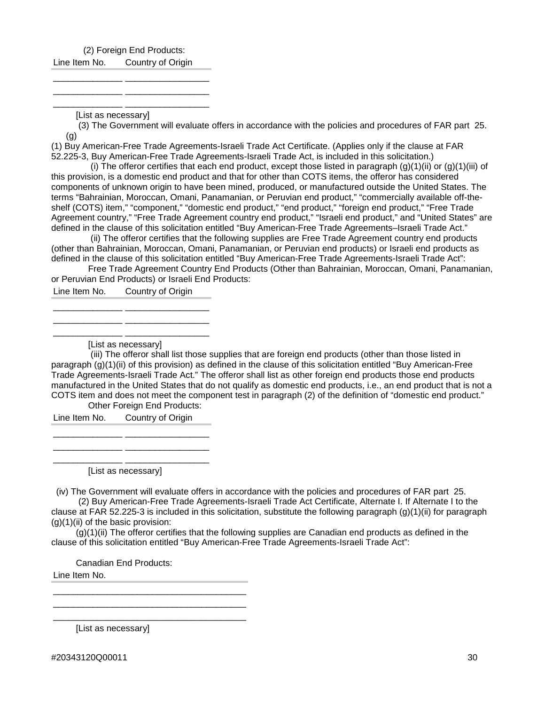(2) Foreign End Products: Line Item No. Country of Origin

\_\_\_\_\_\_\_\_\_\_\_\_\_\_ \_\_\_\_\_\_\_\_\_\_\_\_\_\_\_\_\_ \_\_\_\_\_\_\_\_\_\_\_\_\_\_ \_\_\_\_\_\_\_\_\_\_\_\_\_\_\_\_\_ \_\_\_\_\_\_\_\_\_\_\_\_\_\_ \_\_\_\_\_\_\_\_\_\_\_\_\_\_\_\_\_

[List as necessary]

(3) The Government will evaluate offers in accordance with the policies and procedures of FAR [part 25.](https://www.acquisition.gov/content/part-25-foreign-acquisition#i1093771) (g)

(1) Buy American-Free Trade Agreements-Israeli Trade Act Certificate. (Applies only if the clause at FAR [52.225-3,](https://www.acquisition.gov/content/52225-3-buy-american-free-trade-agreements-israeli-trade-act#i1053446) Buy American-Free Trade Agreements-Israeli Trade Act, is included in this solicitation.)

(i) The offeror certifies that each end product, except those listed in paragraph  $(q)(1)(ii)$  or  $(q)(1)(iii)$  of this provision, is a domestic end product and that for other than COTS items, the offeror has considered components of unknown origin to have been mined, produced, or manufactured outside the United States. The terms "Bahrainian, Moroccan, Omani, Panamanian, or Peruvian end product," "commercially available off-theshelf (COTS) item," "component," "domestic end product," "end product," "foreign end product," "Free Trade Agreement country," "Free Trade Agreement country end product," "Israeli end product," and "United States" are defined in the clause of this solicitation entitled "Buy American-Free Trade Agreements–Israeli Trade Act."

(ii) The offeror certifies that the following supplies are Free Trade Agreement country end products (other than Bahrainian, Moroccan, Omani, Panamanian, or Peruvian end products) or Israeli end products as defined in the clause of this solicitation entitled "Buy American-Free Trade Agreements-Israeli Trade Act":

 Free Trade Agreement Country End Products (Other than Bahrainian, Moroccan, Omani, Panamanian, or Peruvian End Products) or Israeli End Products:

Line Item No. Country of Origin \_\_\_\_\_\_\_\_\_\_\_\_\_\_ \_\_\_\_\_\_\_\_\_\_\_\_\_\_\_\_\_

\_\_\_\_\_\_\_\_\_\_\_\_\_\_ \_\_\_\_\_\_\_\_\_\_\_\_\_\_\_\_\_

\_\_\_\_\_\_\_\_\_\_\_\_\_\_ \_\_\_\_\_\_\_\_\_\_\_\_\_\_\_\_\_ [List as necessary]

(iii) The offeror shall list those supplies that are foreign end products (other than those listed in paragraph (g)(1)(ii) of this provision) as defined in the clause of this solicitation entitled "Buy American-Free Trade Agreements-Israeli Trade Act." The offeror shall list as other foreign end products those end products manufactured in the United States that do not qualify as domestic end products, i.e., an end product that is not a COTS item and does not meet the component test in paragraph (2) of the definition of "domestic end product."

Other Foreign End Products:

\_\_\_\_\_\_\_\_\_\_\_\_\_\_ \_\_\_\_\_\_\_\_\_\_\_\_\_\_\_\_\_

Line Item No. Country of Origin \_\_\_\_\_\_\_\_\_\_\_\_\_\_ \_\_\_\_\_\_\_\_\_\_\_\_\_\_\_\_\_

\_\_\_\_\_\_\_\_\_\_\_\_\_\_ \_\_\_\_\_\_\_\_\_\_\_\_\_\_\_\_\_ [List as necessary]

(iv) The Government will evaluate offers in accordance with the policies and procedures of FAR [part 25.](https://www.acquisition.gov/content/part-25-foreign-acquisition#i1093771) (2) Buy American-Free Trade Agreements-Israeli Trade Act Certificate, Alternate I. If Alternate I to the

clause at FAR [52.225-3](https://www.acquisition.gov/content/52225-3-buy-american-free-trade-agreements-israeli-trade-act#i1053446) is included in this solicitation, substitute the following paragraph  $(g)(1)(ii)$  for paragraph  $(g)(1)(ii)$  of the basic provision:

 $(q)(1)(ii)$  The offeror certifies that the following supplies are Canadian end products as defined in the clause of this solicitation entitled "Buy American-Free Trade Agreements-Israeli Trade Act":

Canadian End Products:

\_\_\_\_\_\_\_\_\_\_\_\_\_\_\_\_\_\_\_\_\_\_\_\_\_\_\_\_\_\_\_\_\_\_\_\_\_\_\_ \_\_\_\_\_\_\_\_\_\_\_\_\_\_\_\_\_\_\_\_\_\_\_\_\_\_\_\_\_\_\_\_\_\_\_\_\_\_\_ \_\_\_\_\_\_\_\_\_\_\_\_\_\_\_\_\_\_\_\_\_\_\_\_\_\_\_\_\_\_\_\_\_\_\_\_\_\_\_

Line Item No.

[List as necessary]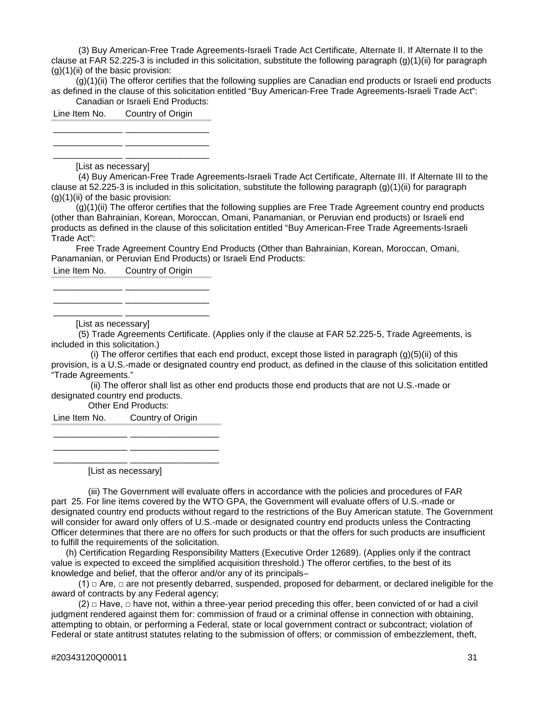(3) Buy American-Free Trade Agreements-Israeli Trade Act Certificate, Alternate II. If Alternate II to the clause at FAR [52.225-3](https://www.acquisition.gov/content/52225-3-buy-american-free-trade-agreements-israeli-trade-act#i1053446) is included in this solicitation, substitute the following paragraph (g)(1)(ii) for paragraph  $(q)(1)(ii)$  of the basic provision:

 (g)(1)(ii) The offeror certifies that the following supplies are Canadian end products or Israeli end products as defined in the clause of this solicitation entitled "Buy American-Free Trade Agreements-Israeli Trade Act": Canadian or Israeli End Products:

Line Item No. Country of Origin

\_\_\_\_\_\_\_\_\_\_\_\_\_\_ \_\_\_\_\_\_\_\_\_\_\_\_\_\_\_\_\_ \_\_\_\_\_\_\_\_\_\_\_\_\_\_ \_\_\_\_\_\_\_\_\_\_\_\_\_\_\_\_\_ \_\_\_\_\_\_\_\_\_\_\_\_\_\_ \_\_\_\_\_\_\_\_\_\_\_\_\_\_\_\_\_

[List as necessary]

(4) Buy American-Free Trade Agreements-Israeli Trade Act Certificate, Alternate III. If Alternate III to the clause at [52.225-3](https://www.acquisition.gov/content/52225-3-buy-american-free-trade-agreements-israeli-trade-act#i1053446) is included in this solicitation, substitute the following paragraph  $(g)(1)(ii)$  for paragraph  $(a)(1)(ii)$  of the basic provision:

 (g)(1)(ii) The offeror certifies that the following supplies are Free Trade Agreement country end products (other than Bahrainian, Korean, Moroccan, Omani, Panamanian, or Peruvian end products) or Israeli end products as defined in the clause of this solicitation entitled "Buy American-Free Trade Agreements-Israeli Trade Act":

 Free Trade Agreement Country End Products (Other than Bahrainian, Korean, Moroccan, Omani, Panamanian, or Peruvian End Products) or Israeli End Products:

Line Item No. Country of Origin

\_\_\_\_\_\_\_\_\_\_\_\_\_\_ \_\_\_\_\_\_\_\_\_\_\_\_\_\_\_\_\_ \_\_\_\_\_\_\_\_\_\_\_\_\_\_ \_\_\_\_\_\_\_\_\_\_\_\_\_\_\_\_\_ \_\_\_\_\_\_\_\_\_\_\_\_\_\_ \_\_\_\_\_\_\_\_\_\_\_\_\_\_\_\_\_

[List as necessary]

(5) Trade Agreements Certificate. (Applies only if the clause at FAR [52.225-5,](https://www.acquisition.gov/content/52225-5-trade-agreements#i1053648) Trade Agreements, is included in this solicitation.)

(i) The offeror certifies that each end product, except those listed in paragraph  $(q)(5)(ii)$  of this provision, is a U.S.-made or designated country end product, as defined in the clause of this solicitation entitled "Trade Agreements."

(ii) The offeror shall list as other end products those end products that are not U.S.-made or designated country end products.

Other End Products:

Line Item No. Country of Origin

\_\_\_\_\_\_\_\_\_\_\_\_\_\_\_ \_\_\_\_\_\_\_\_\_\_\_\_\_\_\_\_\_\_ \_\_\_\_\_\_\_\_\_\_\_\_\_\_\_ \_\_\_\_\_\_\_\_\_\_\_\_\_\_\_\_\_\_

 $\overline{\phantom{a}}$  ,  $\overline{\phantom{a}}$  ,  $\overline{\phantom{a}}$  ,  $\overline{\phantom{a}}$  ,  $\overline{\phantom{a}}$  ,  $\overline{\phantom{a}}$  ,  $\overline{\phantom{a}}$  ,  $\overline{\phantom{a}}$  ,  $\overline{\phantom{a}}$  ,  $\overline{\phantom{a}}$  ,  $\overline{\phantom{a}}$  ,  $\overline{\phantom{a}}$  ,  $\overline{\phantom{a}}$  ,  $\overline{\phantom{a}}$  ,  $\overline{\phantom{a}}$  ,  $\overline{\phantom{a}}$ 

[List as necessary]

(iii) The Government will evaluate offers in accordance with the policies and procedures of FAR [part 25.](https://www.acquisition.gov/content/part-25-foreign-acquisition#i1093771) For line items covered by the WTO GPA, the Government will evaluate offers of U.S.-made or designated country end products without regard to the restrictions of the Buy American statute. The Government will consider for award only offers of U.S.-made or designated country end products unless the Contracting Officer determines that there are no offers for such products or that the offers for such products are insufficient to fulfill the requirements of the solicitation.

(h) Certification Regarding Responsibility Matters (Executive Order 12689). (Applies only if the contract value is expected to exceed the simplified acquisition threshold.) The offeror certifies, to the best of its knowledge and belief, that the offeror and/or any of its principals–

 $(1)$   $\Box$  Are,  $\Box$  are not presently debarred, suspended, proposed for debarment, or declared ineligible for the award of contracts by any Federal agency;

 $(2)$   $\Box$  Have,  $\Box$  have not, within a three-year period preceding this offer, been convicted of or had a civil judgment rendered against them for: commission of fraud or a criminal offense in connection with obtaining, attempting to obtain, or performing a Federal, state or local government contract or subcontract; violation of Federal or state antitrust statutes relating to the submission of offers; or commission of embezzlement, theft,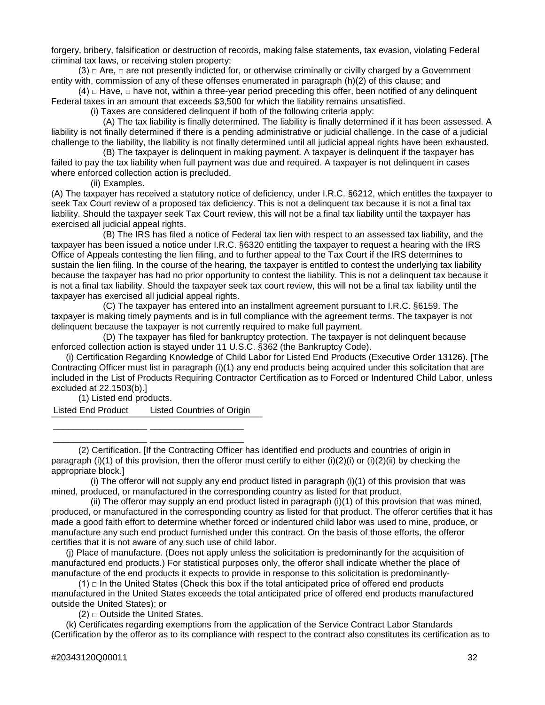forgery, bribery, falsification or destruction of records, making false statements, tax evasion, violating Federal criminal tax laws, or receiving stolen property;

 $(3)$   $\cap$  Are,  $\cap$  are not presently indicted for, or otherwise criminally or civilly charged by a Government entity with, commission of any of these offenses enumerated in paragraph (h)(2) of this clause; and

 $(4)$   $\Box$  Have,  $\Box$  have not, within a three-year period preceding this offer, been notified of any delinguent Federal taxes in an amount that exceeds \$3,500 for which the liability remains unsatisfied.

(i) Taxes are considered delinquent if both of the following criteria apply:

(A) The tax liability is finally determined. The liability is finally determined if it has been assessed. A liability is not finally determined if there is a pending administrative or judicial challenge. In the case of a judicial challenge to the liability, the liability is not finally determined until all judicial appeal rights have been exhausted.

(B) The taxpayer is delinquent in making payment. A taxpayer is delinquent if the taxpayer has failed to pay the tax liability when full payment was due and required. A taxpayer is not delinquent in cases where enforced collection action is precluded.

(ii) Examples.

(A) The taxpayer has received a statutory notice of deficiency, under I.R.C. §6212, which entitles the taxpayer to seek Tax Court review of a proposed tax deficiency. This is not a delinquent tax because it is not a final tax liability. Should the taxpayer seek Tax Court review, this will not be a final tax liability until the taxpayer has exercised all judicial appeal rights.

(B) The IRS has filed a notice of Federal tax lien with respect to an assessed tax liability, and the taxpayer has been issued a notice under I.R.C. §6320 entitling the taxpayer to request a hearing with the IRS Office of Appeals contesting the lien filing, and to further appeal to the Tax Court if the IRS determines to sustain the lien filing. In the course of the hearing, the taxpayer is entitled to contest the underlying tax liability because the taxpayer has had no prior opportunity to contest the liability. This is not a delinquent tax because it is not a final tax liability. Should the taxpayer seek tax court review, this will not be a final tax liability until the taxpayer has exercised all judicial appeal rights.

(C) The taxpayer has entered into an installment agreement pursuant to I.R.C. §6159. The taxpayer is making timely payments and is in full compliance with the agreement terms. The taxpayer is not delinquent because the taxpayer is not currently required to make full payment.

(D) The taxpayer has filed for bankruptcy protection. The taxpayer is not delinquent because enforced collection action is stayed under 11 U.S.C. §362 (the Bankruptcy Code).

(i) Certification Regarding Knowledge of Child Labor for Listed End Products (Executive Order 13126). [The Contracting Officer must list in paragraph (i)(1) any end products being acquired under this solicitation that are included in the List of Products Requiring Contractor Certification as to Forced or Indentured Child Labor, unless excluded at [22.1503\(](https://www.acquisition.gov/content/part-22-application-labor-laws-government-acquisitions#i1095815)b).]

(1) Listed end products.

Listed End Product Listed Countries of Origin

\_\_\_\_\_\_\_\_\_\_\_\_\_\_\_\_\_\_\_ \_\_\_\_\_\_\_\_\_\_\_\_\_\_\_\_\_\_\_ \_\_\_\_\_\_\_\_\_\_\_\_\_\_\_\_\_\_\_ \_\_\_\_\_\_\_\_\_\_\_\_\_\_\_\_\_\_\_

(2) Certification. [If the Contracting Officer has identified end products and countries of origin in paragraph (i)(1) of this provision, then the offeror must certify to either (i)(2)(i) or (i)(2)(ii) by checking the appropriate block.]

(i) The offeror will not supply any end product listed in paragraph (i)(1) of this provision that was mined, produced, or manufactured in the corresponding country as listed for that product.

(ii) The offeror may supply an end product listed in paragraph (i)(1) of this provision that was mined, produced, or manufactured in the corresponding country as listed for that product. The offeror certifies that it has made a good faith effort to determine whether forced or indentured child labor was used to mine, produce, or manufacture any such end product furnished under this contract. On the basis of those efforts, the offeror certifies that it is not aware of any such use of child labor.

(j) Place of manufacture. (Does not apply unless the solicitation is predominantly for the acquisition of manufactured end products.) For statistical purposes only, the offeror shall indicate whether the place of manufacture of the end products it expects to provide in response to this solicitation is predominantly-

 $(1)$   $\Box$  In the United States (Check this box if the total anticipated price of offered end products manufactured in the United States exceeds the total anticipated price of offered end products manufactured outside the United States); or

 $(2)$   $\Box$  Outside the United States.

(k) Certificates regarding exemptions from the application of the Service Contract Labor Standards (Certification by the offeror as to its compliance with respect to the contract also constitutes its certification as to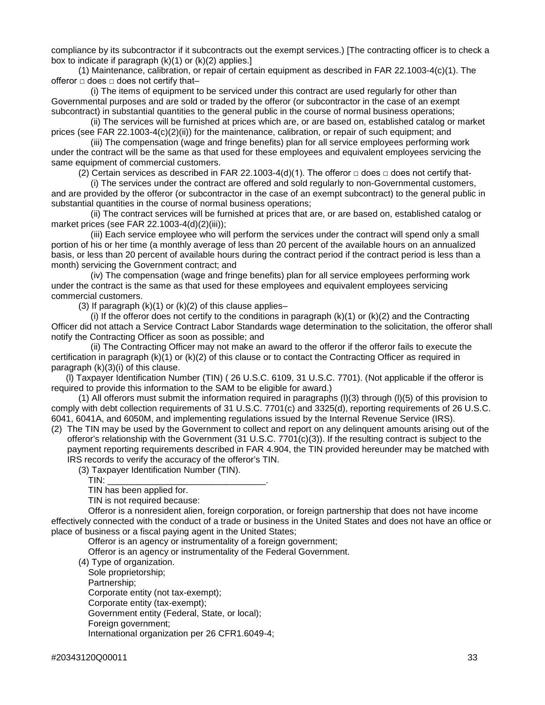compliance by its subcontractor if it subcontracts out the exempt services.) [The contracting officer is to check a box to indicate if paragraph  $(k)(1)$  or  $(k)(2)$  applies.]

(1) Maintenance, calibration, or repair of certain equipment as described in FAR [22.1003-4\(](https://www.acquisition.gov/content/221003-4-administrative-limitations-variations-tolerances-and-exemptions#i1096436)c)(1). The offeror  $\Box$  does  $\Box$  does not certify that-

(i) The items of equipment to be serviced under this contract are used regularly for other than Governmental purposes and are sold or traded by the offeror (or subcontractor in the case of an exempt subcontract) in substantial quantities to the general public in the course of normal business operations;

(ii) The services will be furnished at prices which are, or are based on, established catalog or market prices (see FAR [22.1003-4\(](https://www.acquisition.gov/content/221003-4-administrative-limitations-variations-tolerances-and-exemptions#i1096436)c)(2)(ii)) for the maintenance, calibration, or repair of such equipment; and

(iii) The compensation (wage and fringe benefits) plan for all service employees performing work under the contract will be the same as that used for these employees and equivalent employees servicing the same equipment of commercial customers.

(2) Certain services as described in FAR [22.1003-4](https://www.acquisition.gov/content/221003-4-administrative-limitations-variations-tolerances-and-exemptions#i1096436)(d)(1). The offeror  $\Box$  does  $\Box$  does not certify that-

(i) The services under the contract are offered and sold regularly to non-Governmental customers, and are provided by the offeror (or subcontractor in the case of an exempt subcontract) to the general public in substantial quantities in the course of normal business operations;

(ii) The contract services will be furnished at prices that are, or are based on, established catalog or market prices (see FAR [22.1003-4\(](https://www.acquisition.gov/content/part-22-application-labor-laws-government-acquisitions#i1096436)d)(2)(iii));

(iii) Each service employee who will perform the services under the contract will spend only a small portion of his or her time (a monthly average of less than 20 percent of the available hours on an annualized basis, or less than 20 percent of available hours during the contract period if the contract period is less than a month) servicing the Government contract; and

(iv) The compensation (wage and fringe benefits) plan for all service employees performing work under the contract is the same as that used for these employees and equivalent employees servicing commercial customers.

(3) If paragraph  $(k)(1)$  or  $(k)(2)$  of this clause applies-

(i) If the offeror does not certify to the conditions in paragraph  $(k)(1)$  or  $(k)(2)$  and the Contracting Officer did not attach a Service Contract Labor Standards wage determination to the solicitation, the offeror shall notify the Contracting Officer as soon as possible; and

(ii) The Contracting Officer may not make an award to the offeror if the offeror fails to execute the certification in paragraph (k)(1) or (k)(2) of this clause or to contact the Contracting Officer as required in paragraph (k)(3)(i) of this clause.

(l) Taxpayer Identification Number (TIN) ( [26 U.S.C. 6109, 31 U.S.C. 7701\)](http://uscode.house.gov/browse.xhtml;jsessionid=114A3287C7B3359E597506A31FC855B3). (Not applicable if the offeror is required to provide this information to the SAM to be eligible for award.)

(1) All offerors must submit the information required in paragraphs (l)(3) through (l)(5) of this provision to comply with debt collection requirements of [31 U.S.C. 7701\(c\) and 3325\(d\),](http://uscode.house.gov/browse.xhtml;jsessionid=114A3287C7B3359E597506A31FC855B3) reporting requirements of [26 U.S.C.](http://uscode.house.gov/browse.xhtml;jsessionid=114A3287C7B3359E597506A31FC855B3)  [6041, 6041A, and 6050M,](http://uscode.house.gov/browse.xhtml;jsessionid=114A3287C7B3359E597506A31FC855B3) and implementing regulations issued by the Internal Revenue Service (IRS).

(2) The TIN may be used by the Government to collect and report on any delinquent amounts arising out of the offeror's relationship with the Government [\(31 U.S.C. 7701\(c\)\(3\)\)](http://uscode.house.gov/browse.xhtml;jsessionid=114A3287C7B3359E597506A31FC855B3). If the resulting contract is subject to the payment reporting requirements described in FAR [4.904,](https://www.acquisition.gov/content/4904-reporting-payment-information-irs#i1122270) the TIN provided hereunder may be matched with IRS records to verify the accuracy of the offeror's TIN.

(3) Taxpayer Identification Number (TIN).

TIN: \_\_\_\_\_\_\_\_\_\_\_\_\_\_\_\_\_\_\_\_\_\_\_\_\_\_\_\_\_\_\_\_.

TIN has been applied for.

TIN is not required because:

Offeror is a nonresident alien, foreign corporation, or foreign partnership that does not have income effectively connected with the conduct of a trade or business in the United States and does not have an office or place of business or a fiscal paying agent in the United States;

Offeror is an agency or instrumentality of a foreign government;

Offeror is an agency or instrumentality of the Federal Government.

(4) Type of organization.

Sole proprietorship;

Partnership;

Corporate entity (not tax-exempt);

Corporate entity (tax-exempt);

Government entity (Federal, State, or local);

Foreign government;

International organization per 26 CFR1.6049-4;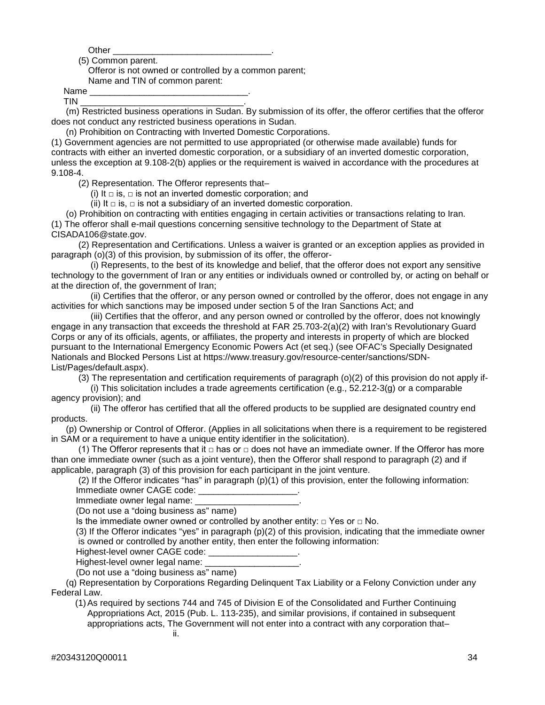Other

(5) Common parent.

Offeror is not owned or controlled by a common parent; Name and TIN of common parent:

Name TIN \_\_\_\_\_\_\_\_\_\_\_\_\_\_\_\_\_\_\_\_\_\_\_\_\_\_\_\_\_\_\_\_\_.

(m) Restricted business operations in Sudan. By submission of its offer, the offeror certifies that the offeror does not conduct any restricted business operations in Sudan.

(n) Prohibition on Contracting with Inverted Domestic Corporations.

(1) Government agencies are not permitted to use appropriated (or otherwise made available) funds for contracts with either an inverted domestic corporation, or a subsidiary of an inverted domestic corporation, unless the exception at [9.108-2\(](https://www.acquisition.gov/content/9108-2-prohibition#i1116407)b) applies or the requirement is waived in accordance with the procedures at [9.108-4.](https://www.acquisition.gov/content/9108-4-waiver#i1116422)

(2) Representation. The Offeror represents that–

(i) It  $\square$  is,  $\square$  is not an inverted domestic corporation: and

(ii) It  $\square$  is,  $\square$  is not a subsidiary of an inverted domestic corporation.

(o) Prohibition on contracting with entities engaging in certain activities or transactions relating to Iran.

(1) The offeror shall e-mail questions concerning sensitive technology to the Department of State at [CISADA106@state.gov.](mailto:CISADA106@state.gov)

(2) Representation and Certifications. Unless a waiver is granted or an exception applies as provided in paragraph (o)(3) of this provision, by submission of its offer, the offeror-

(i) Represents, to the best of its knowledge and belief, that the offeror does not export any sensitive technology to the government of Iran or any entities or individuals owned or controlled by, or acting on behalf or at the direction of, the government of Iran;

(ii) Certifies that the offeror, or any person owned or controlled by the offeror, does not engage in any activities for which sanctions may be imposed under section 5 of the Iran Sanctions Act; and

(iii) Certifies that the offeror, and any person owned or controlled by the offeror, does not knowingly engage in any transaction that exceeds the threshold at FAR [25.703-2\(](https://www.acquisition.gov/content/25703-2-iran-sanctions-act#i1091276)a)(2) with Iran's Revolutionary Guard Corps or any of its officials, agents, or affiliates, the property and interests in property of which are blocked pursuant to the International Emergency Economic Powers Act (et seq.) (see OFAC's Specially Designated Nationals and Blocked Persons List at [https://www.treasury.gov/resource-center/sanctions/SDN-](https://www.treasury.gov/resource-center/sanctions/SDN-List/Pages/default.aspx)[List/Pages/default.aspx\)](https://www.treasury.gov/resource-center/sanctions/SDN-List/Pages/default.aspx).

(3) The representation and certification requirements of paragraph (o)(2) of this provision do not apply if-

(i) This solicitation includes a trade agreements certification (e.g.,  $52.212-3$ (g) or a comparable agency provision); and

(ii) The offeror has certified that all the offered products to be supplied are designated country end products.

(p) Ownership or Control of Offeror. (Applies in all solicitations when there is a requirement to be registered in SAM or a requirement to have a unique entity identifier in the solicitation).

(1) The Offeror represents that it  $\Box$  has or  $\Box$  does not have an immediate owner. If the Offeror has more than one immediate owner (such as a joint venture), then the Offeror shall respond to paragraph (2) and if applicable, paragraph (3) of this provision for each participant in the joint venture.

(2) If the Offeror indicates "has" in paragraph (p)(1) of this provision, enter the following information:

Immediate owner CAGE code: \_\_\_\_\_\_\_\_\_\_\_\_\_\_\_\_\_\_\_\_.

Immediate owner legal name:

(Do not use a "doing business as" name)

Is the immediate owner owned or controlled by another entity:  $\Box$  Yes or  $\Box$  No.

(3) If the Offeror indicates "yes" in paragraph  $(p)(2)$  of this provision, indicating that the immediate owner is owned or controlled by another entity, then enter the following information:

Highest-level owner CAGE code:

Highest-level owner legal name:

(Do not use a "doing business as" name)

(q) Representation by Corporations Regarding Delinquent Tax Liability or a Felony Conviction under any Federal Law.

(1)As required by sections 744 and 745 of Division E of the Consolidated and Further Continuing Appropriations Act, 2015 (Pub. L. 113-235), and similar provisions, if contained in subsequent appropriations acts, The Government will not enter into a contract with any corporation that–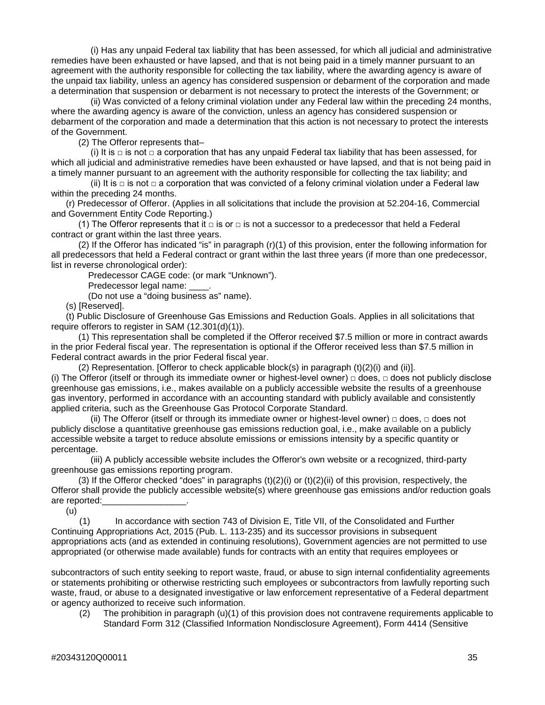(i) Has any unpaid Federal tax liability that has been assessed, for which all judicial and administrative remedies have been exhausted or have lapsed, and that is not being paid in a timely manner pursuant to an agreement with the authority responsible for collecting the tax liability, where the awarding agency is aware of the unpaid tax liability, unless an agency has considered suspension or debarment of the corporation and made a determination that suspension or debarment is not necessary to protect the interests of the Government; or

(ii) Was convicted of a felony criminal violation under any Federal law within the preceding 24 months, where the awarding agency is aware of the conviction, unless an agency has considered suspension or debarment of the corporation and made a determination that this action is not necessary to protect the interests of the Government.

(2) The Offeror represents that–

(i) It is  $\Box$  is not  $\Box$  a corporation that has any unpaid Federal tax liability that has been assessed, for which all judicial and administrative remedies have been exhausted or have lapsed, and that is not being paid in a timely manner pursuant to an agreement with the authority responsible for collecting the tax liability; and

(ii) It is  $\Box$  is not  $\Box$  a corporation that was convicted of a felony criminal violation under a Federal law within the preceding 24 months.

(r) Predecessor of Offeror. (Applies in all solicitations that include the provision at [52.204-16,](https://www.acquisition.gov/content/52204-16-commercial-and-government-entity-code-reporting#i1064275) Commercial and Government Entity Code Reporting.)

(1) The Offeror represents that it  $\Box$  is or  $\Box$  is not a successor to a predecessor that held a Federal contract or grant within the last three years.

(2) If the Offeror has indicated "is" in paragraph (r)(1) of this provision, enter the following information for all predecessors that held a Federal contract or grant within the last three years (if more than one predecessor, list in reverse chronological order):

Predecessor CAGE code: (or mark "Unknown").

Predecessor legal name:  $\qquad \qquad$ .

(Do not use a "doing business as" name).

(s) [Reserved].

(t) Public Disclosure of Greenhouse Gas Emissions and Reduction Goals. Applies in all solicitations that require offerors to register in SAM [\(12.301\(](https://www.acquisition.gov/content/12301-solicitation-provisions-and-contract-clauses-acquisition-commercial-items#i1113145)d)(1)).

(1) This representation shall be completed if the Offeror received \$7.5 million or more in contract awards in the prior Federal fiscal year. The representation is optional if the Offeror received less than \$7.5 million in Federal contract awards in the prior Federal fiscal year.

(2) Representation. [Offeror to check applicable block(s) in paragraph (t)(2)(i) and (ii)]. (i) The Offeror (itself or through its immediate owner or highest-level owner)  $\Box$  does,  $\Box$  does not publicly disclose greenhouse gas emissions, i.e., makes available on a publicly accessible website the results of a greenhouse gas inventory, performed in accordance with an accounting standard with publicly available and consistently applied criteria, such as the Greenhouse Gas Protocol Corporate Standard.

(ii) The Offeror (itself or through its immediate owner or highest-level owner)  $\Box$  does,  $\Box$  does not publicly disclose a quantitative greenhouse gas emissions reduction goal, i.e., make available on a publicly accessible website a target to reduce absolute emissions or emissions intensity by a specific quantity or percentage.

(iii) A publicly accessible website includes the Offeror's own website or a recognized, third-party greenhouse gas emissions reporting program.

(3) If the Offeror checked "does" in paragraphs (t)(2)(i) or (t)(2)(ii) of this provision, respectively, the Offeror shall provide the publicly accessible website(s) where greenhouse gas emissions and/or reduction goals are reported:

(u)

(1) In accordance with section 743 of Division E, Title VII, of the Consolidated and Further Continuing Appropriations Act, 2015 (Pub. L. 113-235) and its successor provisions in subsequent appropriations acts (and as extended in continuing resolutions), Government agencies are not permitted to use appropriated (or otherwise made available) funds for contracts with an entity that requires employees or

subcontractors of such entity seeking to report waste, fraud, or abuse to sign internal confidentiality agreements or statements prohibiting or otherwise restricting such employees or subcontractors from lawfully reporting such waste, fraud, or abuse to a designated investigative or law enforcement representative of a Federal department or agency authorized to receive such information.

(2) The prohibition in paragraph  $(u)(1)$  of this provision does not contravene requirements applicable to Standard Form 312 (Classified Information Nondisclosure Agreement), Form 4414 (Sensitive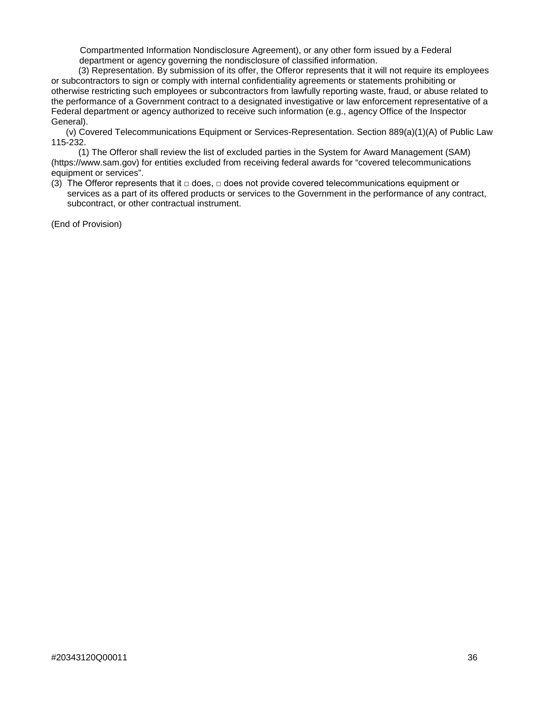Compartmented Information Nondisclosure Agreement), or any other form issued by a Federal department or agency governing the nondisclosure of classified information.

(3) Representation. By submission of its offer, the Offeror represents that it will not require its employees or subcontractors to sign or comply with internal confidentiality agreements or statements prohibiting or otherwise restricting such employees or subcontractors from lawfully reporting waste, fraud, or abuse related to the performance of a Government contract to a designated investigative or law enforcement representative of a Federal department or agency authorized to receive such information (e.g., agency Office of the Inspector General).

(v) Covered Telecommunications Equipment or Services-Representation. Section 889(a)(1)(A) of Public Law 115-232.

(1) The Offeror shall review the list of excluded parties in the System for Award Management (SAM) [\(https://www.sam.gov\)](https://www.sam.gov/) for entities excluded from receiving federal awards for "covered telecommunications equipment or services".

(3) The Offeror represents that it  $\Box$  does,  $\Box$  does not provide covered telecommunications equipment or services as a part of its offered products or services to the Government in the performance of any contract, subcontract, or other contractual instrument.

(End of Provision)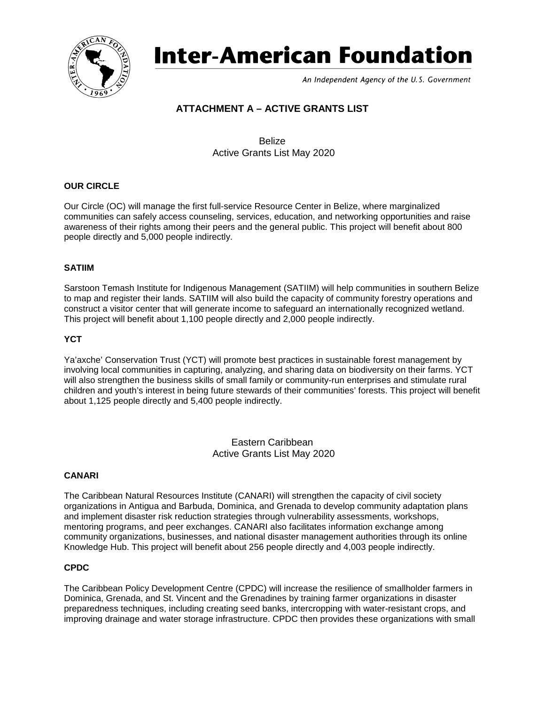

# **Inter-American Foundation**

An Independent Agency of the U.S. Government

# **ATTACHMENT A – ACTIVE GRANTS LIST**

Belize Active Grants List May 2020

# **OUR CIRCLE**

Our Circle (OC) will manage the first full-service Resource Center in Belize, where marginalized communities can safely access counseling, services, education, and networking opportunities and raise awareness of their rights among their peers and the general public. This project will benefit about 800 people directly and 5,000 people indirectly.

# **SATIIM**

Sarstoon Temash Institute for Indigenous Management (SATIIM) will help communities in southern Belize to map and register their lands. SATIIM will also build the capacity of community forestry operations and construct a visitor center that will generate income to safeguard an internationally recognized wetland. This project will benefit about 1,100 people directly and 2,000 people indirectly.

# **YCT**

Ya'axche' Conservation Trust (YCT) will promote best practices in sustainable forest management by involving local communities in capturing, analyzing, and sharing data on biodiversity on their farms. YCT will also strengthen the business skills of small family or community-run enterprises and stimulate rural children and youth's interest in being future stewards of their communities' forests. This project will benefit about 1,125 people directly and 5,400 people indirectly.

> Eastern Caribbean Active Grants List May 2020

# **CANARI**

The Caribbean Natural Resources Institute (CANARI) will strengthen the capacity of civil society organizations in Antigua and Barbuda, Dominica, and Grenada to develop community adaptation plans and implement disaster risk reduction strategies through vulnerability assessments, workshops, mentoring programs, and peer exchanges. CANARI also facilitates information exchange among community organizations, businesses, and national disaster management authorities through its online Knowledge Hub. This project will benefit about 256 people directly and 4,003 people indirectly.

#### **CPDC**

The Caribbean Policy Development Centre (CPDC) will increase the resilience of smallholder farmers in Dominica, Grenada, and St. Vincent and the Grenadines by training farmer organizations in disaster preparedness techniques, including creating seed banks, intercropping with water-resistant crops, and improving drainage and water storage infrastructure. CPDC then provides these organizations with small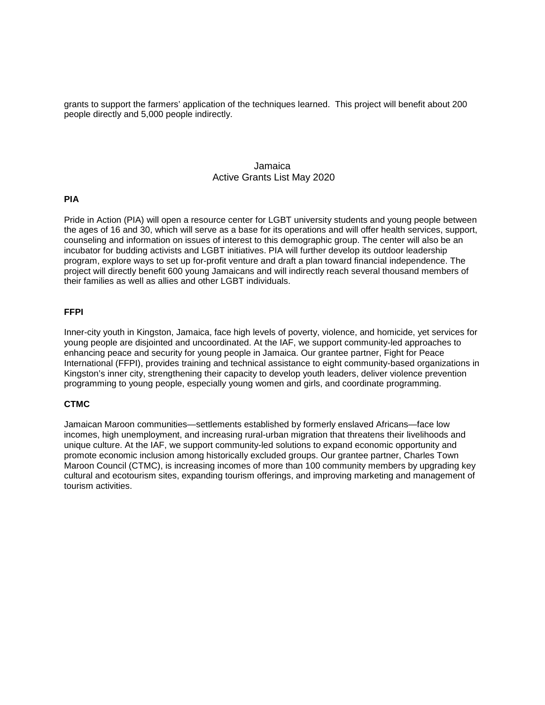grants to support the farmers' application of the techniques learned. This project will benefit about 200 people directly and 5,000 people indirectly.

# Jamaica Active Grants List May 2020

#### **PIA**

Pride in Action (PIA) will open a resource center for LGBT university students and young people between the ages of 16 and 30, which will serve as a base for its operations and will offer health services, support, counseling and information on issues of interest to this demographic group. The center will also be an incubator for budding activists and LGBT initiatives. PIA will further develop its outdoor leadership program, explore ways to set up for-profit venture and draft a plan toward financial independence. The project will directly benefit 600 young Jamaicans and will indirectly reach several thousand members of their families as well as allies and other LGBT individuals.

#### **FFPI**

Inner-city youth in Kingston, Jamaica, face high levels of poverty, violence, and homicide, yet services for young people are disjointed and uncoordinated. At the IAF, we support community-led approaches to enhancing peace and security for young people in Jamaica. Our grantee partner, Fight for Peace International (FFPI), provides training and technical assistance to eight community-based organizations in Kingston's inner city, strengthening their capacity to develop youth leaders, deliver violence prevention programming to young people, especially young women and girls, and coordinate programming.

#### **CTMC**

Jamaican Maroon communities—settlements established by formerly enslaved Africans—face low incomes, high unemployment, and increasing rural-urban migration that threatens their livelihoods and unique culture. At the IAF, we support community-led solutions to expand economic opportunity and promote economic inclusion among historically excluded groups. Our grantee partner, Charles Town Maroon Council (CTMC), is increasing incomes of more than 100 community members by upgrading key cultural and ecotourism sites, expanding tourism offerings, and improving marketing and management of tourism activities.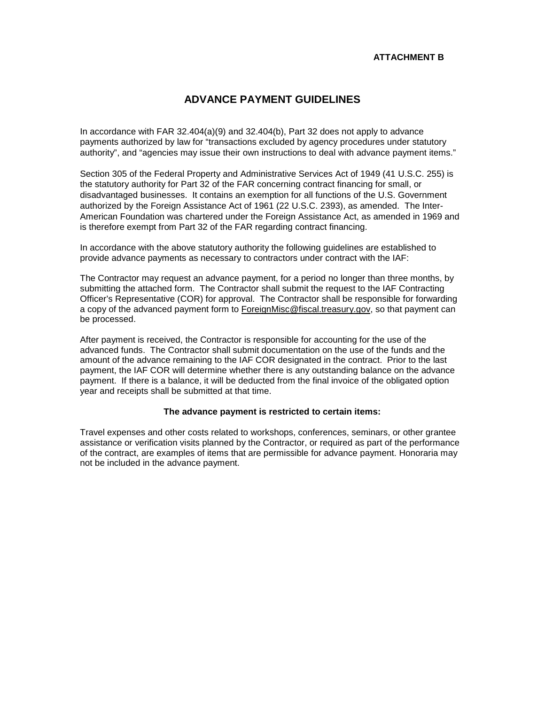# **ADVANCE PAYMENT GUIDELINES**

In accordance with FAR 32.404(a)(9) and 32.404(b), Part 32 does not apply to advance payments authorized by law for "transactions excluded by agency procedures under statutory authority", and "agencies may issue their own instructions to deal with advance payment items."

Section 305 of the Federal Property and Administrative Services Act of 1949 (41 U.S.C. 255) is the statutory authority for Part 32 of the FAR concerning contract financing for small, or disadvantaged businesses. It contains an exemption for all functions of the U.S. Government authorized by the Foreign Assistance Act of 1961 (22 U.S.C. 2393), as amended. The Inter-American Foundation was chartered under the Foreign Assistance Act, as amended in 1969 and is therefore exempt from Part 32 of the FAR regarding contract financing.

In accordance with the above statutory authority the following guidelines are established to provide advance payments as necessary to contractors under contract with the IAF:

The Contractor may request an advance payment, for a period no longer than three months, by submitting the attached form. The Contractor shall submit the request to the IAF Contracting Officer's Representative (COR) for approval. The Contractor shall be responsible for forwarding a copy of the advanced payment form to [ForeignMisc@fiscal.treasury.gov,](mailto:ForeignMisc@fiscal.treasury.gov) so that payment can be processed.

After payment is received, the Contractor is responsible for accounting for the use of the advanced funds. The Contractor shall submit documentation on the use of the funds and the amount of the advance remaining to the IAF COR designated in the contract. Prior to the last payment, the IAF COR will determine whether there is any outstanding balance on the advance payment. If there is a balance, it will be deducted from the final invoice of the obligated option year and receipts shall be submitted at that time.

#### **The advance payment is restricted to certain items:**

Travel expenses and other costs related to workshops, conferences, seminars, or other grantee assistance or verification visits planned by the Contractor, or required as part of the performance of the contract, are examples of items that are permissible for advance payment. Honoraria may not be included in the advance payment.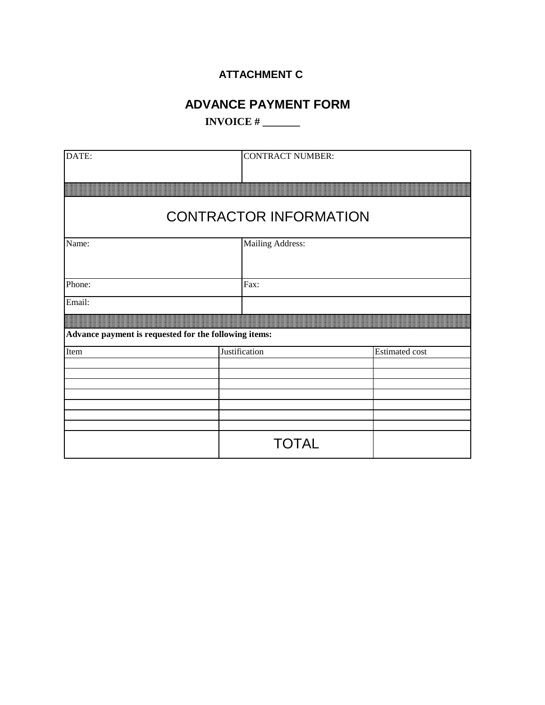# **ATTACHMENT C**

# **ADVANCE PAYMENT FORM**

**INVOICE # \_\_\_\_\_\_\_**

| DATE:                                                 |                               | <b>CONTRACT NUMBER:</b> |  |
|-------------------------------------------------------|-------------------------------|-------------------------|--|
|                                                       |                               |                         |  |
|                                                       |                               |                         |  |
|                                                       | <b>CONTRACTOR INFORMATION</b> |                         |  |
| Name:                                                 | Mailing Address:              |                         |  |
| Phone:                                                | Fax:                          |                         |  |
| Email:                                                |                               |                         |  |
| Advance payment is requested for the following items: |                               |                         |  |
| Item                                                  | Justification                 | <b>Estimated cost</b>   |  |
|                                                       |                               |                         |  |
|                                                       |                               |                         |  |
|                                                       |                               |                         |  |
|                                                       | <b>TOTAL</b>                  |                         |  |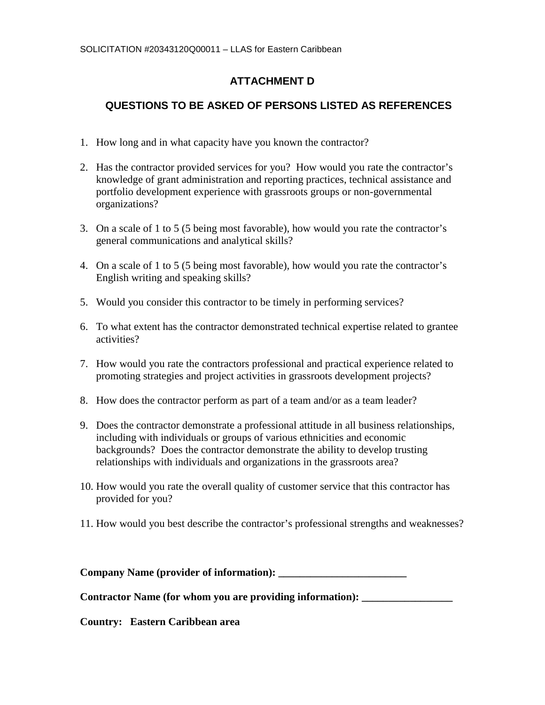# **ATTACHMENT D**

# **QUESTIONS TO BE ASKED OF PERSONS LISTED AS REFERENCES**

- 1. How long and in what capacity have you known the contractor?
- 2. Has the contractor provided services for you? How would you rate the contractor's knowledge of grant administration and reporting practices, technical assistance and portfolio development experience with grassroots groups or non-governmental organizations?
- 3. On a scale of 1 to 5 (5 being most favorable), how would you rate the contractor's general communications and analytical skills?
- 4. On a scale of 1 to 5 (5 being most favorable), how would you rate the contractor's English writing and speaking skills?
- 5. Would you consider this contractor to be timely in performing services?
- 6. To what extent has the contractor demonstrated technical expertise related to grantee activities?
- 7. How would you rate the contractors professional and practical experience related to promoting strategies and project activities in grassroots development projects?
- 8. How does the contractor perform as part of a team and/or as a team leader?
- 9. Does the contractor demonstrate a professional attitude in all business relationships, including with individuals or groups of various ethnicities and economic backgrounds? Does the contractor demonstrate the ability to develop trusting relationships with individuals and organizations in the grassroots area?
- 10. How would you rate the overall quality of customer service that this contractor has provided for you?
- 11. How would you best describe the contractor's professional strengths and weaknesses?

**Company Name (provider of information): \_\_\_\_\_\_\_\_\_\_\_\_\_\_\_\_\_\_\_\_\_\_\_\_** 

Contractor Name (for whom you are providing information): \_\_\_\_\_\_\_\_\_\_\_\_\_\_\_\_\_\_\_\_\_\_

**Country: Eastern Caribbean area**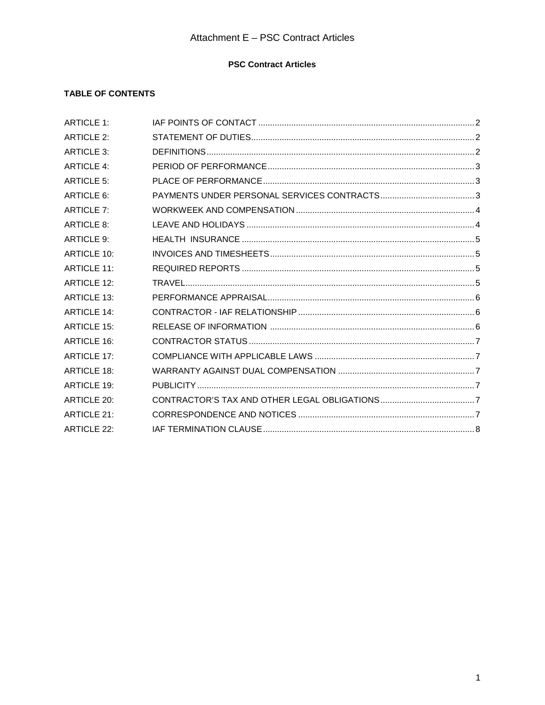# **PSC Contract Articles**

# **TABLE OF CONTENTS**

| <b>ARTICLE 1:</b>  |  |
|--------------------|--|
| <b>ARTICLE 2:</b>  |  |
| <b>ARTICLE 3:</b>  |  |
| ARTICLE 4:         |  |
| ARTICLE 5:         |  |
| ARTICLE 6:         |  |
| <b>ARTICLE 7:</b>  |  |
| <b>ARTICLE 8:</b>  |  |
| ARTICLE 9:         |  |
| <b>ARTICLE 10:</b> |  |
| <b>ARTICLE 11:</b> |  |
| <b>ARTICLE 12:</b> |  |
| <b>ARTICLE 13:</b> |  |
| <b>ARTICLE 14:</b> |  |
| <b>ARTICLE 15:</b> |  |
| ARTICLE 16:        |  |
| <b>ARTICLE 17:</b> |  |
| ARTICLE 18:        |  |
| <b>ARTICLE 19:</b> |  |
| ARTICLE 20:        |  |
| ARTICLE 21:        |  |
| <b>ARTICLE 22:</b> |  |
|                    |  |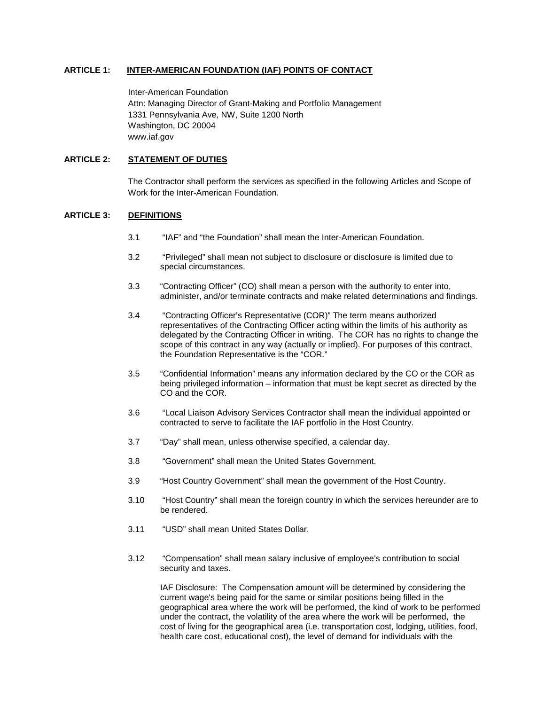#### **ARTICLE 1: INTER-AMERICAN FOUNDATION (IAF) POINTS OF CONTACT**

Inter-American Foundation Attn: Managing Director of Grant-Making and Portfolio Management 1331 Pennsylvania Ave, NW, Suite 1200 North Washington, DC 20004 www.iaf.gov

# **ARTICLE 2: STATEMENT OF DUTIES**

The Contractor shall perform the services as specified in the following Articles and Scope of Work for the Inter-American Foundation.

# **ARTICLE 3: DEFINITIONS**

- 3.1 "IAF" and "the Foundation" shall mean the Inter-American Foundation.
- 3.2 "Privileged" shall mean not subject to disclosure or disclosure is limited due to special circumstances.
- 3.3 "Contracting Officer" (CO) shall mean a person with the authority to enter into, administer, and/or terminate contracts and make related determinations and findings.
- 3.4 "Contracting Officer's Representative (COR)" The term means authorized representatives of the Contracting Officer acting within the limits of his authority as delegated by the Contracting Officer in writing. The COR has no rights to change the scope of this contract in any way (actually or implied). For purposes of this contract, the Foundation Representative is the "COR."
- 3.5 "Confidential Information" means any information declared by the CO or the COR as being privileged information – information that must be kept secret as directed by the CO and the COR.
- 3.6 "Local Liaison Advisory Services Contractor shall mean the individual appointed or contracted to serve to facilitate the IAF portfolio in the Host Country.
- 3.7 "Day" shall mean, unless otherwise specified, a calendar day.
- 3.8 "Government" shall mean the United States Government.
- 3.9 "Host Country Government" shall mean the government of the Host Country.
- 3.10 "Host Country" shall mean the foreign country in which the services hereunder are to be rendered.
- 3.11 "USD" shall mean United States Dollar.
- 3.12 "Compensation" shall mean salary inclusive of employee's contribution to social security and taxes.

IAF Disclosure: The Compensation amount will be determined by considering the current wage's being paid for the same or similar positions being filled in the geographical area where the work will be performed, the kind of work to be performed under the contract, the volatility of the area where the work will be performed, the cost of living for the geographical area (i.e. transportation cost, lodging, utilities, food, health care cost, educational cost), the level of demand for individuals with the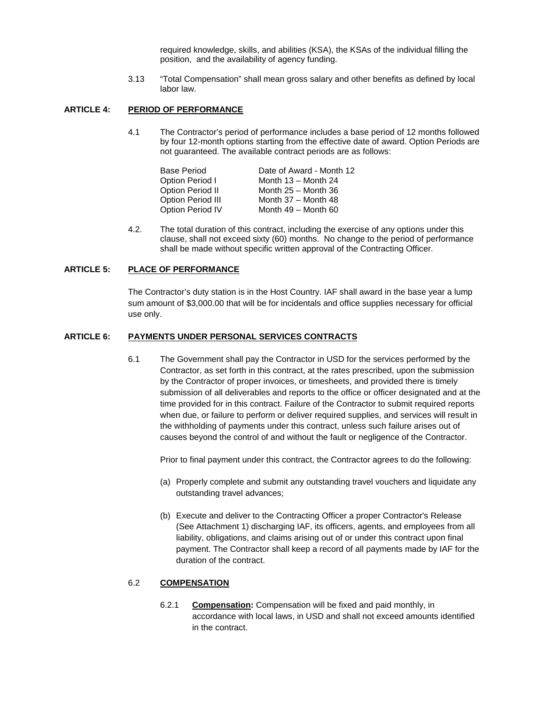required knowledge, skills, and abilities (KSA), the KSAs of the individual filling the position, and the availability of agency funding.

3.13 "Total Compensation" shall mean gross salary and other benefits as defined by local labor law.

#### **ARTICLE 4: PERIOD OF PERFORMANCE**

4.1 The Contractor's period of performance includes a base period of 12 months followed by four 12-month options starting from the effective date of award. Option Periods are not guaranteed. The available contract periods are as follows:

| Base Period             | Date of Award - Month 12 |
|-------------------------|--------------------------|
| Option Period I         | Month $13 -$ Month $24$  |
| <b>Option Period II</b> | Month $25 -$ Month $36$  |
| Option Period III       | Month 37 - Month 48      |
| Option Period IV        | Month $49 -$ Month 60    |

4.2. The total duration of this contract, including the exercise of any options under this clause, shall not exceed sixty (60) months. No change to the period of performance shall be made without specific written approval of the Contracting Officer.

#### **ARTICLE 5: PLACE OF PERFORMANCE**

The Contractor's duty station is in the Host Country. IAF shall award in the base year a lump sum amount of \$3,000.00 that will be for incidentals and office supplies necessary for official use only.

#### **ARTICLE 6: PAYMENTS UNDER PERSONAL SERVICES CONTRACTS**

6.1 The Government shall pay the Contractor in USD for the services performed by the Contractor, as set forth in this contract, at the rates prescribed, upon the submission by the Contractor of proper invoices, or timesheets, and provided there is timely submission of all deliverables and reports to the office or officer designated and at the time provided for in this contract. Failure of the Contractor to submit required reports when due, or failure to perform or deliver required supplies, and services will result in the withholding of payments under this contract, unless such failure arises out of causes beyond the control of and without the fault or negligence of the Contractor.

Prior to final payment under this contract, the Contractor agrees to do the following:

- (a) Properly complete and submit any outstanding travel vouchers and liquidate any outstanding travel advances;
- (b) Execute and deliver to the Contracting Officer a proper Contractor's Release (See Attachment 1) discharging IAF, its officers, agents, and employees from all liability, obligations, and claims arising out of or under this contract upon final payment. The Contractor shall keep a record of all payments made by IAF for the duration of the contract.

#### 6.2 **COMPENSATION**

6.2.1 **Compensation:** Compensation will be fixed and paid monthly, in accordance with local laws, in USD and shall not exceed amounts identified in the contract.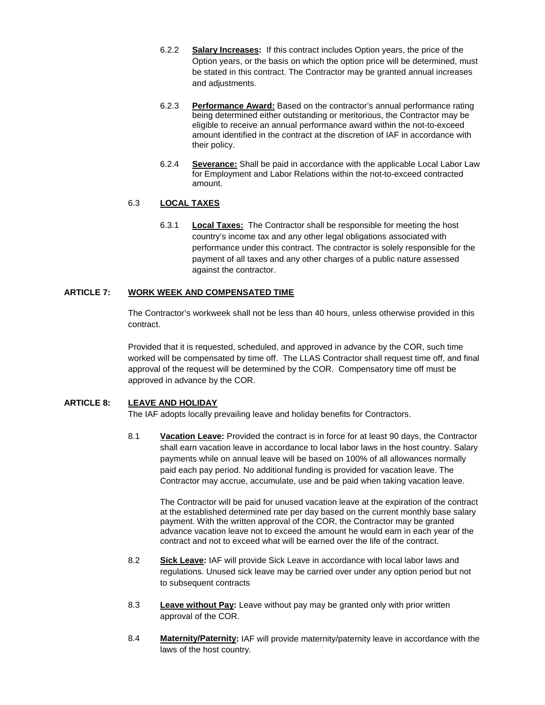- 6.2.2 **Salary Increases:** If this contract includes Option years, the price of the Option years, or the basis on which the option price will be determined, must be stated in this contract. The Contractor may be granted annual increases and adjustments.
- 6.2.3 **Performance Award:** Based on the contractor's annual performance rating being determined either outstanding or meritorious, the Contractor may be eligible to receive an annual performance award within the not-to-exceed amount identified in the contract at the discretion of IAF in accordance with their policy.
- 6.2.4 **Severance:** Shall be paid in accordance with the applicable Local Labor Law for Employment and Labor Relations within the not-to-exceed contracted amount.

# 6.3 **LOCAL TAXES**

6.3.1 **Local Taxes:** The Contractor shall be responsible for meeting the host country's income tax and any other legal obligations associated with performance under this contract. The contractor is solely responsible for the payment of all taxes and any other charges of a public nature assessed against the contractor.

#### **ARTICLE 7: WORK WEEK AND COMPENSATED TIME**

The Contractor's workweek shall not be less than 40 hours, unless otherwise provided in this contract.

Provided that it is requested, scheduled, and approved in advance by the COR, such time worked will be compensated by time off. The LLAS Contractor shall request time off, and final approval of the request will be determined by the COR. Compensatory time off must be approved in advance by the COR.

#### **ARTICLE 8: LEAVE AND HOLIDAY**

The IAF adopts locally prevailing leave and holiday benefits for Contractors.

8.1 **Vacation Leave:** Provided the contract is in force for at least 90 days, the Contractor shall earn vacation leave in accordance to local labor laws in the host country. Salary payments while on annual leave will be based on 100% of all allowances normally paid each pay period. No additional funding is provided for vacation leave. The Contractor may accrue, accumulate, use and be paid when taking vacation leave.

The Contractor will be paid for unused vacation leave at the expiration of the contract at the established determined rate per day based on the current monthly base salary payment. With the written approval of the COR, the Contractor may be granted advance vacation leave not to exceed the amount he would earn in each year of the contract and not to exceed what will be earned over the life of the contract.

- 8.2 **Sick Leave:** IAF will provide Sick Leave in accordance with local labor laws and regulations. Unused sick leave may be carried over under any option period but not to subsequent contracts
- 8.3 **Leave without Pay:** Leave without pay may be granted only with prior written approval of the COR.
- 8.4 **Maternity/Paternity:** IAF will provide maternity/paternity leave in accordance with the laws of the host country.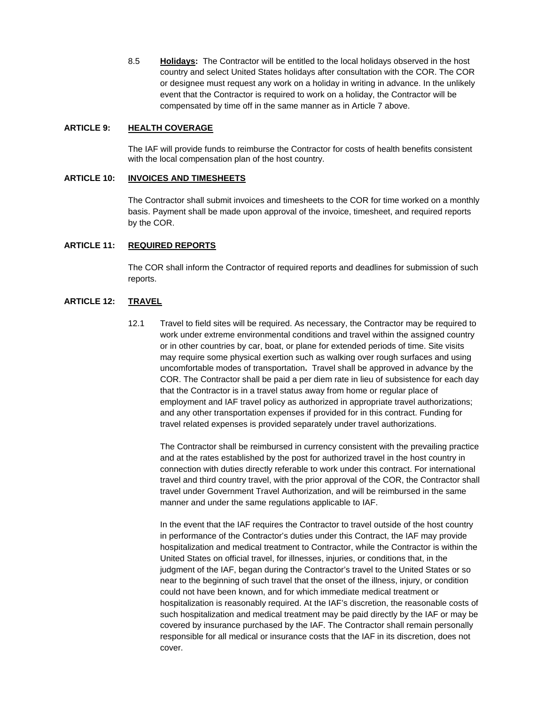8.5 **Holidays:** The Contractor will be entitled to the local holidays observed in the host country and select United States holidays after consultation with the COR. The COR or designee must request any work on a holiday in writing in advance. In the unlikely event that the Contractor is required to work on a holiday, the Contractor will be compensated by time off in the same manner as in Article 7 above.

#### **ARTICLE 9: HEALTH COVERAGE**

The IAF will provide funds to reimburse the Contractor for costs of health benefits consistent with the local compensation plan of the host country.

#### **ARTICLE 10: INVOICES AND TIMESHEETS**

The Contractor shall submit invoices and timesheets to the COR for time worked on a monthly basis. Payment shall be made upon approval of the invoice, timesheet, and required reports by the COR.

#### **ARTICLE 11: REQUIRED REPORTS**

The COR shall inform the Contractor of required reports and deadlines for submission of such reports.

#### **ARTICLE 12: TRAVEL**

12.1 Travel to field sites will be required. As necessary, the Contractor may be required to work under extreme environmental conditions and travel within the assigned country or in other countries by car, boat, or plane for extended periods of time. Site visits may require some physical exertion such as walking over rough surfaces and using uncomfortable modes of transportation**.** Travel shall be approved in advance by the COR. The Contractor shall be paid a per diem rate in lieu of subsistence for each day that the Contractor is in a travel status away from home or regular place of employment and IAF travel policy as authorized in appropriate travel authorizations; and any other transportation expenses if provided for in this contract. Funding for travel related expenses is provided separately under travel authorizations.

The Contractor shall be reimbursed in currency consistent with the prevailing practice and at the rates established by the post for authorized travel in the host country in connection with duties directly referable to work under this contract. For international travel and third country travel, with the prior approval of the COR, the Contractor shall travel under Government Travel Authorization, and will be reimbursed in the same manner and under the same regulations applicable to IAF.

In the event that the IAF requires the Contractor to travel outside of the host country in performance of the Contractor's duties under this Contract, the IAF may provide hospitalization and medical treatment to Contractor, while the Contractor is within the United States on official travel, for illnesses, injuries, or conditions that, in the judgment of the IAF, began during the Contractor's travel to the United States or so near to the beginning of such travel that the onset of the illness, injury, or condition could not have been known, and for which immediate medical treatment or hospitalization is reasonably required. At the IAF's discretion, the reasonable costs of such hospitalization and medical treatment may be paid directly by the IAF or may be covered by insurance purchased by the IAF. The Contractor shall remain personally responsible for all medical or insurance costs that the IAF in its discretion, does not cover.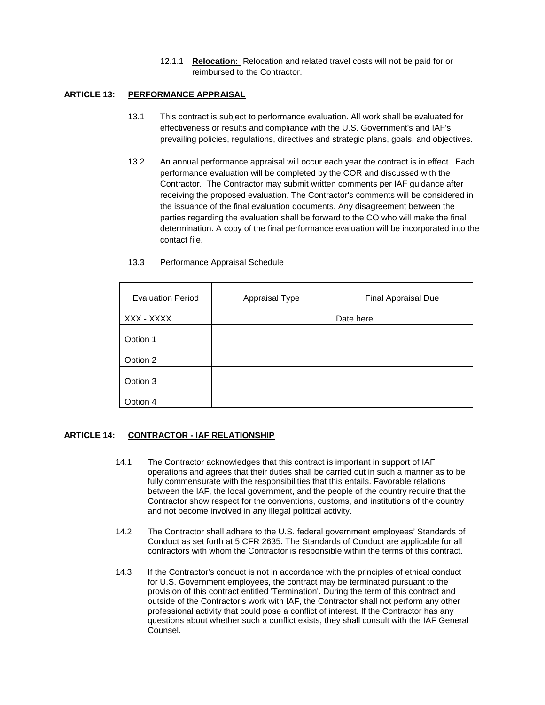12.1.1 **Relocation:** Relocation and related travel costs will not be paid for or reimbursed to the Contractor.

#### **ARTICLE 13: PERFORMANCE APPRAISAL**

- 13.1 This contract is subject to performance evaluation. All work shall be evaluated for effectiveness or results and compliance with the U.S. Government's and IAF's prevailing policies, regulations, directives and strategic plans, goals, and objectives.
- 13.2 An annual performance appraisal will occur each year the contract is in effect. Each performance evaluation will be completed by the COR and discussed with the Contractor. The Contractor may submit written comments per IAF guidance after receiving the proposed evaluation. The Contractor's comments will be considered in the issuance of the final evaluation documents. Any disagreement between the parties regarding the evaluation shall be forward to the CO who will make the final determination. A copy of the final performance evaluation will be incorporated into the contact file.

| <b>Evaluation Period</b> | Appraisal Type | Final Appraisal Due |
|--------------------------|----------------|---------------------|
|                          |                |                     |
| XXX - XXXX               |                | Date here           |
|                          |                |                     |
| Option 1                 |                |                     |
|                          |                |                     |
| Option 2                 |                |                     |
|                          |                |                     |
| Option 3                 |                |                     |
|                          |                |                     |
| Option 4                 |                |                     |

13.3 Performance Appraisal Schedule

#### **ARTICLE 14: CONTRACTOR - IAF RELATIONSHIP**

- 14.1 The Contractor acknowledges that this contract is important in support of IAF operations and agrees that their duties shall be carried out in such a manner as to be fully commensurate with the responsibilities that this entails. Favorable relations between the IAF, the local government, and the people of the country require that the Contractor show respect for the conventions, customs, and institutions of the country and not become involved in any illegal political activity.
- 14.2 The Contractor shall adhere to the U.S. federal government employees' Standards of Conduct as set forth at 5 CFR 2635. The Standards of Conduct are applicable for all contractors with whom the Contractor is responsible within the terms of this contract.
- 14.3 If the Contractor's conduct is not in accordance with the principles of ethical conduct for U.S. Government employees, the contract may be terminated pursuant to the provision of this contract entitled 'Termination'. During the term of this contract and outside of the Contractor's work with IAF, the Contractor shall not perform any other professional activity that could pose a conflict of interest. If the Contractor has any questions about whether such a conflict exists, they shall consult with the IAF General Counsel.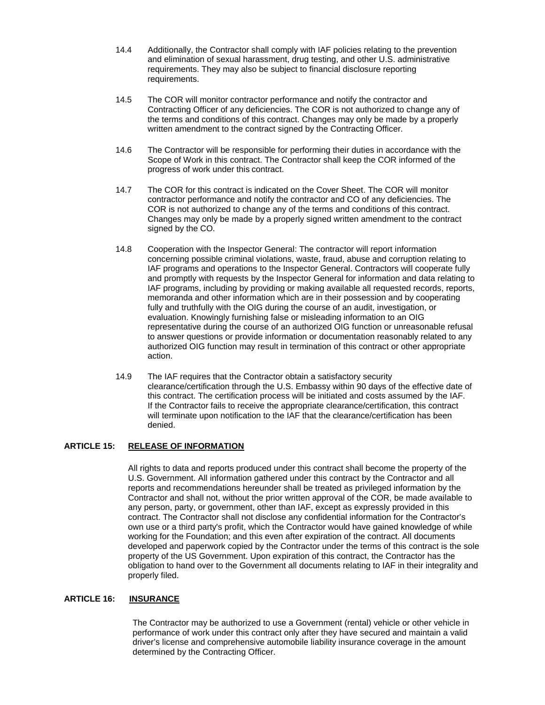- 14.4 Additionally, the Contractor shall comply with IAF policies relating to the prevention and elimination of sexual harassment, drug testing, and other U.S. administrative requirements. They may also be subject to financial disclosure reporting requirements.
- 14.5 The COR will monitor contractor performance and notify the contractor and Contracting Officer of any deficiencies. The COR is not authorized to change any of the terms and conditions of this contract. Changes may only be made by a properly written amendment to the contract signed by the Contracting Officer.
- 14.6 The Contractor will be responsible for performing their duties in accordance with the Scope of Work in this contract. The Contractor shall keep the COR informed of the progress of work under this contract.
- 14.7 The COR for this contract is indicated on the Cover Sheet. The COR will monitor contractor performance and notify the contractor and CO of any deficiencies. The COR is not authorized to change any of the terms and conditions of this contract. Changes may only be made by a properly signed written amendment to the contract signed by the CO.
- 14.8 Cooperation with the Inspector General: The contractor will report information concerning possible criminal violations, waste, fraud, abuse and corruption relating to IAF programs and operations to the Inspector General. Contractors will cooperate fully and promptly with requests by the Inspector General for information and data relating to IAF programs, including by providing or making available all requested records, reports, memoranda and other information which are in their possession and by cooperating fully and truthfully with the OIG during the course of an audit, investigation, or evaluation. Knowingly furnishing false or misleading information to an OIG representative during the course of an authorized OIG function or unreasonable refusal to answer questions or provide information or documentation reasonably related to any authorized OIG function may result in termination of this contract or other appropriate action.
- 14.9 The IAF requires that the Contractor obtain a satisfactory security clearance/certification through the U.S. Embassy within 90 days of the effective date of this contract. The certification process will be initiated and costs assumed by the IAF. If the Contractor fails to receive the appropriate clearance/certification, this contract will terminate upon notification to the IAF that the clearance/certification has been denied.

#### **ARTICLE 15: RELEASE OF INFORMATION**

All rights to data and reports produced under this contract shall become the property of the U.S. Government. All information gathered under this contract by the Contractor and all reports and recommendations hereunder shall be treated as privileged information by the Contractor and shall not, without the prior written approval of the COR, be made available to any person, party, or government, other than IAF, except as expressly provided in this contract. The Contractor shall not disclose any confidential information for the Contractor's own use or a third party's profit, which the Contractor would have gained knowledge of while working for the Foundation; and this even after expiration of the contract. All documents developed and paperwork copied by the Contractor under the terms of this contract is the sole property of the US Government. Upon expiration of this contract, the Contractor has the obligation to hand over to the Government all documents relating to IAF in their integrality and properly filed.

#### **ARTICLE 16: INSURANCE**

The Contractor may be authorized to use a Government (rental) vehicle or other vehicle in performance of work under this contract only after they have secured and maintain a valid driver's license and comprehensive automobile liability insurance coverage in the amount determined by the Contracting Officer.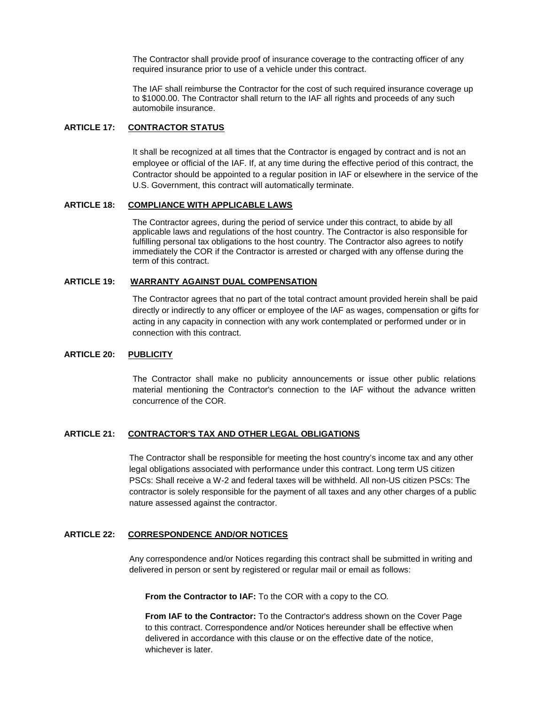The Contractor shall provide proof of insurance coverage to the contracting officer of any required insurance prior to use of a vehicle under this contract.

The IAF shall reimburse the Contractor for the cost of such required insurance coverage up to \$1000.00. The Contractor shall return to the IAF all rights and proceeds of any such automobile insurance.

#### **ARTICLE 17: CONTRACTOR STATUS**

It shall be recognized at all times that the Contractor is engaged by contract and is not an employee or official of the IAF. If, at any time during the effective period of this contract, the Contractor should be appointed to a regular position in IAF or elsewhere in the service of the U.S. Government, this contract will automatically terminate.

#### **ARTICLE 18: COMPLIANCE WITH APPLICABLE LAWS**

The Contractor agrees, during the period of service under this contract, to abide by all applicable laws and regulations of the host country. The Contractor is also responsible for fulfilling personal tax obligations to the host country. The Contractor also agrees to notify immediately the COR if the Contractor is arrested or charged with any offense during the term of this contract.

#### **ARTICLE 19: WARRANTY AGAINST DUAL COMPENSATION**

The Contractor agrees that no part of the total contract amount provided herein shall be paid directly or indirectly to any officer or employee of the IAF as wages, compensation or gifts for acting in any capacity in connection with any work contemplated or performed under or in connection with this contract.

#### **ARTICLE 20: PUBLICITY**

The Contractor shall make no publicity announcements or issue other public relations material mentioning the Contractor's connection to the IAF without the advance written concurrence of the COR.

#### **ARTICLE 21: CONTRACTOR'S TAX AND OTHER LEGAL OBLIGATIONS**

The Contractor shall be responsible for meeting the host country's income tax and any other legal obligations associated with performance under this contract. Long term US citizen PSCs: Shall receive a W-2 and federal taxes will be withheld. All non-US citizen PSCs: The contractor is solely responsible for the payment of all taxes and any other charges of a public nature assessed against the contractor.

#### **ARTICLE 22: CORRESPONDENCE AND/OR NOTICES**

Any correspondence and/or Notices regarding this contract shall be submitted in writing and delivered in person or sent by registered or regular mail or email as follows:

**From the Contractor to IAF:** To the COR with a copy to the CO*.* 

**From IAF to the Contractor:** To the Contractor's address shown on the Cover Page to this contract. Correspondence and/or Notices hereunder shall be effective when delivered in accordance with this clause or on the effective date of the notice, whichever is later.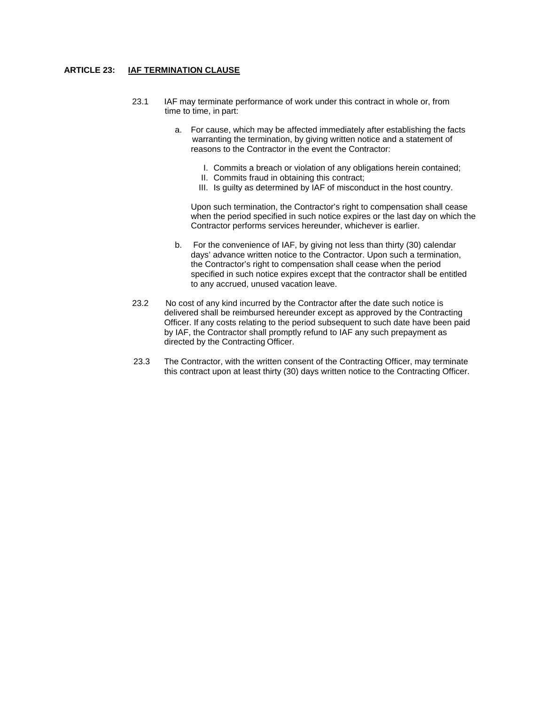#### **ARTICLE 23: IAF TERMINATION CLAUSE**

- 23.1 IAF may terminate performance of work under this contract in whole or, from time to time, in part:
	- a. For cause, which may be affected immediately after establishing the facts warranting the termination, by giving written notice and a statement of reasons to the Contractor in the event the Contractor:
		- I. Commits a breach or violation of any obligations herein contained;
		- II. Commits fraud in obtaining this contract;
		- III. Is guilty as determined by IAF of misconduct in the host country.

Upon such termination, the Contractor's right to compensation shall cease when the period specified in such notice expires or the last day on which the Contractor performs services hereunder, whichever is earlier.

- b. For the convenience of IAF, by giving not less than thirty (30) calendar days' advance written notice to the Contractor. Upon such a termination, the Contractor's right to compensation shall cease when the period specified in such notice expires except that the contractor shall be entitled to any accrued, unused vacation leave.
- 23.2 No cost of any kind incurred by the Contractor after the date such notice is delivered shall be reimbursed hereunder except as approved by the Contracting Officer. If any costs relating to the period subsequent to such date have been paid by IAF, the Contractor shall promptly refund to IAF any such prepayment as directed by the Contracting Officer.
- 23.3 The Contractor, with the written consent of the Contracting Officer, may terminate this contract upon at least thirty (30) days written notice to the Contracting Officer.